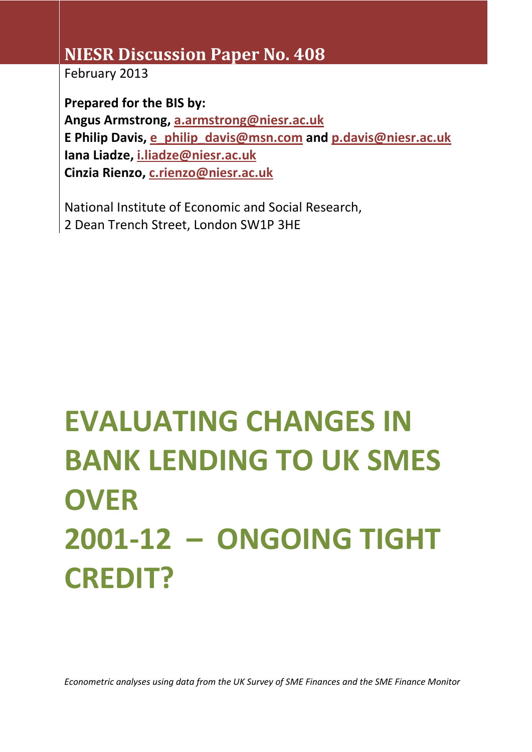## **NIESR Discussion Paper No. 408**

February 2013

**Prepared for the BIS by: Angus Armstrong, [a.armstrong@niesr.ac.uk](mailto:a.armstrong@niesr.ac.uk) E Philip Davis, [e\\_philip\\_davis@msn.com](mailto:e_philip_davis@msn.com) and [p.davis@niesr.ac.uk](mailto:p.davis@niesr.ac.uk) Iana Liadze, [i.liadze@niesr.ac.uk](mailto:i.liadze@niesr.ac.uk) Cinzia Rienzo, [c.rienzo@niesr.ac.uk](mailto:c.rienzo@niesr.ac.uk)**

National Institute of Economic and Social Research, 2 Dean Trench Street, London SW1P 3HE

# **EVALUATING CHANGES IN BANK LENDING TO UK SMES OVER 2001-12 – ONGOING TIGHT CREDIT?**

*Econometric analyses using data from the UK Survey of SME Finances and the SME Finance Monitor*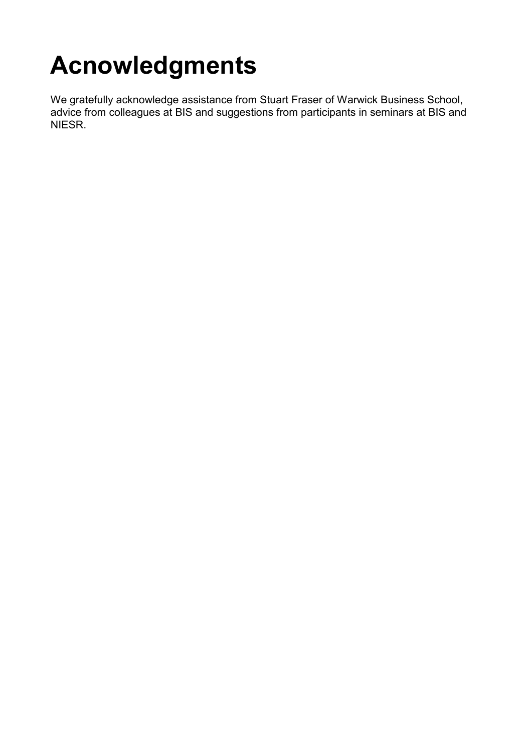## **Acnowledgments**

We gratefully acknowledge assistance from Stuart Fraser of Warwick Business School, advice from colleagues at BIS and suggestions from participants in seminars at BIS and NIESR.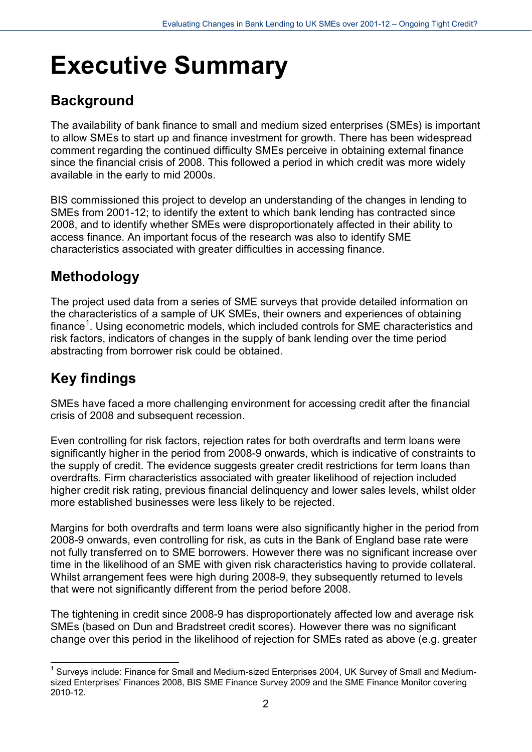## **Executive Summary**

### **Background**

The availability of bank finance to small and medium sized enterprises (SMEs) is important to allow SMEs to start up and finance investment for growth. There has been widespread comment regarding the continued difficulty SMEs perceive in obtaining external finance since the financial crisis of 2008. This followed a period in which credit was more widely available in the early to mid 2000s.

BIS commissioned this project to develop an understanding of the changes in lending to SMEs from 2001-12; to identify the extent to which bank lending has contracted since 2008, and to identify whether SMEs were disproportionately affected in their ability to access finance. An important focus of the research was also to identify SME characteristics associated with greater difficulties in accessing finance.

### **Methodology**

The project used data from a series of SME surveys that provide detailed information on the characteristics of a sample of UK SMEs, their owners and experiences of obtaining finance<sup>[1](#page-2-0)</sup>. Using econometric models, which included controls for SME characteristics and risk factors, indicators of changes in the supply of bank lending over the time period abstracting from borrower risk could be obtained.

### **Key findings**

SMEs have faced a more challenging environment for accessing credit after the financial crisis of 2008 and subsequent recession.

Even controlling for risk factors, rejection rates for both overdrafts and term loans were significantly higher in the period from 2008-9 onwards, which is indicative of constraints to the supply of credit. The evidence suggests greater credit restrictions for term loans than overdrafts. Firm characteristics associated with greater likelihood of rejection included higher credit risk rating, previous financial delinquency and lower sales levels, whilst older more established businesses were less likely to be rejected.

Margins for both overdrafts and term loans were also significantly higher in the period from 2008-9 onwards, even controlling for risk, as cuts in the Bank of England base rate were not fully transferred on to SME borrowers. However there was no significant increase over time in the likelihood of an SME with given risk characteristics having to provide collateral. Whilst arrangement fees were high during 2008-9, they subsequently returned to levels that were not significantly different from the period before 2008.

The tightening in credit since 2008-9 has disproportionately affected low and average risk SMEs (based on Dun and Bradstreet credit scores). However there was no significant change over this period in the likelihood of rejection for SMEs rated as above (e.g. greater

<span id="page-2-0"></span><sup>-</sup> $<sup>1</sup>$  Surveys include: Finance for Small and Medium-sized Enterprises 2004, UK Survey of Small and Medium-</sup> sized Enterprises' Finances 2008, BIS SME Finance Survey 2009 and the SME Finance Monitor covering 2010-12.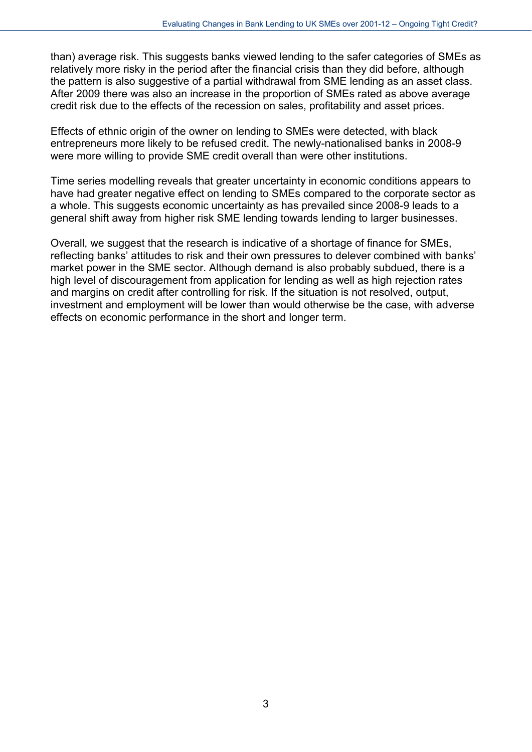than) average risk. This suggests banks viewed lending to the safer categories of SMEs as relatively more risky in the period after the financial crisis than they did before, although the pattern is also suggestive of a partial withdrawal from SME lending as an asset class. After 2009 there was also an increase in the proportion of SMEs rated as above average credit risk due to the effects of the recession on sales, profitability and asset prices.

Effects of ethnic origin of the owner on lending to SMEs were detected, with black entrepreneurs more likely to be refused credit. The newly-nationalised banks in 2008-9 were more willing to provide SME credit overall than were other institutions.

Time series modelling reveals that greater uncertainty in economic conditions appears to have had greater negative effect on lending to SMEs compared to the corporate sector as a whole. This suggests economic uncertainty as has prevailed since 2008-9 leads to a general shift away from higher risk SME lending towards lending to larger businesses.

Overall, we suggest that the research is indicative of a shortage of finance for SMEs, reflecting banks' attitudes to risk and their own pressures to delever combined with banks' market power in the SME sector. Although demand is also probably subdued, there is a high level of discouragement from application for lending as well as high rejection rates and margins on credit after controlling for risk. If the situation is not resolved, output, investment and employment will be lower than would otherwise be the case, with adverse effects on economic performance in the short and longer term.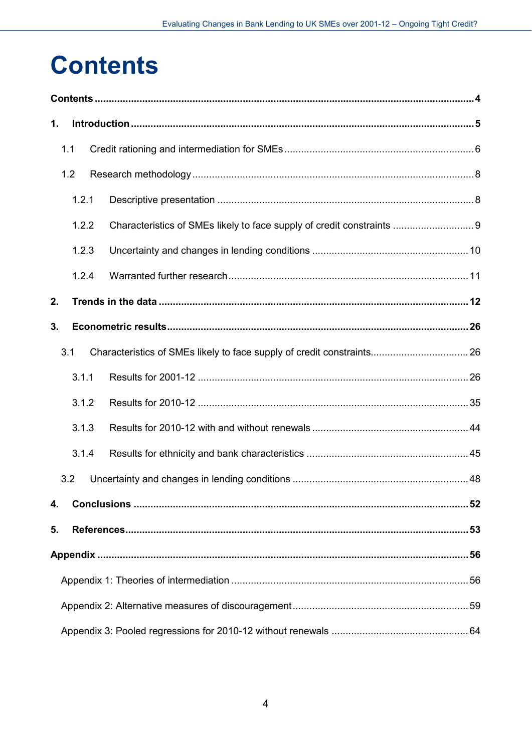## <span id="page-4-0"></span>**Contents**

| 1. |       |                                                                        |  |
|----|-------|------------------------------------------------------------------------|--|
|    | 1.1   |                                                                        |  |
|    | 1.2   |                                                                        |  |
|    | 1.2.1 |                                                                        |  |
|    | 1.2.2 | Characteristics of SMEs likely to face supply of credit constraints  9 |  |
|    | 1.2.3 |                                                                        |  |
|    | 1.2.4 |                                                                        |  |
| 2. |       |                                                                        |  |
| 3. |       |                                                                        |  |
|    | 3.1   |                                                                        |  |
|    | 3.1.1 |                                                                        |  |
|    | 3.1.2 |                                                                        |  |
|    | 3.1.3 |                                                                        |  |
|    | 3.1.4 |                                                                        |  |
|    | 3.2   |                                                                        |  |
| 4. |       |                                                                        |  |
| 5. |       |                                                                        |  |
|    |       |                                                                        |  |
|    |       |                                                                        |  |
|    |       |                                                                        |  |
|    |       |                                                                        |  |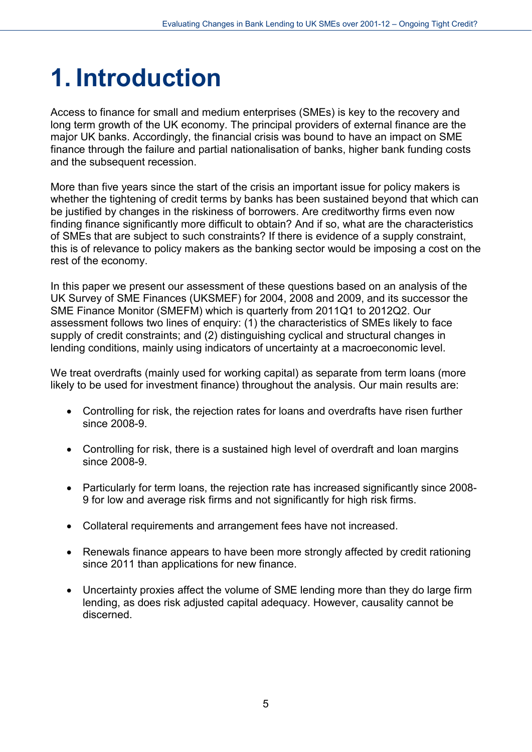## <span id="page-5-0"></span>**1. Introduction**

Access to finance for small and medium enterprises (SMEs) is key to the recovery and long term growth of the UK economy. The principal providers of external finance are the major UK banks. Accordingly, the financial crisis was bound to have an impact on SME finance through the failure and partial nationalisation of banks, higher bank funding costs and the subsequent recession.

More than five years since the start of the crisis an important issue for policy makers is whether the tightening of credit terms by banks has been sustained beyond that which can be justified by changes in the riskiness of borrowers. Are creditworthy firms even now finding finance significantly more difficult to obtain? And if so, what are the characteristics of SMEs that are subject to such constraints? If there is evidence of a supply constraint, this is of relevance to policy makers as the banking sector would be imposing a cost on the rest of the economy.

In this paper we present our assessment of these questions based on an analysis of the UK Survey of SME Finances (UKSMEF) for 2004, 2008 and 2009, and its successor the SME Finance Monitor (SMEFM) which is quarterly from 2011Q1 to 2012Q2. Our assessment follows two lines of enquiry: (1) the characteristics of SMEs likely to face supply of credit constraints; and (2) distinguishing cyclical and structural changes in lending conditions, mainly using indicators of uncertainty at a macroeconomic level.

We treat overdrafts (mainly used for working capital) as separate from term loans (more likely to be used for investment finance) throughout the analysis. Our main results are:

- Controlling for risk, the rejection rates for loans and overdrafts have risen further since 2008-9.
- Controlling for risk, there is a sustained high level of overdraft and loan margins since 2008-9.
- Particularly for term loans, the rejection rate has increased significantly since 2008-9 for low and average risk firms and not significantly for high risk firms.
- Collateral requirements and arrangement fees have not increased.
- Renewals finance appears to have been more strongly affected by credit rationing since 2011 than applications for new finance.
- Uncertainty proxies affect the volume of SME lending more than they do large firm lending, as does risk adjusted capital adequacy. However, causality cannot be discerned.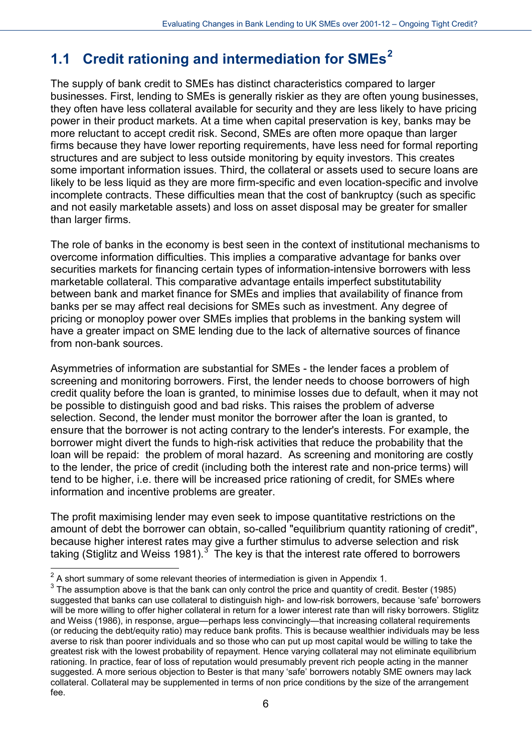### <span id="page-6-0"></span>**1.1 Credit rationing and intermediation for SMEs[2](#page-6-1)**

The supply of bank credit to SMEs has distinct characteristics compared to larger businesses. First, lending to SMEs is generally riskier as they are often young businesses, they often have less collateral available for security and they are less likely to have pricing power in their product markets. At a time when capital preservation is key, banks may be more reluctant to accept credit risk. Second, SMEs are often more opaque than larger firms because they have lower reporting requirements, have less need for formal reporting structures and are subject to less outside monitoring by equity investors. This creates some important information issues. Third, the collateral or assets used to secure loans are likely to be less liquid as they are more firm-specific and even location-specific and involve incomplete contracts. These difficulties mean that the cost of bankruptcy (such as specific and not easily marketable assets) and loss on asset disposal may be greater for smaller than larger firms.

The role of banks in the economy is best seen in the context of institutional mechanisms to overcome information difficulties. This implies a comparative advantage for banks over securities markets for financing certain types of information-intensive borrowers with less marketable collateral. This comparative advantage entails imperfect substitutability between bank and market finance for SMEs and implies that availability of finance from banks per se may affect real decisions for SMEs such as investment. Any degree of pricing or monoploy power over SMEs implies that problems in the banking system will have a greater impact on SME lending due to the lack of alternative sources of finance from non-bank sources.

Asymmetries of information are substantial for SMEs - the lender faces a problem of screening and monitoring borrowers. First, the lender needs to choose borrowers of high credit quality before the loan is granted, to minimise losses due to default, when it may not be possible to distinguish good and bad risks. This raises the problem of adverse selection. Second, the lender must monitor the borrower after the loan is granted, to ensure that the borrower is not acting contrary to the lender's interests. For example, the borrower might divert the funds to high-risk activities that reduce the probability that the loan will be repaid: the problem of moral hazard. As screening and monitoring are costly to the lender, the price of credit (including both the interest rate and non-price terms) will tend to be higher, i.e. there will be increased price rationing of credit, for SMEs where information and incentive problems are greater.

The profit maximising lender may even seek to impose quantitative restrictions on the amount of debt the borrower can obtain, so-called "equilibrium quantity rationing of credit", because higher interest rates may give a further stimulus to adverse selection and risk taking (Stiglitz and Weiss 1981).<sup>[3](#page-6-2)</sup> The key is that the interest rate offered to borrowers

-

<span id="page-6-1"></span> $2$  A short summary of some relevant theories of intermediation is given in Appendix 1.

<span id="page-6-2"></span> $3$  The assumption above is that the bank can only control the price and quantity of credit. Bester (1985) suggested that banks can use collateral to distinguish high- and low-risk borrowers, because 'safe' borrowers will be more willing to offer higher collateral in return for a lower interest rate than will risky borrowers. Stiglitz and Weiss (1986), in response, argue—perhaps less convincingly—that increasing collateral requirements (or reducing the debt/equity ratio) may reduce bank profits. This is because wealthier individuals may be less averse to risk than poorer individuals and so those who can put up most capital would be willing to take the greatest risk with the lowest probability of repayment. Hence varying collateral may not eliminate equilibrium rationing. In practice, fear of loss of reputation would presumably prevent rich people acting in the manner suggested. A more serious objection to Bester is that many 'safe' borrowers notably SME owners may lack collateral. Collateral may be supplemented in terms of non price conditions by the size of the arrangement fee.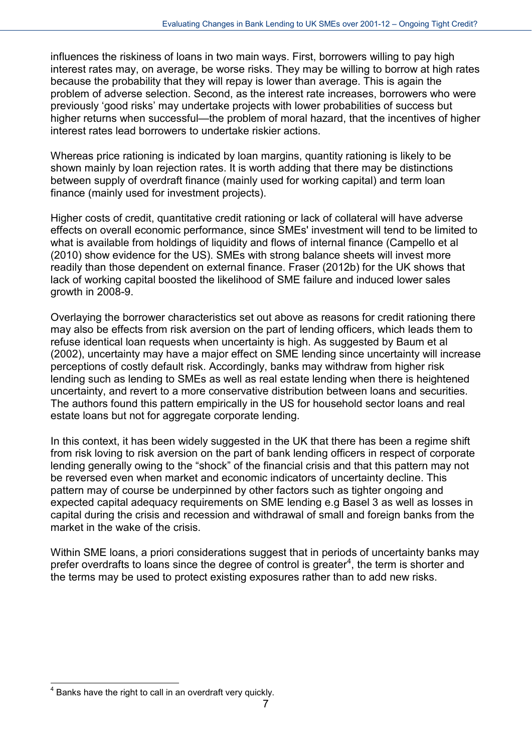influences the riskiness of loans in two main ways. First, borrowers willing to pay high interest rates may, on average, be worse risks. They may be willing to borrow at high rates because the probability that they will repay is lower than average. This is again the problem of adverse selection. Second, as the interest rate increases, borrowers who were previously 'good risks' may undertake projects with lower probabilities of success but higher returns when successful—the problem of moral hazard, that the incentives of higher interest rates lead borrowers to undertake riskier actions.

Whereas price rationing is indicated by loan margins, quantity rationing is likely to be shown mainly by loan rejection rates. It is worth adding that there may be distinctions between supply of overdraft finance (mainly used for working capital) and term loan finance (mainly used for investment projects).

Higher costs of credit, quantitative credit rationing or lack of collateral will have adverse effects on overall economic performance, since SMEs' investment will tend to be limited to what is available from holdings of liquidity and flows of internal finance (Campello et al (2010) show evidence for the US). SMEs with strong balance sheets will invest more readily than those dependent on external finance. Fraser (2012b) for the UK shows that lack of working capital boosted the likelihood of SME failure and induced lower sales growth in 2008-9.

Overlaying the borrower characteristics set out above as reasons for credit rationing there may also be effects from risk aversion on the part of lending officers, which leads them to refuse identical loan requests when uncertainty is high. As suggested by Baum et al (2002), uncertainty may have a major effect on SME lending since uncertainty will increase perceptions of costly default risk. Accordingly, banks may withdraw from higher risk lending such as lending to SMEs as well as real estate lending when there is heightened uncertainty, and revert to a more conservative distribution between loans and securities. The authors found this pattern empirically in the US for household sector loans and real estate loans but not for aggregate corporate lending.

In this context, it has been widely suggested in the UK that there has been a regime shift from risk loving to risk aversion on the part of bank lending officers in respect of corporate lending generally owing to the "shock" of the financial crisis and that this pattern may not be reversed even when market and economic indicators of uncertainty decline. This pattern may of course be underpinned by other factors such as tighter ongoing and expected capital adequacy requirements on SME lending e.g Basel 3 as well as losses in capital during the crisis and recession and withdrawal of small and foreign banks from the market in the wake of the crisis.

Within SME loans, a priori considerations suggest that in periods of uncertainty banks may prefer overdrafts to loans since the degree of control is greater<sup>[4](#page-7-0)</sup>, the term is shorter and the terms may be used to protect existing exposures rather than to add new risks.

<span id="page-7-0"></span><sup>1</sup>  $4$  Banks have the right to call in an overdraft very quickly.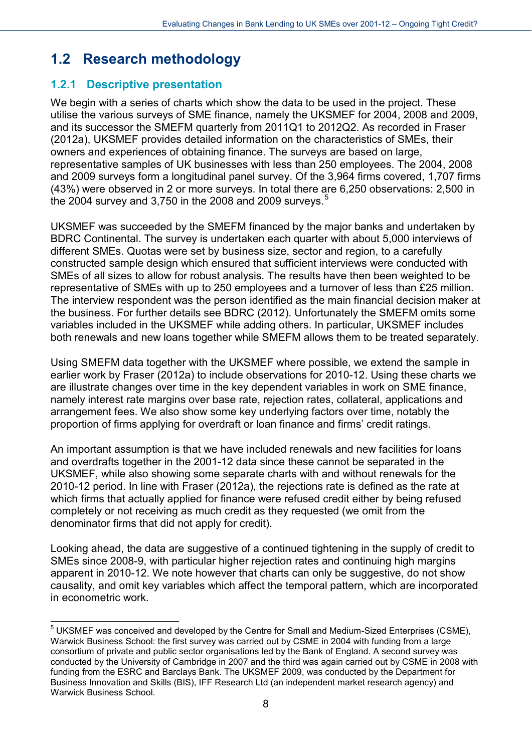### <span id="page-8-0"></span>**1.2 Research methodology**

#### <span id="page-8-1"></span>**1.2.1 Descriptive presentation**

We begin with a series of charts which show the data to be used in the project. These utilise the various surveys of SME finance, namely the UKSMEF for 2004, 2008 and 2009, and its successor the SMEFM quarterly from 2011Q1 to 2012Q2. As recorded in Fraser (2012a), UKSMEF provides detailed information on the characteristics of SMEs, their owners and experiences of obtaining finance. The surveys are based on large, representative samples of UK businesses with less than 250 employees. The 2004, 2008 and 2009 surveys form a longitudinal panel survey. Of the 3,964 firms covered, 1,707 firms (43%) were observed in 2 or more surveys. In total there are 6,250 observations: 2,500 in the 2004 survey and 3,7[5](#page-8-2)0 in the 2008 and 2009 surveys.<sup>5</sup>

UKSMEF was succeeded by the SMEFM financed by the major banks and undertaken by BDRC Continental. The survey is undertaken each quarter with about 5,000 interviews of different SMEs. Quotas were set by business size, sector and region, to a carefully constructed sample design which ensured that sufficient interviews were conducted with SMEs of all sizes to allow for robust analysis. The results have then been weighted to be representative of SMEs with up to 250 employees and a turnover of less than £25 million. The interview respondent was the person identified as the main financial decision maker at the business. For further details see BDRC (2012). Unfortunately the SMEFM omits some variables included in the UKSMEF while adding others. In particular, UKSMEF includes both renewals and new loans together while SMEFM allows them to be treated separately.

Using SMEFM data together with the UKSMEF where possible, we extend the sample in earlier work by Fraser (2012a) to include observations for 2010-12. Using these charts we are illustrate changes over time in the key dependent variables in work on SME finance, namely interest rate margins over base rate, rejection rates, collateral, applications and arrangement fees. We also show some key underlying factors over time, notably the proportion of firms applying for overdraft or loan finance and firms' credit ratings.

An important assumption is that we have included renewals and new facilities for loans and overdrafts together in the 2001-12 data since these cannot be separated in the UKSMEF, while also showing some separate charts with and without renewals for the 2010-12 period. In line with Fraser (2012a), the rejections rate is defined as the rate at which firms that actually applied for finance were refused credit either by being refused completely or not receiving as much credit as they requested (we omit from the denominator firms that did not apply for credit).

Looking ahead, the data are suggestive of a continued tightening in the supply of credit to SMEs since 2008-9, with particular higher rejection rates and continuing high margins apparent in 2010-12. We note however that charts can only be suggestive, do not show causality, and omit key variables which affect the temporal pattern, which are incorporated in econometric work.

<span id="page-8-2"></span><sup>1</sup>  $<sup>5</sup>$  UKSMEF was conceived and developed by the Centre for Small and Medium-Sized Enterprises (CSME),</sup> Warwick Business School: the first survey was carried out by CSME in 2004 with funding from a large consortium of private and public sector organisations led by the Bank of England. A second survey was conducted by the University of Cambridge in 2007 and the third was again carried out by CSME in 2008 with funding from the ESRC and Barclays Bank. The UKSMEF 2009, was conducted by the Department for Business Innovation and Skills (BIS), IFF Research Ltd (an independent market research agency) and Warwick Business School.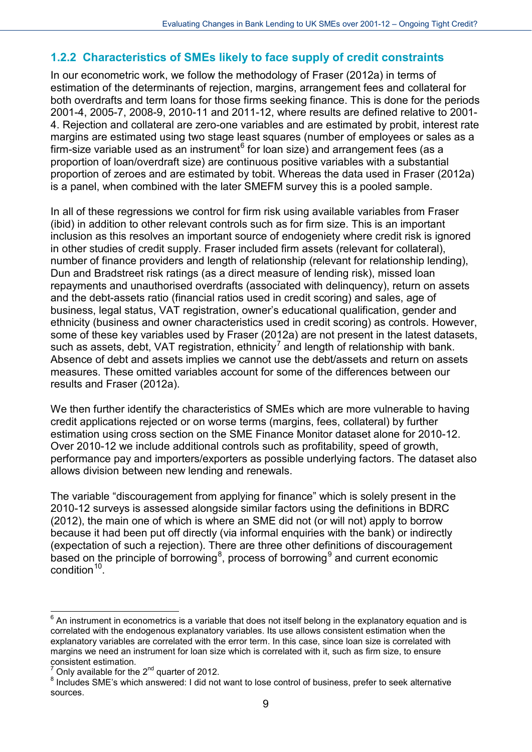#### <span id="page-9-0"></span>**1.2.2 Characteristics of SMEs likely to face supply of credit constraints**

In our econometric work, we follow the methodology of Fraser (2012a) in terms of estimation of the determinants of rejection, margins, arrangement fees and collateral for both overdrafts and term loans for those firms seeking finance. This is done for the periods 2001-4, 2005-7, 2008-9, 2010-11 and 2011-12, where results are defined relative to 2001- 4. Rejection and collateral are zero-one variables and are estimated by probit, interest rate margins are estimated using two stage least squares (number of employees or sales as a firm-size variable used as an instrument $6$  for loan size) and arrangement fees (as a proportion of loan/overdraft size) are continuous positive variables with a substantial proportion of zeroes and are estimated by tobit. Whereas the data used in Fraser (2012a) is a panel, when combined with the later SMEFM survey this is a pooled sample.

In all of these regressions we control for firm risk using available variables from Fraser (ibid) in addition to other relevant controls such as for firm size. This is an important inclusion as this resolves an important source of endogeniety where credit risk is ignored in other studies of credit supply. Fraser included firm assets (relevant for collateral), number of finance providers and length of relationship (relevant for relationship lending), Dun and Bradstreet risk ratings (as a direct measure of lending risk), missed loan repayments and unauthorised overdrafts (associated with delinquency), return on assets and the debt-assets ratio (financial ratios used in credit scoring) and sales, age of business, legal status, VAT registration, owner's educational qualification, gender and ethnicity (business and owner characteristics used in credit scoring) as controls. However, some of these key variables used by Fraser (2012a) are not present in the latest datasets, such as assets, debt, VAT registration, ethnicity<sup>[7](#page-9-2)</sup> and length of relationship with bank. Absence of debt and assets implies we cannot use the debt/assets and return on assets measures. These omitted variables account for some of the differences between our results and Fraser (2012a).

We then further identify the characteristics of SMEs which are more vulnerable to having credit applications rejected or on worse terms (margins, fees, collateral) by further estimation using cross section on the SME Finance Monitor dataset alone for 2010-12. Over 2010-12 we include additional controls such as profitability, speed of growth, performance pay and importers/exporters as possible underlying factors. The dataset also allows division between new lending and renewals.

<span id="page-9-4"></span>The variable "discouragement from applying for finance" which is solely present in the 2010-12 surveys is assessed alongside similar factors using the definitions in BDRC (2012), the main one of which is where an SME did not (or will not) apply to borrow because it had been put off directly (via informal enquiries with the bank) or indirectly (expectation of such a rejection). There are three other definitions of discouragement based on the principle of borrowing<sup>[8](#page-9-3)</sup>, process of borrowing<sup>[9](#page-9-4)</sup> and current economic condition<sup>[10](#page-9-5)</sup>.

<span id="page-9-5"></span> $\overline{a}$ 

<span id="page-9-1"></span> $6$  An instrument in econometrics is a variable that does not itself belong in the explanatory equation and is correlated with the endogenous explanatory variables. Its use allows consistent estimation when the explanatory variables are correlated with the error term. In this case, since loan size is correlated with margins we need an instrument for loan size which is correlated with it, such as firm size, to ensure consistent estimation.<br><sup>7</sup> Only available for the 2<sup>nd</sup> quarter of 2012.

<span id="page-9-2"></span>

<span id="page-9-3"></span> $8$  Includes SME's which answered: I did not want to lose control of business, prefer to seek alternative sources.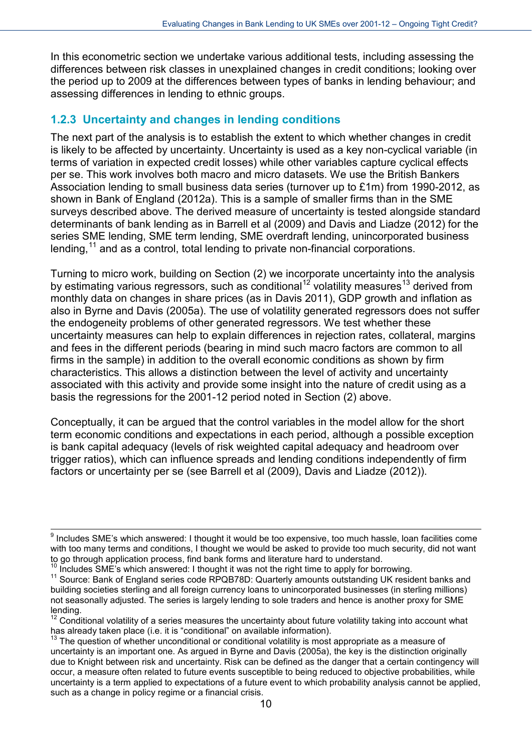In this econometric section we undertake various additional tests, including assessing the differences between risk classes in unexplained changes in credit conditions; looking over the period up to 2009 at the differences between types of banks in lending behaviour; and assessing differences in lending to ethnic groups.

#### <span id="page-10-0"></span>**1.2.3 Uncertainty and changes in lending conditions**

The next part of the analysis is to establish the extent to which whether changes in credit is likely to be affected by uncertainty. Uncertainty is used as a key non-cyclical variable (in terms of variation in expected credit losses) while other variables capture cyclical effects per se. This work involves both macro and micro datasets. We use the British Bankers Association lending to small business data series (turnover up to £1m) from 1990-2012, as shown in Bank of England (2012a). This is a sample of smaller firms than in the SME surveys described above. The derived measure of uncertainty is tested alongside standard determinants of bank lending as in Barrell et al (2009) and Davis and Liadze (2012) for the series SME lending, SME term lending, SME overdraft lending, unincorporated business lending,  $11$  and as a control, total lending to private non-financial corporations.

Turning to micro work, building on Section (2) we incorporate uncertainty into the analysis by estimating various regressors, such as conditional<sup>[12](#page-10-2)</sup> volatility measures<sup>[13](#page-10-3)</sup> derived from monthly data on changes in share prices (as in Davis 2011), GDP growth and inflation as also in Byrne and Davis (2005a). The use of volatility generated regressors does not suffer the endogeneity problems of other generated regressors. We test whether these uncertainty measures can help to explain differences in rejection rates, collateral, margins and fees in the different periods (bearing in mind such macro factors are common to all firms in the sample) in addition to the overall economic conditions as shown by firm characteristics. This allows a distinction between the level of activity and uncertainty associated with this activity and provide some insight into the nature of credit using as a basis the regressions for the 2001-12 period noted in Section (2) above.

Conceptually, it can be argued that the control variables in the model allow for the short term economic conditions and expectations in each period, although a possible exception is bank capital adequacy (levels of risk weighted capital adequacy and headroom over trigger ratios), which can influence spreads and lending conditions independently of firm factors or uncertainty per se (see Barrell et al (2009), Davis and Liadze (2012)).

<sup>&</sup>lt;sup>9</sup> Includes SME's which answered: I thought it would be too expensive, too much hassle, loan facilities come with too many terms and conditions, I thought we would be asked to provide too much security, did not want to go through application process, find bank forms and literature hard to understand.

<span id="page-10-1"></span><sup>&</sup>lt;sup>10</sup> Includes SME's which answered: I thought it was not the right time to apply for borrowing.<br><sup>11</sup> Source: Bank of England series code RPQB78D: Quarterly amounts outstanding UK resident banks and building societies sterling and all foreign currency loans to unincorporated businesses (in sterling millions) not seasonally adjusted. The series is largely lending to sole traders and hence is another proxy for SME lending.

<span id="page-10-2"></span> $12$  Conditional volatility of a series measures the uncertainty about future volatility taking into account what has already taken place (i.e. it is "conditional" on available information).

<span id="page-10-3"></span> $13$  The question of whether unconditional or conditional volatility is most appropriate as a measure of uncertainty is an important one. As argued in Byrne and Davis (2005a), the key is the distinction originally due to Knight between risk and uncertainty. Risk can be defined as the danger that a certain contingency will occur, a measure often related to future events susceptible to being reduced to objective probabilities, while uncertainty is a term applied to expectations of a future event to which probability analysis cannot be applied, such as a change in policy regime or a financial crisis.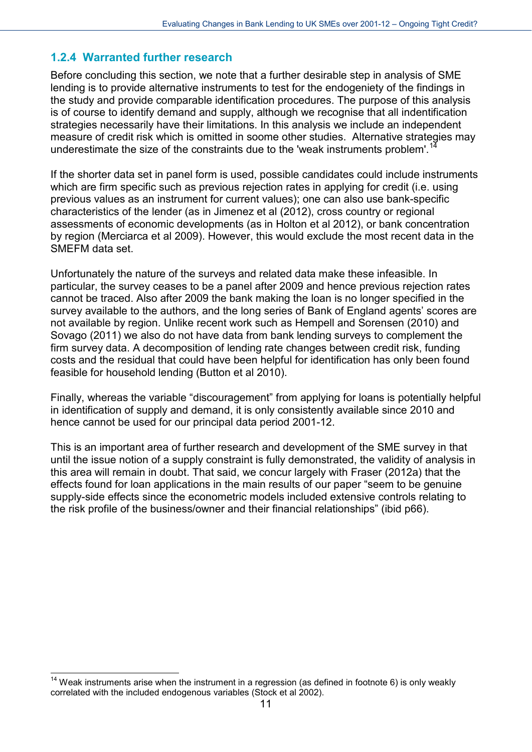#### <span id="page-11-0"></span>**1.2.4 Warranted further research**

Before concluding this section, we note that a further desirable step in analysis of SME lending is to provide alternative instruments to test for the endogeniety of the findings in the study and provide comparable identification procedures. The purpose of this analysis is of course to identify demand and supply, although we recognise that all indentification strategies necessarily have their limitations. In this analysis we include an independent measure of credit risk which is omitted in soome other studies. Alternative strategies may underestimate the size of the constraints due to the 'weak instruments problem'.<sup>[14](#page-11-1)</sup>

If the shorter data set in panel form is used, possible candidates could include instruments which are firm specific such as previous rejection rates in applying for credit (i.e. using previous values as an instrument for current values); one can also use bank-specific characteristics of the lender (as in Jimenez et al (2012), cross country or regional assessments of economic developments (as in Holton et al 2012), or bank concentration by region (Merciarca et al 2009). However, this would exclude the most recent data in the SMEFM data set.

Unfortunately the nature of the surveys and related data make these infeasible. In particular, the survey ceases to be a panel after 2009 and hence previous rejection rates cannot be traced. Also after 2009 the bank making the loan is no longer specified in the survey available to the authors, and the long series of Bank of England agents' scores are not available by region. Unlike recent work such as Hempell and Sorensen (2010) and Sovago (2011) we also do not have data from bank lending surveys to complement the firm survey data. A decomposition of lending rate changes between credit risk, funding costs and the residual that could have been helpful for identification has only been found feasible for household lending (Button et al 2010).

Finally, whereas the variable "discouragement" from applying for loans is potentially helpful in identification of supply and demand, it is only consistently available since 2010 and hence cannot be used for our principal data period 2001-12.

This is an important area of further research and development of the SME survey in that until the issue notion of a supply constraint is fully demonstrated, the validity of analysis in this area will remain in doubt. That said, we concur largely with Fraser (2012a) that the effects found for loan applications in the main results of our paper "seem to be genuine supply-side effects since the econometric models included extensive controls relating to the risk profile of the business/owner and their financial relationships" (ibid p66).

-

<span id="page-11-1"></span> $14$  Weak instruments arise when the instrument in a regression (as defined in footnote 6) is only weakly correlated with the included endogenous variables (Stock et al 2002).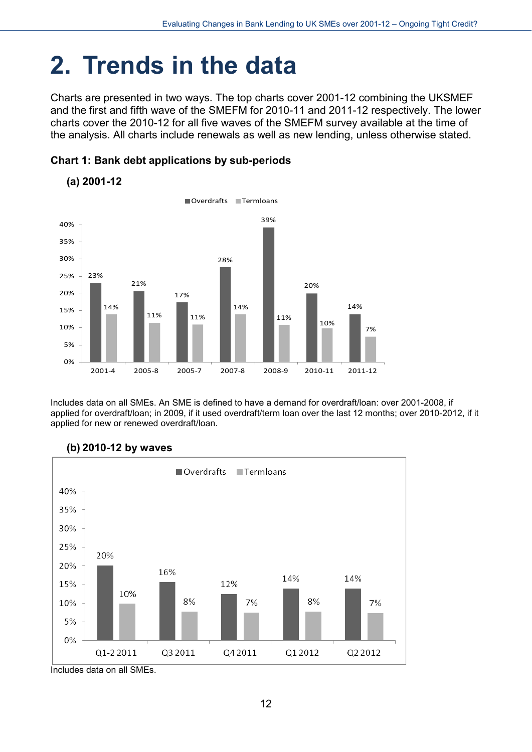## <span id="page-12-0"></span>**2. Trends in the data**

Charts are presented in two ways. The top charts cover 2001-12 combining the UKSMEF and the first and fifth wave of the SMEFM for 2010-11 and 2011-12 respectively. The lower charts cover the 2010-12 for all five waves of the SMEFM survey available at the time of the analysis. All charts include renewals as well as new lending, unless otherwise stated.





Includes data on all SMEs. An SME is defined to have a demand for overdraft/loan: over 2001-2008, if applied for overdraft/loan; in 2009, if it used overdraft/term loan over the last 12 months; over 2010-2012, if it applied for new or renewed overdraft/loan.



#### **(b) 2010-12 by waves**

Includes data on all SMEs.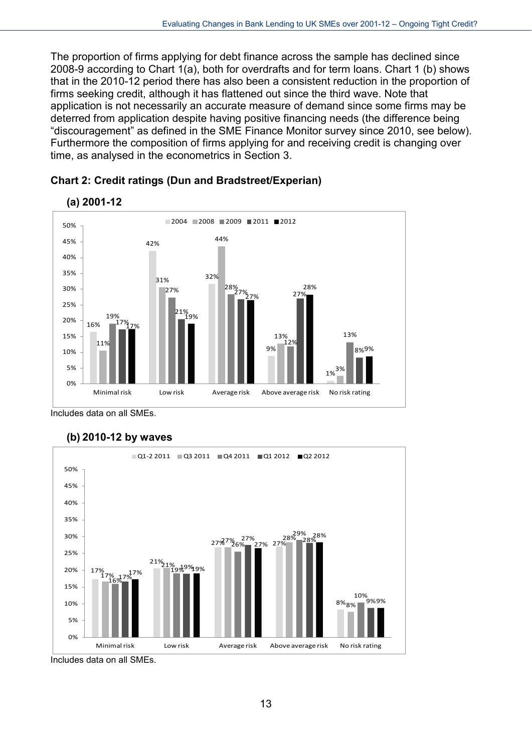The proportion of firms applying for debt finance across the sample has declined since 2008-9 according to Chart 1(a), both for overdrafts and for term loans. Chart 1 (b) shows that in the 2010-12 period there has also been a consistent reduction in the proportion of firms seeking credit, although it has flattened out since the third wave. Note that application is not necessarily an accurate measure of demand since some firms may be deterred from application despite having positive financing needs (the difference being "discouragement" as defined in the SME Finance Monitor survey since 2010, see below). Furthermore the composition of firms applying for and receiving credit is changing over time, as analysed in the econometrics in Section 3.





Includes data on all SMEs.



#### **(b) 2010-12 by waves**

Includes data on all SMEs.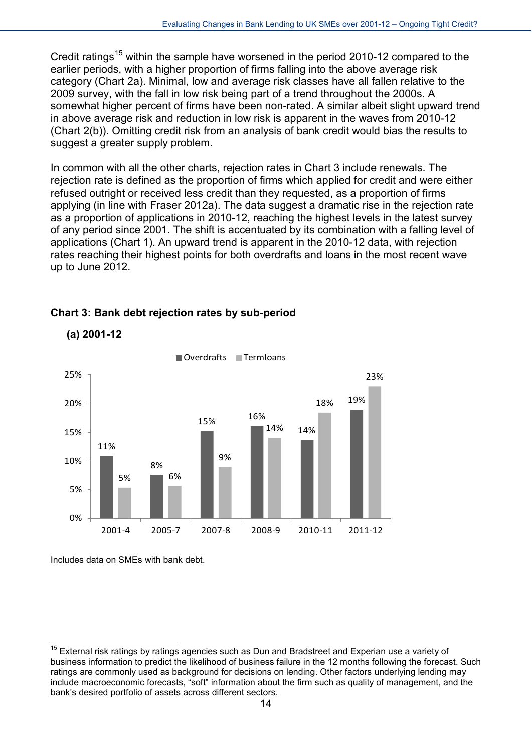Credit ratings<sup>[15](#page-14-0)</sup> within the sample have worsened in the period 2010-12 compared to the earlier periods, with a higher proportion of firms falling into the above average risk category (Chart 2a). Minimal, low and average risk classes have all fallen relative to the 2009 survey, with the fall in low risk being part of a trend throughout the 2000s. A somewhat higher percent of firms have been non-rated. A similar albeit slight upward trend in above average risk and reduction in low risk is apparent in the waves from 2010-12 (Chart 2(b)). Omitting credit risk from an analysis of bank credit would bias the results to suggest a greater supply problem.

In common with all the other charts, rejection rates in Chart 3 include renewals. The rejection rate is defined as the proportion of firms which applied for credit and were either refused outright or received less credit than they requested, as a proportion of firms applying (in line with Fraser 2012a). The data suggest a dramatic rise in the rejection rate as a proportion of applications in 2010-12, reaching the highest levels in the latest survey of any period since 2001. The shift is accentuated by its combination with a falling level of applications (Chart 1). An upward trend is apparent in the 2010-12 data, with rejection rates reaching their highest points for both overdrafts and loans in the most recent wave up to June 2012.



#### **Chart 3: Bank debt rejection rates by sub-period**

Includes data on SMEs with bank debt.

-

**(a) 2001-12**

<span id="page-14-0"></span> $15$  External risk ratings by ratings agencies such as Dun and Bradstreet and Experian use a variety of business information to predict the likelihood of business failure in the 12 months following the forecast. Such ratings are commonly used as background for decisions on lending. Other factors underlying lending may include macroeconomic forecasts, "soft" information about the firm such as quality of management, and the bank's desired portfolio of assets across different sectors.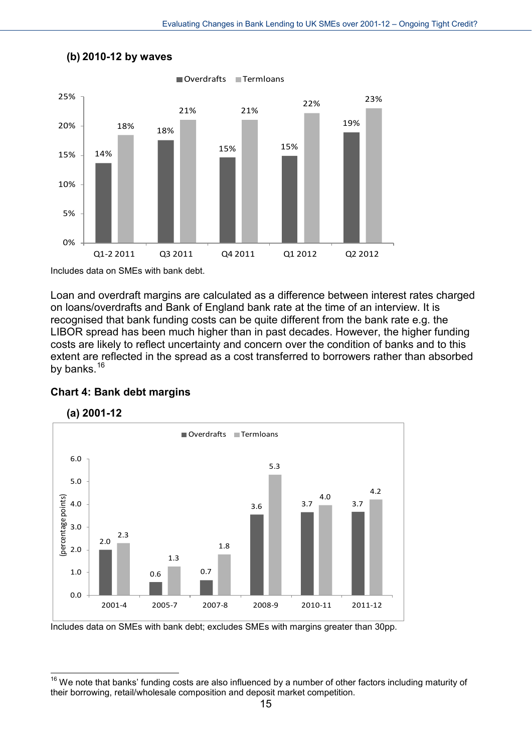

#### **(b) 2010-12 by waves**

Includes data on SMEs with bank debt.

Loan and overdraft margins are calculated as a difference between interest rates charged on loans/overdrafts and Bank of England bank rate at the time of an interview. It is recognised that bank funding costs can be quite different from the bank rate e.g. the LIBOR spread has been much higher than in past decades. However, the higher funding costs are likely to reflect uncertainty and concern over the condition of banks and to this extent are reflected in the spread as a cost transferred to borrowers rather than absorbed by banks.<sup>[16](#page-15-0)</sup>

#### **Chart 4: Bank debt margins**





-

Includes data on SMEs with bank debt; excludes SMEs with margins greater than 30pp.

<span id="page-15-0"></span> $16$  We note that banks' funding costs are also influenced by a number of other factors including maturity of their borrowing, retail/wholesale composition and deposit market competition.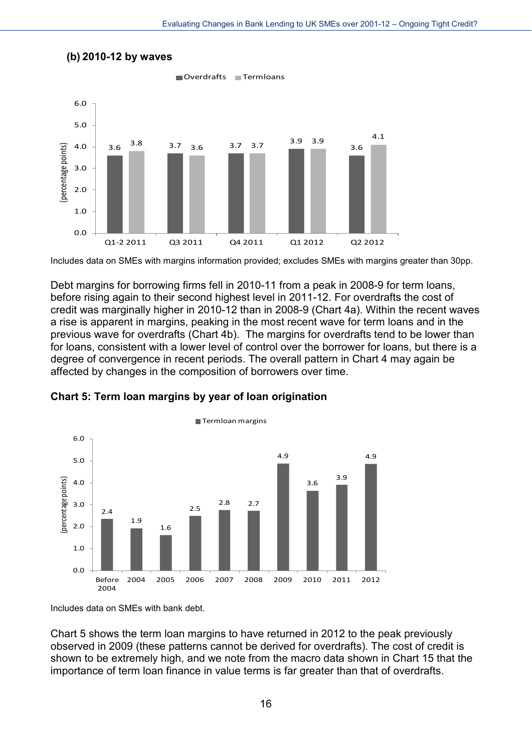

#### **(b) 2010-12 by waves**

Includes data on SMEs with margins information provided; excludes SMEs with margins greater than 30pp.

Debt margins for borrowing firms fell in 2010-11 from a peak in 2008-9 for term loans, before rising again to their second highest level in 2011-12. For overdrafts the cost of credit was marginally higher in 2010-12 than in 2008-9 (Chart 4a). Within the recent waves a rise is apparent in margins, peaking in the most recent wave for term loans and in the previous wave for overdrafts (Chart 4b). The margins for overdrafts tend to be lower than for loans, consistent with a lower level of control over the borrower for loans, but there is a degree of convergence in recent periods. The overall pattern in Chart 4 may again be affected by changes in the composition of borrowers over time.





Includes data on SMEs with bank debt.

Chart 5 shows the term loan margins to have returned in 2012 to the peak previously observed in 2009 (these patterns cannot be derived for overdrafts). The cost of credit is shown to be extremely high, and we note from the macro data shown in Chart 15 that the importance of term loan finance in value terms is far greater than that of overdrafts.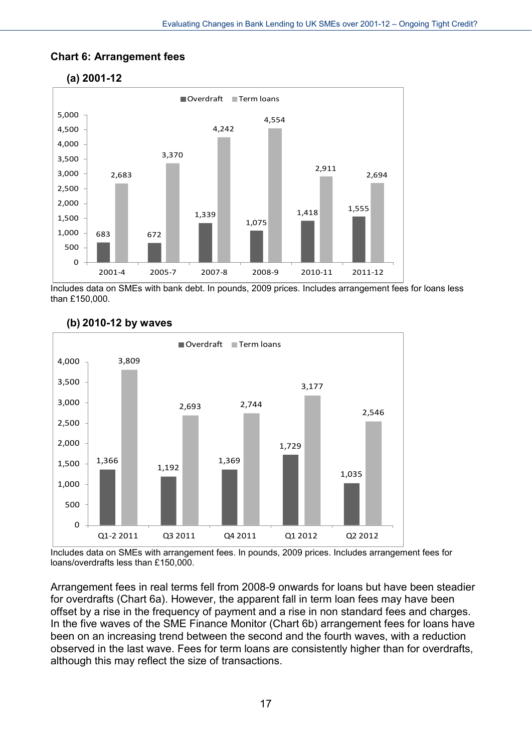#### **Chart 6: Arrangement fees**

**(a) 2001-12**



Includes data on SMEs with bank debt. In pounds, 2009 prices. Includes arrangement fees for loans less than £150,000.



#### **(b) 2010-12 by waves**

Includes data on SMEs with arrangement fees. In pounds, 2009 prices. Includes arrangement fees for loans/overdrafts less than £150,000.

Arrangement fees in real terms fell from 2008-9 onwards for loans but have been steadier for overdrafts (Chart 6a). However, the apparent fall in term loan fees may have been offset by a rise in the frequency of payment and a rise in non standard fees and charges. In the five waves of the SME Finance Monitor (Chart 6b) arrangement fees for loans have been on an increasing trend between the second and the fourth waves, with a reduction observed in the last wave. Fees for term loans are consistently higher than for overdrafts, although this may reflect the size of transactions.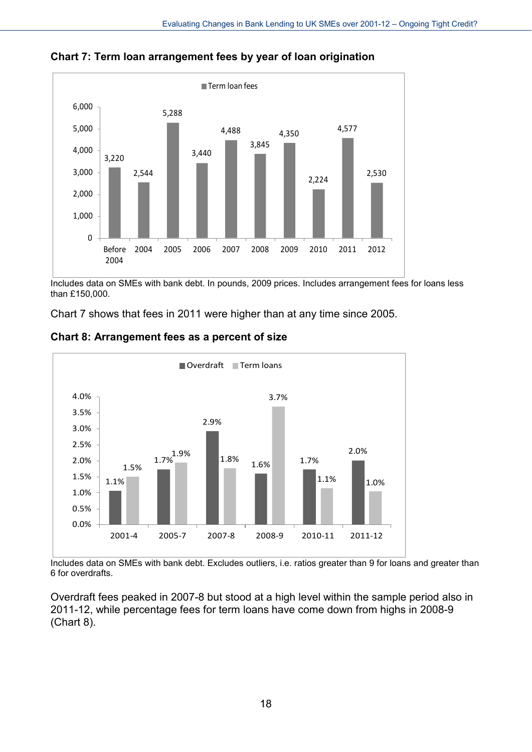

**Chart 7: Term loan arrangement fees by year of loan origination**

Includes data on SMEs with bank debt. In pounds, 2009 prices. Includes arrangement fees for loans less than £150,000.

Chart 7 shows that fees in 2011 were higher than at any time since 2005.



#### **Chart 8: Arrangement fees as a percent of size**

Includes data on SMEs with bank debt. Excludes outliers, i.e. ratios greater than 9 for loans and greater than 6 for overdrafts.

Overdraft fees peaked in 2007-8 but stood at a high level within the sample period also in 2011-12, while percentage fees for term loans have come down from highs in 2008-9 (Chart 8).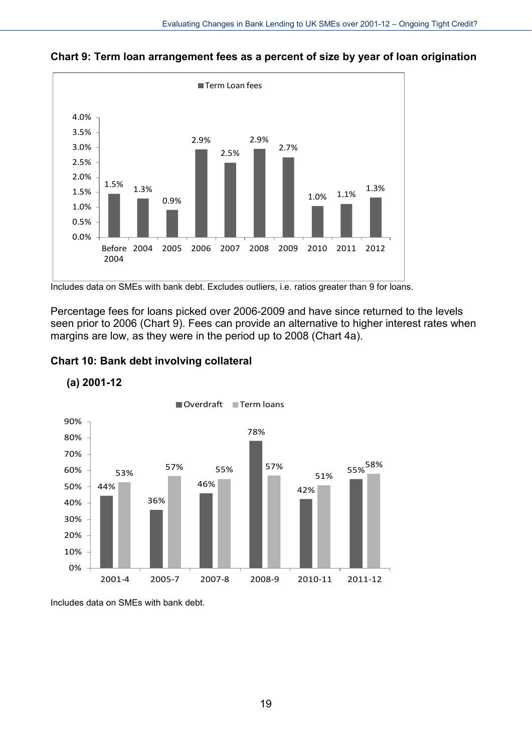

**Chart 9: Term loan arrangement fees as a percent of size by year of loan origination**

Includes data on SMEs with bank debt. Excludes outliers, i.e. ratios greater than 9 for loans.

Percentage fees for loans picked over 2006-2009 and have since returned to the levels seen prior to 2006 (Chart 9). Fees can provide an alternative to higher interest rates when margins are low, as they were in the period up to 2008 (Chart 4a).

#### **Chart 10: Bank debt involving collateral**



**(a) 2001-12**

Includes data on SMEs with bank debt.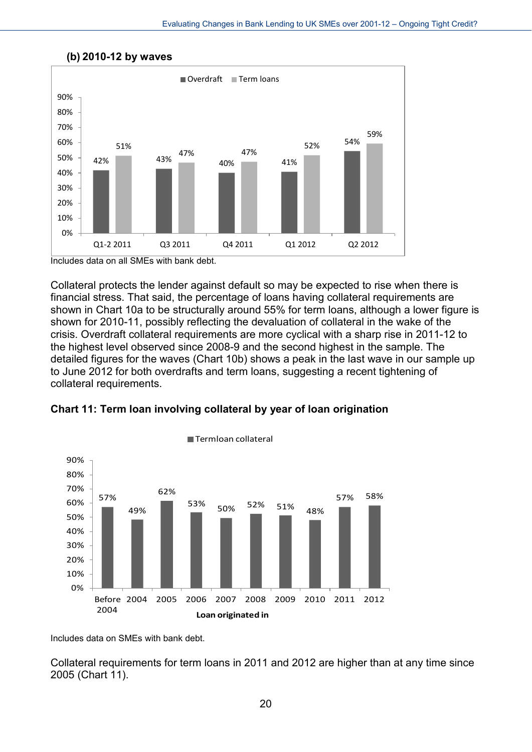

#### **(b) 2010-12 by waves**

Includes data on all SMEs with bank debt.

Collateral protects the lender against default so may be expected to rise when there is financial stress. That said, the percentage of loans having collateral requirements are shown in Chart 10a to be structurally around 55% for term loans, although a lower figure is shown for 2010-11, possibly reflecting the devaluation of collateral in the wake of the crisis. Overdraft collateral requirements are more cyclical with a sharp rise in 2011-12 to the highest level observed since 2008-9 and the second highest in the sample. The detailed figures for the waves (Chart 10b) shows a peak in the last wave in our sample up to June 2012 for both overdrafts and term loans, suggesting a recent tightening of collateral requirements.





■Termloan collateral

Includes data on SMEs with bank debt.

Collateral requirements for term loans in 2011 and 2012 are higher than at any time since 2005 (Chart 11).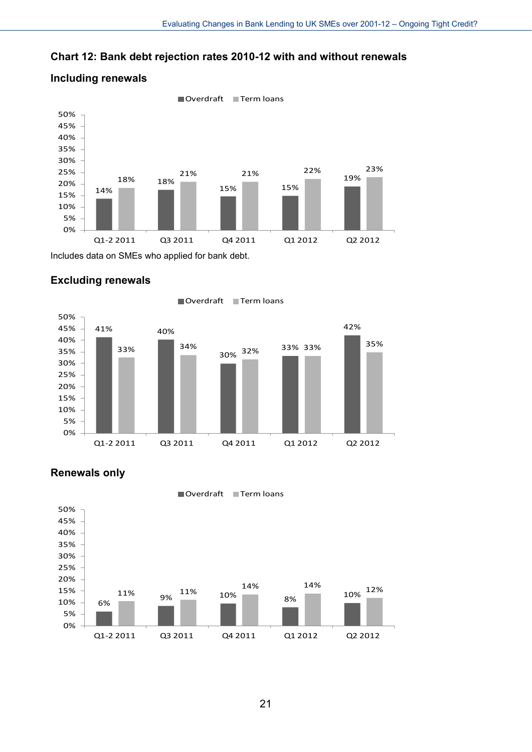#### **Chart 12: Bank debt rejection rates 2010-12 with and without renewals**



#### **Including renewals**

Includes data on SMEs who applied for bank debt.



41% 40% 30% 33% 34% 32% 33% 35% 33% 42% 0% 5% 10% 15% 20% 25% 30% 35% 40% 45% 50% Q1-2 2011 Q3 2011 Q4 2011 Q1 2012 Q2 2012  $\blacksquare$  Overdraft  $\blacksquare$  Term loans



#### **Renewals only**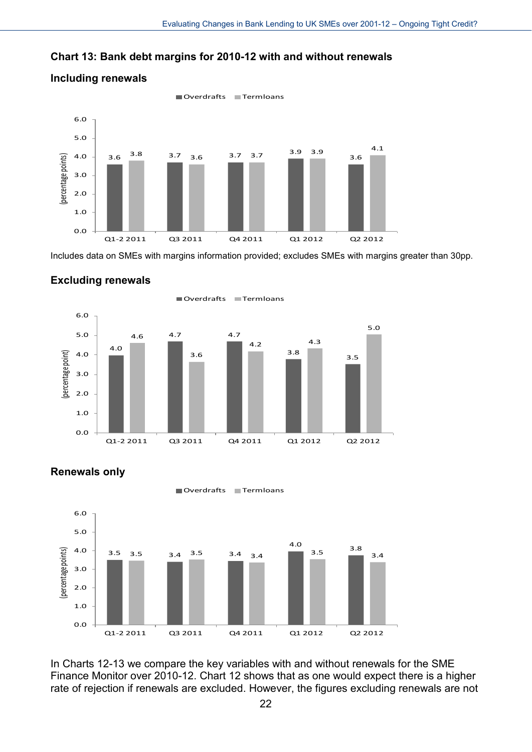#### **Chart 13: Bank debt margins for 2010-12 with and without renewals**



Includes data on SMEs with margins information provided; excludes SMEs with margins greater than 30pp.





In Charts 12-13 we compare the key variables with and without renewals for the SME Finance Monitor over 2010-12. Chart 12 shows that as one would expect there is a higher rate of rejection if renewals are excluded. However, the figures excluding renewals are not

#### **Renewals only**

**Including renewals**

**Excluding renewals**

22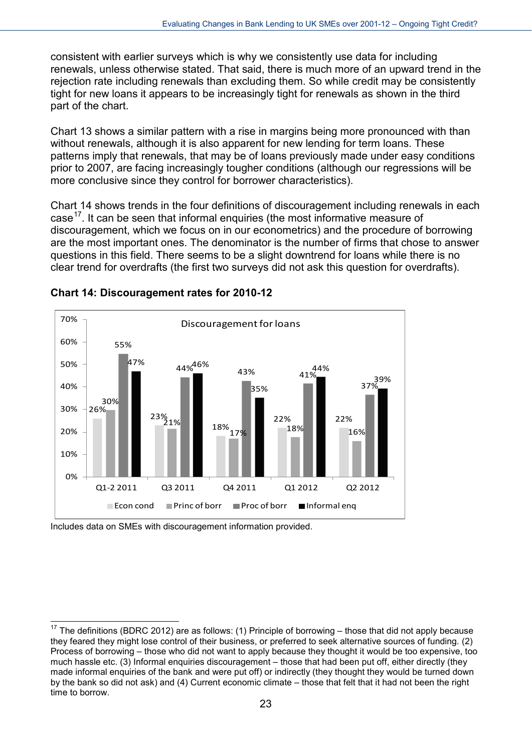consistent with earlier surveys which is why we consistently use data for including renewals, unless otherwise stated. That said, there is much more of an upward trend in the rejection rate including renewals than excluding them. So while credit may be consistently tight for new loans it appears to be increasingly tight for renewals as shown in the third part of the chart.

Chart 13 shows a similar pattern with a rise in margins being more pronounced with than without renewals, although it is also apparent for new lending for term loans. These patterns imply that renewals, that may be of loans previously made under easy conditions prior to 2007, are facing increasingly tougher conditions (although our regressions will be more conclusive since they control for borrower characteristics).

Chart 14 shows trends in the four definitions of discouragement including renewals in each case<sup>[17](#page-23-0)</sup>. It can be seen that informal enquiries (the most informative measure of discouragement, which we focus on in our econometrics) and the procedure of borrowing are the most important ones. The denominator is the number of firms that chose to answer questions in this field. There seems to be a slight downtrend for loans while there is no clear trend for overdrafts (the first two surveys did not ask this question for overdrafts).



#### **Chart 14: Discouragement rates for 2010-12**

Includes data on SMEs with discouragement information provided.

<span id="page-23-0"></span><sup>1</sup>  $17$  The definitions (BDRC 2012) are as follows: (1) Principle of borrowing – those that did not apply because they feared they might lose control of their business, or preferred to seek alternative sources of funding. (2) Process of borrowing – those who did not want to apply because they thought it would be too expensive, too much hassle etc. (3) Informal enquiries discouragement – those that had been put off, either directly (they made informal enquiries of the bank and were put off) or indirectly (they thought they would be turned down by the bank so did not ask) and (4) Current economic climate – those that felt that it had not been the right time to borrow.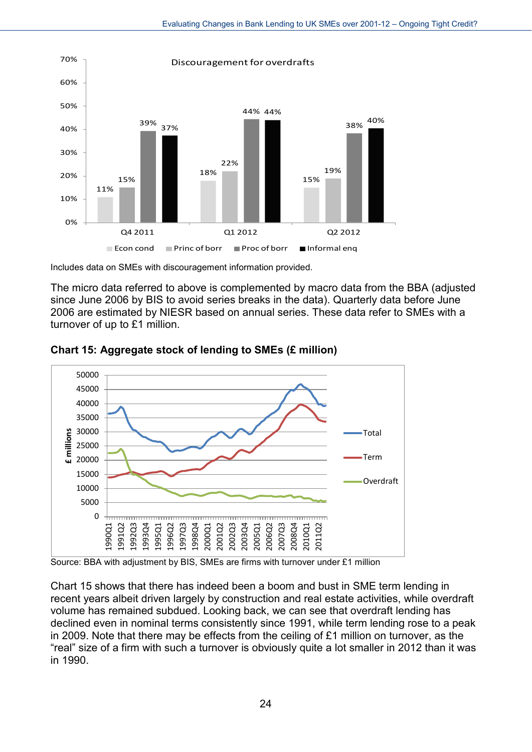

Includes data on SMEs with discouragement information provided.

The micro data referred to above is complemented by macro data from the BBA (adjusted since June 2006 by BIS to avoid series breaks in the data). Quarterly data before June 2006 are estimated by NIESR based on annual series. These data refer to SMEs with a turnover of up to £1 million.



**Chart 15: Aggregate stock of lending to SMEs (£ million)**

Source: BBA with adjustment by BIS, SMEs are firms with turnover under £1 million

Chart 15 shows that there has indeed been a boom and bust in SME term lending in recent years albeit driven largely by construction and real estate activities, while overdraft volume has remained subdued. Looking back, we can see that overdraft lending has declined even in nominal terms consistently since 1991, while term lending rose to a peak in 2009. Note that there may be effects from the ceiling of £1 million on turnover, as the "real" size of a firm with such a turnover is obviously quite a lot smaller in 2012 than it was in 1990.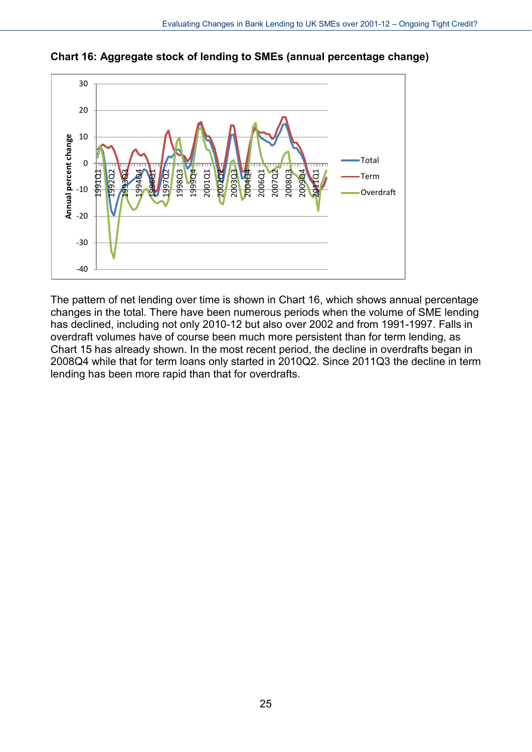

**Chart 16: Aggregate stock of lending to SMEs (annual percentage change)**

The pattern of net lending over time is shown in Chart 16, which shows annual percentage changes in the total. There have been numerous periods when the volume of SME lending has declined, including not only 2010-12 but also over 2002 and from 1991-1997. Falls in overdraft volumes have of course been much more persistent than for term lending, as Chart 15 has already shown. In the most recent period, the decline in overdrafts began in 2008Q4 while that for term loans only started in 2010Q2. Since 2011Q3 the decline in term lending has been more rapid than that for overdrafts.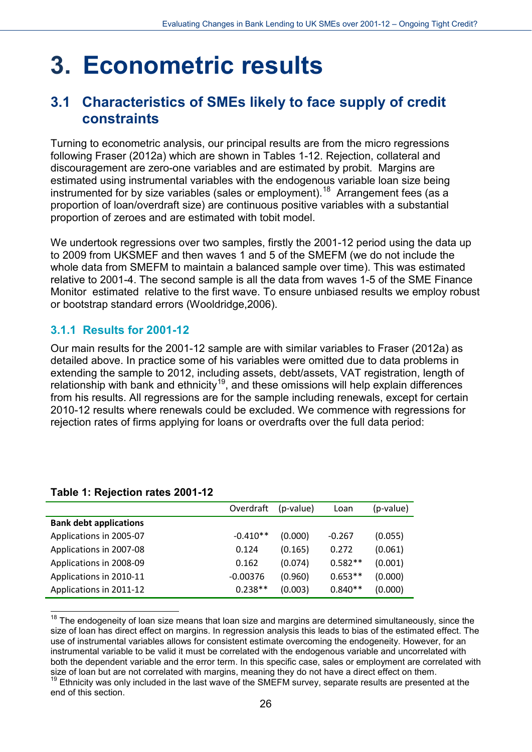## <span id="page-26-0"></span>**3. Econometric results**

### <span id="page-26-1"></span>**3.1 Characteristics of SMEs likely to face supply of credit constraints**

Turning to econometric analysis, our principal results are from the micro regressions following Fraser (2012a) which are shown in Tables 1-12. Rejection, collateral and discouragement are zero-one variables and are estimated by probit. Margins are estimated using instrumental variables with the endogenous variable loan size being instrumented for by size variables (sales or employment).<sup>[18](#page-26-3)</sup> Arrangement fees (as a proportion of loan/overdraft size) are continuous positive variables with a substantial proportion of zeroes and are estimated with tobit model.

We undertook regressions over two samples, firstly the 2001-12 period using the data up to 2009 from UKSMEF and then waves 1 and 5 of the SMEFM (we do not include the whole data from SMEFM to maintain a balanced sample over time). This was estimated relative to 2001-4. The second sample is all the data from waves 1-5 of the SME Finance Monitor estimated relative to the first wave. To ensure unbiased results we employ robust or bootstrap standard errors (Wooldridge,2006).

### <span id="page-26-2"></span>**3.1.1 Results for 2001-12**

Our main results for the 2001-12 sample are with similar variables to Fraser (2012a) as detailed above. In practice some of his variables were omitted due to data problems in extending the sample to 2012, including assets, debt/assets, VAT registration, length of relationship with bank and ethnicity<sup>[19](#page-26-4)</sup>, and these omissions will help explain differences from his results. All regressions are for the sample including renewals, except for certain 2010-12 results where renewals could be excluded. We commence with regressions for rejection rates of firms applying for loans or overdrafts over the full data period:

|                               | Overdraft  | (p-value) | Loan      | (p-value) |
|-------------------------------|------------|-----------|-----------|-----------|
| <b>Bank debt applications</b> |            |           |           |           |
| Applications in 2005-07       | $-0.410**$ | (0.000)   | $-0.267$  | (0.055)   |
| Applications in 2007-08       | 0.124      | (0.165)   | 0.272     | (0.061)   |
| Applications in 2008-09       | 0.162      | (0.074)   | $0.582**$ | (0.001)   |
| Applications in 2010-11       | $-0.00376$ | (0.960)   | $0.653**$ | (0.000)   |
| Applications in 2011-12       | $0.238**$  | (0.003)   | $0.840**$ | (0.000)   |

#### **Table 1: Rejection rates 2001-12**

<span id="page-26-3"></span> $\overline{a}$  $18$  The endogeneity of loan size means that loan size and margins are determined simultaneously, since the size of loan has direct effect on margins. In regression analysis this leads to bias of the estimated effect. The use of instrumental variables allows for consistent estimate overcoming the endogeneity. However, for an instrumental variable to be valid it must be correlated with the endogenous variable and uncorrelated with both the dependent variable and the error term. In this specific case, sales or employment are correlated with size of loan but are not correlated with margins, meaning they do not have a direct effect on them.

<span id="page-26-4"></span> $19$  Ethnicity was only included in the last wave of the SMEFM survey, separate results are presented at the end of this section.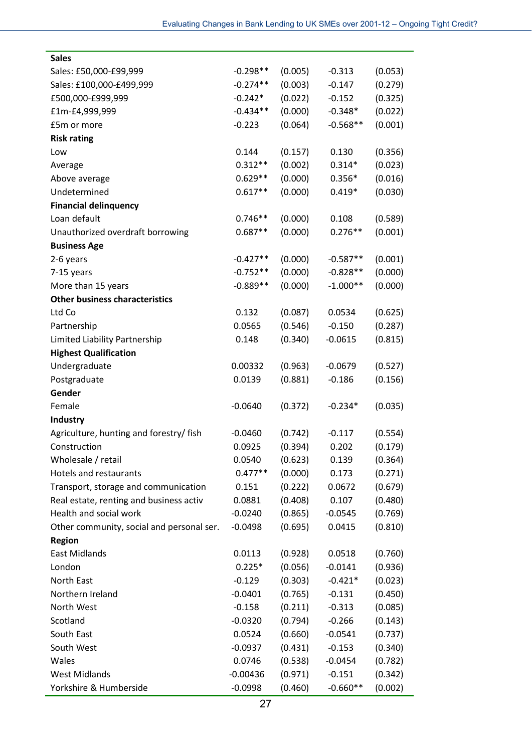| <b>Sales</b>                              |            |         |            |         |
|-------------------------------------------|------------|---------|------------|---------|
| Sales: £50,000-£99,999                    | $-0.298**$ | (0.005) | $-0.313$   | (0.053) |
| Sales: £100,000-£499,999                  | $-0.274**$ | (0.003) | $-0.147$   | (0.279) |
| £500,000-£999,999                         | $-0.242*$  | (0.022) | $-0.152$   | (0.325) |
| £1m-£4,999,999                            | $-0.434**$ | (0.000) | $-0.348*$  | (0.022) |
| £5m or more                               | $-0.223$   | (0.064) | $-0.568**$ | (0.001) |
| <b>Risk rating</b>                        |            |         |            |         |
| Low                                       | 0.144      | (0.157) | 0.130      | (0.356) |
| Average                                   | $0.312**$  | (0.002) | $0.314*$   | (0.023) |
| Above average                             | $0.629**$  | (0.000) | $0.356*$   | (0.016) |
| Undetermined                              | $0.617**$  | (0.000) | $0.419*$   | (0.030) |
| <b>Financial delinquency</b>              |            |         |            |         |
| Loan default                              | $0.746**$  | (0.000) | 0.108      | (0.589) |
| Unauthorized overdraft borrowing          | $0.687**$  | (0.000) | $0.276**$  | (0.001) |
| <b>Business Age</b>                       |            |         |            |         |
| 2-6 years                                 | $-0.427**$ | (0.000) | $-0.587**$ | (0.001) |
| 7-15 years                                | $-0.752**$ | (0.000) | $-0.828**$ | (0.000) |
| More than 15 years                        | $-0.889**$ | (0.000) | $-1.000**$ | (0.000) |
| <b>Other business characteristics</b>     |            |         |            |         |
| Ltd Co                                    | 0.132      | (0.087) | 0.0534     | (0.625) |
| Partnership                               | 0.0565     | (0.546) | $-0.150$   | (0.287) |
| Limited Liability Partnership             | 0.148      | (0.340) | $-0.0615$  | (0.815) |
| <b>Highest Qualification</b>              |            |         |            |         |
| Undergraduate                             | 0.00332    | (0.963) | $-0.0679$  | (0.527) |
| Postgraduate                              | 0.0139     | (0.881) | $-0.186$   | (0.156) |
| Gender                                    |            |         |            |         |
| Female                                    | $-0.0640$  | (0.372) | $-0.234*$  | (0.035) |
| Industry                                  |            |         |            |         |
| Agriculture, hunting and forestry/ fish   | $-0.0460$  | (0.742) | $-0.117$   | (0.554) |
| Construction                              | 0.0925     | (0.394) | 0.202      | (0.179) |
| Wholesale / retail                        | 0.0540     | (0.623) | 0.139      | (0.364) |
| Hotels and restaurants                    | $0.477**$  | (0.000) | 0.173      | (0.271) |
| Transport, storage and communication      | 0.151      | (0.222) | 0.0672     | (0.679) |
| Real estate, renting and business activ   | 0.0881     | (0.408) | 0.107      | (0.480) |
| Health and social work                    | $-0.0240$  | (0.865) | $-0.0545$  | (0.769) |
| Other community, social and personal ser. | $-0.0498$  | (0.695) | 0.0415     | (0.810) |
| <b>Region</b>                             |            |         |            |         |
| <b>East Midlands</b>                      | 0.0113     | (0.928) | 0.0518     | (0.760) |
| London                                    | $0.225*$   | (0.056) | $-0.0141$  | (0.936) |
| North East                                | $-0.129$   | (0.303) | $-0.421*$  | (0.023) |
| Northern Ireland                          | $-0.0401$  | (0.765) | $-0.131$   | (0.450) |
| North West                                | $-0.158$   | (0.211) | $-0.313$   | (0.085) |
| Scotland                                  | $-0.0320$  | (0.794) | $-0.266$   | (0.143) |
| South East                                | 0.0524     | (0.660) | $-0.0541$  | (0.737) |
| South West                                | $-0.0937$  | (0.431) | $-0.153$   | (0.340) |
| Wales                                     | 0.0746     | (0.538) | $-0.0454$  | (0.782) |
| <b>West Midlands</b>                      | $-0.00436$ | (0.971) | $-0.151$   | (0.342) |
| Yorkshire & Humberside                    | $-0.0998$  | (0.460) | $-0.660**$ | (0.002) |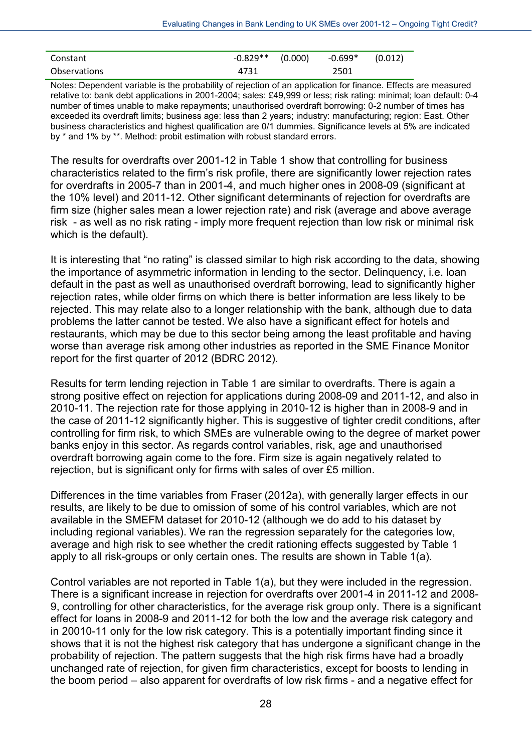| Constant            | $-0.829**$ (0.000) | -0.699* | (0.012) |
|---------------------|--------------------|---------|---------|
| <b>Observations</b> | 4731               | 2501    |         |

Notes: Dependent variable is the probability of rejection of an application for finance. Effects are measured relative to: bank debt applications in 2001-2004; sales: £49,999 or less; risk rating: minimal; loan default: 0-4 number of times unable to make repayments; unauthorised overdraft borrowing: 0-2 number of times has exceeded its overdraft limits; business age: less than 2 years; industry: manufacturing; region: East. Other business characteristics and highest qualification are 0/1 dummies. Significance levels at 5% are indicated by \* and 1% by \*\*. Method: probit estimation with robust standard errors.

The results for overdrafts over 2001-12 in Table 1 show that controlling for business characteristics related to the firm's risk profile, there are significantly lower rejection rates for overdrafts in 2005-7 than in 2001-4, and much higher ones in 2008-09 (significant at the 10% level) and 2011-12. Other significant determinants of rejection for overdrafts are firm size (higher sales mean a lower rejection rate) and risk (average and above average risk - as well as no risk rating - imply more frequent rejection than low risk or minimal risk which is the default).

It is interesting that "no rating" is classed similar to high risk according to the data, showing the importance of asymmetric information in lending to the sector. Delinquency, i.e. loan default in the past as well as unauthorised overdraft borrowing, lead to significantly higher rejection rates, while older firms on which there is better information are less likely to be rejected. This may relate also to a longer relationship with the bank, although due to data problems the latter cannot be tested. We also have a significant effect for hotels and restaurants, which may be due to this sector being among the least profitable and having worse than average risk among other industries as reported in the SME Finance Monitor report for the first quarter of 2012 (BDRC 2012).

Results for term lending rejection in Table 1 are similar to overdrafts. There is again a strong positive effect on rejection for applications during 2008-09 and 2011-12, and also in 2010-11. The rejection rate for those applying in 2010-12 is higher than in 2008-9 and in the case of 2011-12 significantly higher. This is suggestive of tighter credit conditions, after controlling for firm risk, to which SMEs are vulnerable owing to the degree of market power banks enjoy in this sector. As regards control variables, risk, age and unauthorised overdraft borrowing again come to the fore. Firm size is again negatively related to rejection, but is significant only for firms with sales of over £5 million.

Differences in the time variables from Fraser (2012a), with generally larger effects in our results, are likely to be due to omission of some of his control variables, which are not available in the SMEFM dataset for 2010-12 (although we do add to his dataset by including regional variables). We ran the regression separately for the categories low, average and high risk to see whether the credit rationing effects suggested by Table 1 apply to all risk-groups or only certain ones. The results are shown in Table 1(a).

Control variables are not reported in Table 1(a), but they were included in the regression. There is a significant increase in rejection for overdrafts over 2001-4 in 2011-12 and 2008- 9, controlling for other characteristics, for the average risk group only. There is a significant effect for loans in 2008-9 and 2011-12 for both the low and the average risk category and in 20010-11 only for the low risk category. This is a potentially important finding since it shows that it is not the highest risk category that has undergone a significant change in the probability of rejection. The pattern suggests that the high risk firms have had a broadly unchanged rate of rejection, for given firm characteristics, except for boosts to lending in the boom period – also apparent for overdrafts of low risk firms - and a negative effect for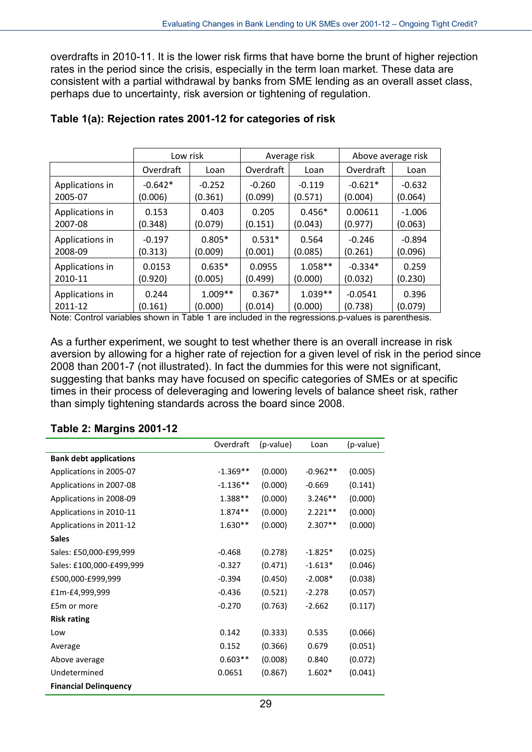overdrafts in 2010-11. It is the lower risk firms that have borne the brunt of higher rejection rates in the period since the crisis, especially in the term loan market. These data are consistent with a partial withdrawal by banks from SME lending as an overall asset class, perhaps due to uncertainty, risk aversion or tightening of regulation.

|                 | Low risk  |           | Average risk |           | Above average risk |          |
|-----------------|-----------|-----------|--------------|-----------|--------------------|----------|
|                 | Overdraft | Loan      | Overdraft    | Loan      | Overdraft          | Loan     |
| Applications in | $-0.642*$ | $-0.252$  | $-0.260$     | $-0.119$  | $-0.621*$          | $-0.632$ |
| 2005-07         | (0.006)   | (0.361)   | (0.099)      | (0.571)   | (0.004)            | (0.064)  |
| Applications in | 0.153     | 0.403     | 0.205        | $0.456*$  | 0.00611            | $-1.006$ |
| 2007-08         | (0.348)   | (0.079)   | (0.151)      | (0.043)   | (0.977)            | (0.063)  |
| Applications in | $-0.197$  | $0.805*$  | $0.531*$     | 0.564     | $-0.246$           | $-0.894$ |
| 2008-09         | (0.313)   | (0.009)   | (0.001)      | (0.085)   | (0.261)            | (0.096)  |
| Applications in | 0.0153    | $0.635*$  | 0.0955       | $1.058**$ | $-0.334*$          | 0.259    |
| 2010-11         | (0.920)   | (0.005)   | (0.499)      | (0.000)   | (0.032)            | (0.230)  |
| Applications in | 0.244     | $1.009**$ | $0.367*$     | $1.039**$ | $-0.0541$          | 0.396    |
| 2011-12         | (0.161)   | (0.000)   | (0.014)      | (0.000)   | (0.738)            | (0.079)  |

#### **Table 1(a): Rejection rates 2001-12 for categories of risk**

Note: Control variables shown in Table 1 are included in the regressions.p-values is parenthesis.

As a further experiment, we sought to test whether there is an overall increase in risk aversion by allowing for a higher rate of rejection for a given level of risk in the period since 2008 than 2001-7 (not illustrated). In fact the dummies for this were not significant, suggesting that banks may have focused on specific categories of SMEs or at specific times in their process of deleveraging and lowering levels of balance sheet risk, rather than simply tightening standards across the board since 2008.

#### **Table 2: Margins 2001-12**

|                               | Overdraft  | (p-value) | Loan       | (p-value) |
|-------------------------------|------------|-----------|------------|-----------|
| <b>Bank debt applications</b> |            |           |            |           |
| Applications in 2005-07       | $-1.369**$ | (0.000)   | $-0.962**$ | (0.005)   |
| Applications in 2007-08       | $-1.136**$ | (0.000)   | $-0.669$   | (0.141)   |
| Applications in 2008-09       | $1.388**$  | (0.000)   | $3.246**$  | (0.000)   |
| Applications in 2010-11       | $1.874**$  | (0.000)   | $2.221**$  | (0.000)   |
| Applications in 2011-12       | $1.630**$  | (0.000)   | $2.307**$  | (0.000)   |
| <b>Sales</b>                  |            |           |            |           |
| Sales: £50,000-£99,999        | $-0.468$   | (0.278)   | $-1.825*$  | (0.025)   |
| Sales: £100,000-£499,999      | $-0.327$   | (0.471)   | $-1.613*$  | (0.046)   |
| £500,000-£999,999             | $-0.394$   | (0.450)   | $-2.008*$  | (0.038)   |
| £1m-£4,999,999                | $-0.436$   | (0.521)   | $-2.278$   | (0.057)   |
| £5m or more                   | $-0.270$   | (0.763)   | $-2.662$   | (0.117)   |
| <b>Risk rating</b>            |            |           |            |           |
| Low                           | 0.142      | (0.333)   | 0.535      | (0.066)   |
| Average                       | 0.152      | (0.366)   | 0.679      | (0.051)   |
| Above average                 | $0.603**$  | (0.008)   | 0.840      | (0.072)   |
| Undetermined                  | 0.0651     | (0.867)   | $1.602*$   | (0.041)   |
| <b>Financial Delinquency</b>  |            |           |            |           |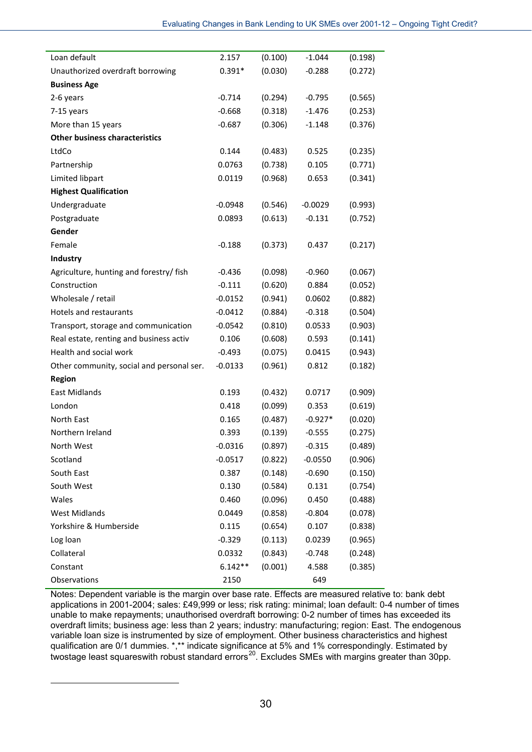| Loan default                              | 2.157     | (0.100) | $-1.044$  | (0.198) |
|-------------------------------------------|-----------|---------|-----------|---------|
| Unauthorized overdraft borrowing          | $0.391*$  | (0.030) | $-0.288$  | (0.272) |
| <b>Business Age</b>                       |           |         |           |         |
| 2-6 years                                 | $-0.714$  | (0.294) | $-0.795$  | (0.565) |
| 7-15 years                                | $-0.668$  | (0.318) | $-1.476$  | (0.253) |
| More than 15 years                        | $-0.687$  | (0.306) | $-1.148$  | (0.376) |
| <b>Other business characteristics</b>     |           |         |           |         |
| LtdCo                                     | 0.144     | (0.483) | 0.525     | (0.235) |
| Partnership                               | 0.0763    | (0.738) | 0.105     | (0.771) |
| Limited libpart                           | 0.0119    | (0.968) | 0.653     | (0.341) |
| <b>Highest Qualification</b>              |           |         |           |         |
| Undergraduate                             | $-0.0948$ | (0.546) | $-0.0029$ | (0.993) |
| Postgraduate                              | 0.0893    | (0.613) | $-0.131$  | (0.752) |
| Gender                                    |           |         |           |         |
| Female                                    | $-0.188$  | (0.373) | 0.437     | (0.217) |
| Industry                                  |           |         |           |         |
| Agriculture, hunting and forestry/ fish   | $-0.436$  | (0.098) | $-0.960$  | (0.067) |
| Construction                              | $-0.111$  | (0.620) | 0.884     | (0.052) |
| Wholesale / retail                        | $-0.0152$ | (0.941) | 0.0602    | (0.882) |
| Hotels and restaurants                    | $-0.0412$ | (0.884) | $-0.318$  | (0.504) |
| Transport, storage and communication      | $-0.0542$ | (0.810) | 0.0533    | (0.903) |
| Real estate, renting and business activ   | 0.106     | (0.608) | 0.593     | (0.141) |
| Health and social work                    | $-0.493$  | (0.075) | 0.0415    | (0.943) |
| Other community, social and personal ser. | $-0.0133$ | (0.961) | 0.812     | (0.182) |
| <b>Region</b>                             |           |         |           |         |
| East Midlands                             | 0.193     | (0.432) | 0.0717    | (0.909) |
| London                                    | 0.418     | (0.099) | 0.353     | (0.619) |
| North East                                | 0.165     | (0.487) | $-0.927*$ | (0.020) |
| Northern Ireland                          | 0.393     | (0.139) | $-0.555$  | (0.275) |
| North West                                | $-0.0316$ | (0.897) | $-0.315$  | (0.489) |
| Scotland                                  | $-0.0517$ | (0.822) | $-0.0550$ | (0.906) |
| South East                                | 0.387     | (0.148) | $-0.690$  | (0.150) |
| South West                                | 0.130     | (0.584) | 0.131     | (0.754) |
| Wales                                     | 0.460     | (0.096) | 0.450     | (0.488) |
| <b>West Midlands</b>                      | 0.0449    | (0.858) | $-0.804$  | (0.078) |
| Yorkshire & Humberside                    | 0.115     | (0.654) | 0.107     | (0.838) |
| Log loan                                  | $-0.329$  | (0.113) | 0.0239    | (0.965) |
| Collateral                                | 0.0332    | (0.843) | $-0.748$  | (0.248) |
| Constant                                  | $6.142**$ | (0.001) | 4.588     | (0.385) |
| Observations                              | 2150      |         | 649       |         |

Notes: Dependent variable is the margin over base rate. Effects are measured relative to: bank debt applications in 2001-2004; sales: £49,999 or less; risk rating: minimal; loan default: 0-4 number of times unable to make repayments; unauthorised overdraft borrowing: 0-2 number of times has exceeded its overdraft limits; business age: less than 2 years; industry: manufacturing; region: East. The endogenous variable loan size is instrumented by size of employment. Other business characteristics and highest qualification are 0/1 dummies. \*,\*\* indicate significance at 5% and 1% correspondingly. Estimated by twostage least squareswith robust standard errors<sup>[20](#page-30-0)</sup>. Excludes SMEs with margins greater than 30pp.

<span id="page-30-0"></span>1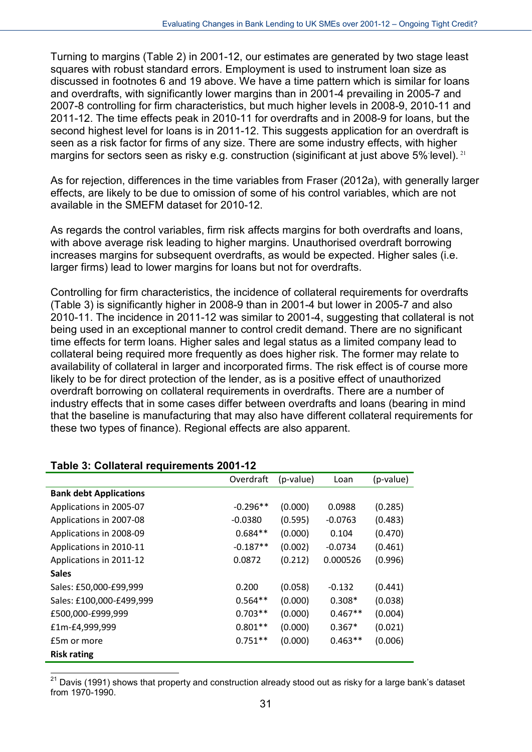Turning to margins (Table 2) in 2001-12, our estimates are generated by two stage least squares with robust standard errors. Employment is used to instrument loan size as discussed in footnotes 6 and 19 above. We have a time pattern which is similar for loans and overdrafts, with significantly lower margins than in 2001-4 prevailing in 2005-7 and 2007-8 controlling for firm characteristics, but much higher levels in 2008-9, 2010-11 and 2011-12. The time effects peak in 2010-11 for overdrafts and in 2008-9 for loans, but the second highest level for loans is in 2011-12. This suggests application for an overdraft is seen as a risk factor for firms of any size. There are some industry effects, with higher margins for sectors seen as risky e.g. construction (siginificant at just above 5% level). <sup>[21](#page-31-0)</sup>

As for rejection, differences in the time variables from Fraser (2012a), with generally larger effects, are likely to be due to omission of some of his control variables, which are not available in the SMEFM dataset for 2010-12.

As regards the control variables, firm risk affects margins for both overdrafts and loans, with above average risk leading to higher margins. Unauthorised overdraft borrowing increases margins for subsequent overdrafts, as would be expected. Higher sales (i.e. larger firms) lead to lower margins for loans but not for overdrafts.

Controlling for firm characteristics, the incidence of collateral requirements for overdrafts (Table 3) is significantly higher in 2008-9 than in 2001-4 but lower in 2005-7 and also 2010-11. The incidence in 2011-12 was similar to 2001-4, suggesting that collateral is not being used in an exceptional manner to control credit demand. There are no significant time effects for term loans. Higher sales and legal status as a limited company lead to collateral being required more frequently as does higher risk. The former may relate to availability of collateral in larger and incorporated firms. The risk effect is of course more likely to be for direct protection of the lender, as is a positive effect of unauthorized overdraft borrowing on collateral requirements in overdrafts. There are a number of industry effects that in some cases differ between overdrafts and loans (bearing in mind that the baseline is manufacturing that may also have different collateral requirements for these two types of finance). Regional effects are also apparent.

| Table 0. Obligional regulierients 2001-12 |            |           |           |           |
|-------------------------------------------|------------|-----------|-----------|-----------|
|                                           | Overdraft  | (p-value) | Loan      | (p-value) |
| <b>Bank debt Applications</b>             |            |           |           |           |
| Applications in 2005-07                   | $-0.296**$ | (0.000)   | 0.0988    | (0.285)   |
| Applications in 2007-08                   | $-0.0380$  | (0.595)   | $-0.0763$ | (0.483)   |
| Applications in 2008-09                   | $0.684**$  | (0.000)   | 0.104     | (0.470)   |
| Applications in 2010-11                   | $-0.187**$ | (0.002)   | $-0.0734$ | (0.461)   |
| Applications in 2011-12                   | 0.0872     | (0.212)   | 0.000526  | (0.996)   |
| <b>Sales</b>                              |            |           |           |           |
| Sales: £50,000-£99,999                    | 0.200      | (0.058)   | $-0.132$  | (0.441)   |
| Sales: £100,000-£499,999                  | $0.564**$  | (0.000)   | $0.308*$  | (0.038)   |
| £500,000-£999,999                         | $0.703**$  | (0.000)   | $0.467**$ | (0.004)   |
| £1m-£4,999,999                            | $0.801**$  | (0.000)   | $0.367*$  | (0.021)   |
| £5m or more                               | $0.751**$  | (0.000)   | $0.463**$ | (0.006)   |
| <b>Risk rating</b>                        |            |           |           |           |

#### **Table 3: Collateral requirements 2001-12**

<span id="page-31-0"></span> $21$ Davis (1991) shows that property and construction already stood out as risky for a large bank's dataset from 1970-1990.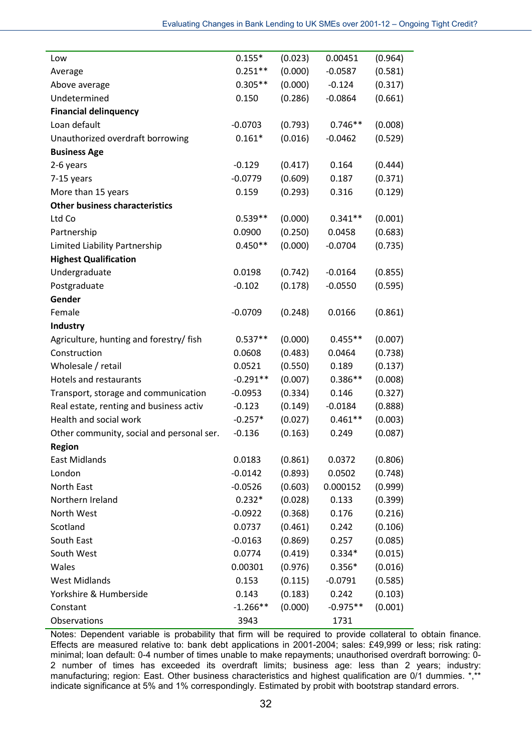| Low                                       | $0.155*$   | (0.023) | 0.00451    | (0.964) |
|-------------------------------------------|------------|---------|------------|---------|
| Average                                   | $0.251**$  | (0.000) | $-0.0587$  | (0.581) |
| Above average                             | $0.305**$  | (0.000) | $-0.124$   | (0.317) |
| Undetermined                              | 0.150      | (0.286) | $-0.0864$  | (0.661) |
| <b>Financial delinquency</b>              |            |         |            |         |
| Loan default                              | $-0.0703$  | (0.793) | $0.746**$  | (0.008) |
| Unauthorized overdraft borrowing          | $0.161*$   | (0.016) | $-0.0462$  | (0.529) |
| <b>Business Age</b>                       |            |         |            |         |
| 2-6 years                                 | $-0.129$   | (0.417) | 0.164      | (0.444) |
| 7-15 years                                | $-0.0779$  | (0.609) | 0.187      | (0.371) |
| More than 15 years                        | 0.159      | (0.293) | 0.316      | (0.129) |
| <b>Other business characteristics</b>     |            |         |            |         |
| Ltd Co                                    | $0.539**$  | (0.000) | $0.341**$  | (0.001) |
| Partnership                               | 0.0900     | (0.250) | 0.0458     | (0.683) |
| Limited Liability Partnership             | $0.450**$  | (0.000) | $-0.0704$  | (0.735) |
| <b>Highest Qualification</b>              |            |         |            |         |
| Undergraduate                             | 0.0198     | (0.742) | $-0.0164$  | (0.855) |
| Postgraduate                              | $-0.102$   | (0.178) | $-0.0550$  | (0.595) |
| Gender                                    |            |         |            |         |
| Female                                    | $-0.0709$  | (0.248) | 0.0166     | (0.861) |
| Industry                                  |            |         |            |         |
| Agriculture, hunting and forestry/ fish   | $0.537**$  | (0.000) | $0.455**$  | (0.007) |
| Construction                              | 0.0608     | (0.483) | 0.0464     | (0.738) |
| Wholesale / retail                        | 0.0521     | (0.550) | 0.189      | (0.137) |
| <b>Hotels and restaurants</b>             | $-0.291**$ | (0.007) | $0.386**$  | (0.008) |
| Transport, storage and communication      | $-0.0953$  | (0.334) | 0.146      | (0.327) |
| Real estate, renting and business activ   | $-0.123$   | (0.149) | $-0.0184$  | (0.888) |
| Health and social work                    | $-0.257*$  | (0.027) | $0.461**$  | (0.003) |
| Other community, social and personal ser. | $-0.136$   | (0.163) | 0.249      | (0.087) |
| <b>Region</b>                             |            |         |            |         |
| East Midlands                             | 0.0183     | (0.861) | 0.0372     | (0.806) |
| London                                    | $-0.0142$  | (0.893) | 0.0502     | (0.748) |
| North East                                | $-0.0526$  | (0.603) | 0.000152   | (0.999) |
| Northern Ireland                          | $0.232*$   | (0.028) | 0.133      | (0.399) |
| North West                                | $-0.0922$  | (0.368) | 0.176      | (0.216) |
| Scotland                                  | 0.0737     | (0.461) | 0.242      | (0.106) |
| South East                                | $-0.0163$  | (0.869) | 0.257      | (0.085) |
| South West                                | 0.0774     | (0.419) | $0.334*$   | (0.015) |
| Wales                                     | 0.00301    | (0.976) | $0.356*$   | (0.016) |
| <b>West Midlands</b>                      | 0.153      | (0.115) | $-0.0791$  | (0.585) |
| Yorkshire & Humberside                    | 0.143      | (0.183) | 0.242      | (0.103) |
| Constant                                  | $-1.266**$ | (0.000) | $-0.975**$ | (0.001) |
| Observations                              | 3943       |         | 1731       |         |

Notes: Dependent variable is probability that firm will be required to provide collateral to obtain finance. Effects are measured relative to: bank debt applications in 2001-2004; sales: £49,999 or less; risk rating: minimal; loan default: 0-4 number of times unable to make repayments; unauthorised overdraft borrowing: 0-2 number of times has exceeded its overdraft limits; business age: less than 2 years; industry: manufacturing; region: East. Other business characteristics and highest qualification are 0/1 dummies. \*,\*\* indicate significance at 5% and 1% correspondingly. Estimated by probit with bootstrap standard errors.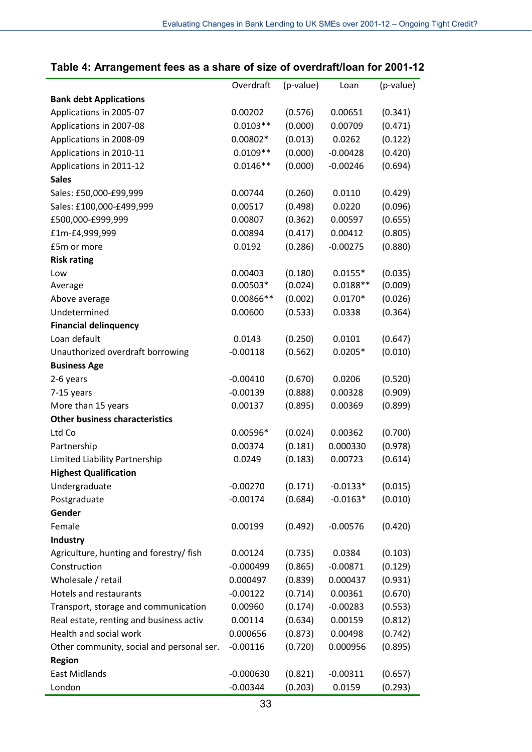|                                           | Overdraft   | (p-value) | Loan       | (p-value) |
|-------------------------------------------|-------------|-----------|------------|-----------|
| <b>Bank debt Applications</b>             |             |           |            |           |
| Applications in 2005-07                   | 0.00202     | (0.576)   | 0.00651    | (0.341)   |
| Applications in 2007-08                   | $0.0103**$  | (0.000)   | 0.00709    | (0.471)   |
| Applications in 2008-09                   | $0.00802*$  | (0.013)   | 0.0262     | (0.122)   |
| Applications in 2010-11                   | $0.0109**$  | (0.000)   | $-0.00428$ | (0.420)   |
| Applications in 2011-12                   | $0.0146**$  | (0.000)   | $-0.00246$ | (0.694)   |
| <b>Sales</b>                              |             |           |            |           |
| Sales: £50,000-£99,999                    | 0.00744     | (0.260)   | 0.0110     | (0.429)   |
| Sales: £100,000-£499,999                  | 0.00517     | (0.498)   | 0.0220     | (0.096)   |
| £500,000-£999,999                         | 0.00807     | (0.362)   | 0.00597    | (0.655)   |
| £1m-£4,999,999                            | 0.00894     | (0.417)   | 0.00412    | (0.805)   |
| £5m or more                               | 0.0192      | (0.286)   | $-0.00275$ | (0.880)   |
| <b>Risk rating</b>                        |             |           |            |           |
| Low                                       | 0.00403     | (0.180)   | $0.0155*$  | (0.035)   |
| Average                                   | $0.00503*$  | (0.024)   | $0.0188**$ | (0.009)   |
| Above average                             | 0.00866**   | (0.002)   | $0.0170*$  | (0.026)   |
| Undetermined                              | 0.00600     | (0.533)   | 0.0338     | (0.364)   |
| <b>Financial delinquency</b>              |             |           |            |           |
| Loan default                              | 0.0143      | (0.250)   | 0.0101     | (0.647)   |
| Unauthorized overdraft borrowing          | $-0.00118$  | (0.562)   | $0.0205*$  | (0.010)   |
| <b>Business Age</b>                       |             |           |            |           |
| 2-6 years                                 | $-0.00410$  | (0.670)   | 0.0206     | (0.520)   |
| 7-15 years                                | $-0.00139$  | (0.888)   | 0.00328    | (0.909)   |
| More than 15 years                        | 0.00137     | (0.895)   | 0.00369    | (0.899)   |
| <b>Other business characteristics</b>     |             |           |            |           |
| Ltd Co                                    | $0.00596*$  | (0.024)   | 0.00362    | (0.700)   |
| Partnership                               | 0.00374     | (0.181)   | 0.000330   | (0.978)   |
| Limited Liability Partnership             | 0.0249      | (0.183)   | 0.00723    | (0.614)   |
| <b>Highest Qualification</b>              |             |           |            |           |
| Undergraduate                             | $-0.00270$  | (0.171)   | $-0.0133*$ | (0.015)   |
| Postgraduate                              | $-0.00174$  | (0.684)   | $-0.0163*$ | (0.010)   |
| Gender                                    |             |           |            |           |
| Female                                    | 0.00199     | (0.492)   | $-0.00576$ | (0.420)   |
| <b>Industry</b>                           |             |           |            |           |
| Agriculture, hunting and forestry/ fish   | 0.00124     | (0.735)   | 0.0384     | (0.103)   |
| Construction                              | $-0.000499$ | (0.865)   | $-0.00871$ | (0.129)   |
| Wholesale / retail                        | 0.000497    | (0.839)   | 0.000437   | (0.931)   |
| <b>Hotels and restaurants</b>             | $-0.00122$  | (0.714)   | 0.00361    | (0.670)   |
| Transport, storage and communication      | 0.00960     | (0.174)   | $-0.00283$ | (0.553)   |
| Real estate, renting and business activ   | 0.00114     | (0.634)   | 0.00159    | (0.812)   |
| Health and social work                    | 0.000656    | (0.873)   | 0.00498    | (0.742)   |
| Other community, social and personal ser. | $-0.00116$  | (0.720)   | 0.000956   | (0.895)   |
| <b>Region</b>                             |             |           |            |           |
| <b>East Midlands</b>                      | $-0.000630$ | (0.821)   | $-0.00311$ | (0.657)   |
| London                                    | $-0.00344$  | (0.203)   | 0.0159     | (0.293)   |

#### **Table 4: Arrangement fees as a share of size of overdraft/loan for 2001-12**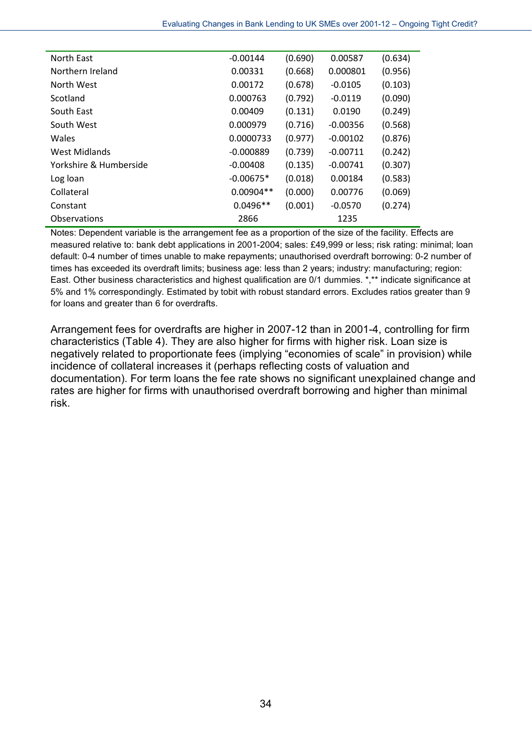| North East             | $-0.00144$  | (0.690) | 0.00587    | (0.634) |
|------------------------|-------------|---------|------------|---------|
| Northern Ireland       | 0.00331     | (0.668) | 0.000801   | (0.956) |
| North West             | 0.00172     | (0.678) | $-0.0105$  | (0.103) |
| Scotland               | 0.000763    | (0.792) | $-0.0119$  | (0.090) |
| South East             | 0.00409     | (0.131) | 0.0190     | (0.249) |
| South West             | 0.000979    | (0.716) | $-0.00356$ | (0.568) |
| Wales                  | 0.0000733   | (0.977) | $-0.00102$ | (0.876) |
| West Midlands          | $-0.000889$ | (0.739) | $-0.00711$ | (0.242) |
| Yorkshire & Humberside | $-0.00408$  | (0.135) | $-0.00741$ | (0.307) |
| Log loan               | $-0.00675*$ | (0.018) | 0.00184    | (0.583) |
| Collateral             | $0.00904**$ | (0.000) | 0.00776    | (0.069) |
| Constant               | $0.0496**$  | (0.001) | $-0.0570$  | (0.274) |
| Observations           | 2866        |         | 1235       |         |

Notes: Dependent variable is the arrangement fee as a proportion of the size of the facility. Effects are measured relative to: bank debt applications in 2001-2004; sales: £49,999 or less; risk rating: minimal; loan default: 0-4 number of times unable to make repayments; unauthorised overdraft borrowing: 0-2 number of times has exceeded its overdraft limits; business age: less than 2 years; industry: manufacturing; region: East. Other business characteristics and highest qualification are 0/1 dummies. \*,\*\* indicate significance at 5% and 1% correspondingly. Estimated by tobit with robust standard errors. Excludes ratios greater than 9 for loans and greater than 6 for overdrafts.

Arrangement fees for overdrafts are higher in 2007-12 than in 2001-4, controlling for firm characteristics (Table 4). They are also higher for firms with higher risk. Loan size is negatively related to proportionate fees (implying "economies of scale" in provision) while incidence of collateral increases it (perhaps reflecting costs of valuation and documentation). For term loans the fee rate shows no significant unexplained change and rates are higher for firms with unauthorised overdraft borrowing and higher than minimal risk.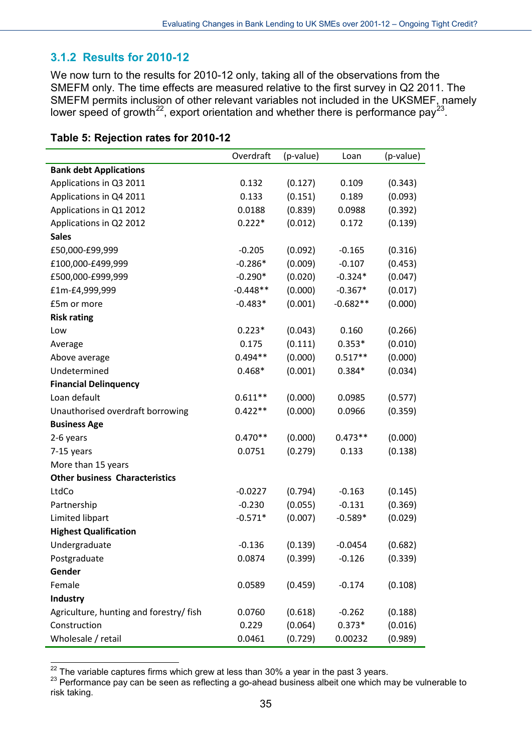#### <span id="page-35-0"></span>**3.1.2 Results for 2010-12**

We now turn to the results for 2010-12 only, taking all of the observations from the SMEFM only. The time effects are measured relative to the first survey in Q2 2011. The SMEFM permits inclusion of other relevant variables not included in the UKSMEF, namely lower speed of growth<sup>[22](#page-35-1)</sup>, export orientation and whether there is performance pay<sup>[23](#page-35-2)</sup>.

|                                         | Overdraft  | (p-value) | Loan       | (p-value) |
|-----------------------------------------|------------|-----------|------------|-----------|
| <b>Bank debt Applications</b>           |            |           |            |           |
| Applications in Q3 2011                 | 0.132      | (0.127)   | 0.109      | (0.343)   |
| Applications in Q4 2011                 | 0.133      | (0.151)   | 0.189      | (0.093)   |
| Applications in Q1 2012                 | 0.0188     | (0.839)   | 0.0988     | (0.392)   |
| Applications in Q2 2012                 | $0.222*$   | (0.012)   | 0.172      | (0.139)   |
| <b>Sales</b>                            |            |           |            |           |
| £50,000-£99,999                         | $-0.205$   | (0.092)   | $-0.165$   | (0.316)   |
| £100,000-£499,999                       | $-0.286*$  | (0.009)   | $-0.107$   | (0.453)   |
| £500,000-£999,999                       | $-0.290*$  | (0.020)   | $-0.324*$  | (0.047)   |
| £1m-£4,999,999                          | $-0.448**$ | (0.000)   | $-0.367*$  | (0.017)   |
| £5m or more                             | $-0.483*$  | (0.001)   | $-0.682**$ | (0.000)   |
| <b>Risk rating</b>                      |            |           |            |           |
| Low                                     | $0.223*$   | (0.043)   | 0.160      | (0.266)   |
| Average                                 | 0.175      | (0.111)   | $0.353*$   | (0.010)   |
| Above average                           | $0.494**$  | (0.000)   | $0.517**$  | (0.000)   |
| Undetermined                            | $0.468*$   | (0.001)   | $0.384*$   | (0.034)   |
| <b>Financial Delinquency</b>            |            |           |            |           |
| Loan default                            | $0.611**$  | (0.000)   | 0.0985     | (0.577)   |
| Unauthorised overdraft borrowing        | $0.422**$  | (0.000)   | 0.0966     | (0.359)   |
| <b>Business Age</b>                     |            |           |            |           |
| 2-6 years                               | $0.470**$  | (0.000)   | $0.473**$  | (0.000)   |
| 7-15 years                              | 0.0751     | (0.279)   | 0.133      | (0.138)   |
| More than 15 years                      |            |           |            |           |
| <b>Other business Characteristics</b>   |            |           |            |           |
| LtdCo                                   | $-0.0227$  | (0.794)   | $-0.163$   | (0.145)   |
| Partnership                             | $-0.230$   | (0.055)   | $-0.131$   | (0.369)   |
| Limited libpart                         | $-0.571*$  | (0.007)   | $-0.589*$  | (0.029)   |
| <b>Highest Qualification</b>            |            |           |            |           |
| Undergraduate                           | $-0.136$   | (0.139)   | $-0.0454$  | (0.682)   |
| Postgraduate                            | 0.0874     | (0.399)   | $-0.126$   | (0.339)   |
| Gender                                  |            |           |            |           |
| Female                                  | 0.0589     | (0.459)   | $-0.174$   | (0.108)   |
| Industry                                |            |           |            |           |
| Agriculture, hunting and forestry/ fish | 0.0760     | (0.618)   | $-0.262$   | (0.188)   |
| Construction                            | 0.229      | (0.064)   | $0.373*$   | (0.016)   |
| Wholesale / retail                      | 0.0461     | (0.729)   | 0.00232    | (0.989)   |

<span id="page-35-1"></span><sup>&</sup>lt;sup>22</sup> The variable captures firms which grew at less than 30% a year in the past 3 years.

<span id="page-35-2"></span><sup>&</sup>lt;sup>23</sup> Performance pay can be seen as reflecting a go-ahead business albeit one which may be vulnerable to risk taking.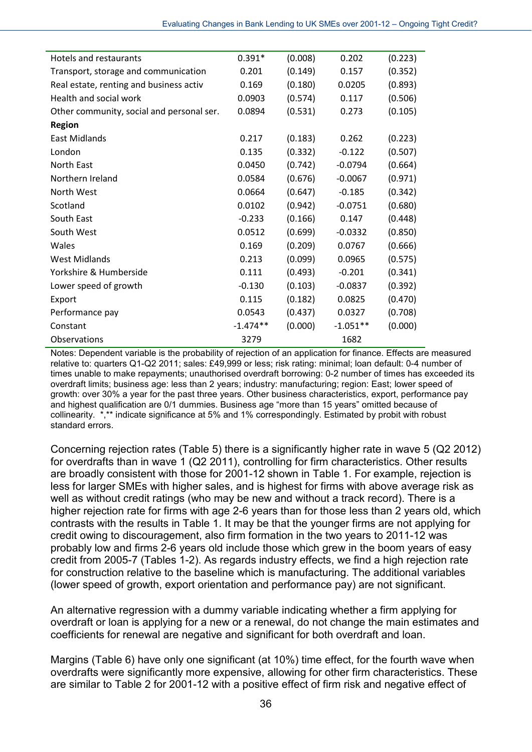| Hotels and restaurants                    | $0.391*$   | (0.008) | 0.202      | (0.223) |
|-------------------------------------------|------------|---------|------------|---------|
| Transport, storage and communication      | 0.201      | (0.149) | 0.157      | (0.352) |
| Real estate, renting and business activ   | 0.169      | (0.180) | 0.0205     | (0.893) |
| Health and social work                    | 0.0903     | (0.574) | 0.117      | (0.506) |
| Other community, social and personal ser. | 0.0894     | (0.531) | 0.273      | (0.105) |
| <b>Region</b>                             |            |         |            |         |
| East Midlands                             | 0.217      | (0.183) | 0.262      | (0.223) |
| London                                    | 0.135      | (0.332) | $-0.122$   | (0.507) |
| North East                                | 0.0450     | (0.742) | $-0.0794$  | (0.664) |
| Northern Ireland                          | 0.0584     | (0.676) | $-0.0067$  | (0.971) |
| North West                                | 0.0664     | (0.647) | $-0.185$   | (0.342) |
| Scotland                                  | 0.0102     | (0.942) | $-0.0751$  | (0.680) |
| South East                                | $-0.233$   | (0.166) | 0.147      | (0.448) |
| South West                                | 0.0512     | (0.699) | $-0.0332$  | (0.850) |
| Wales                                     | 0.169      | (0.209) | 0.0767     | (0.666) |
| <b>West Midlands</b>                      | 0.213      | (0.099) | 0.0965     | (0.575) |
| Yorkshire & Humberside                    | 0.111      | (0.493) | $-0.201$   | (0.341) |
| Lower speed of growth                     | $-0.130$   | (0.103) | $-0.0837$  | (0.392) |
| Export                                    | 0.115      | (0.182) | 0.0825     | (0.470) |
| Performance pay                           | 0.0543     | (0.437) | 0.0327     | (0.708) |
| Constant                                  | $-1.474**$ | (0.000) | $-1.051**$ | (0.000) |
| Observations                              | 3279       |         | 1682       |         |

Notes: Dependent variable is the probability of rejection of an application for finance. Effects are measured relative to: quarters Q1-Q2 2011; sales: £49,999 or less; risk rating: minimal; loan default: 0-4 number of times unable to make repayments; unauthorised overdraft borrowing: 0-2 number of times has exceeded its overdraft limits; business age: less than 2 years; industry: manufacturing; region: East; lower speed of growth: over 30% a year for the past three years. Other business characteristics, export, performance pay and highest qualification are 0/1 dummies. Business age "more than 15 years" omitted because of collinearity. \*,\*\* indicate significance at 5% and 1% correspondingly. Estimated by probit with robust standard errors.

Concerning rejection rates (Table 5) there is a significantly higher rate in wave 5 (Q2 2012) for overdrafts than in wave 1 (Q2 2011), controlling for firm characteristics. Other results are broadly consistent with those for 2001-12 shown in Table 1. For example, rejection is less for larger SMEs with higher sales, and is highest for firms with above average risk as well as without credit ratings (who may be new and without a track record). There is a higher rejection rate for firms with age 2-6 years than for those less than 2 years old, which contrasts with the results in Table 1. It may be that the younger firms are not applying for credit owing to discouragement, also firm formation in the two years to 2011-12 was probably low and firms 2-6 years old include those which grew in the boom years of easy credit from 2005-7 (Tables 1-2). As regards industry effects, we find a high rejection rate for construction relative to the baseline which is manufacturing. The additional variables (lower speed of growth, export orientation and performance pay) are not significant.

An alternative regression with a dummy variable indicating whether a firm applying for overdraft or loan is applying for a new or a renewal, do not change the main estimates and coefficients for renewal are negative and significant for both overdraft and loan.

Margins (Table 6) have only one significant (at 10%) time effect, for the fourth wave when overdrafts were significantly more expensive, allowing for other firm characteristics. These are similar to Table 2 for 2001-12 with a positive effect of firm risk and negative effect of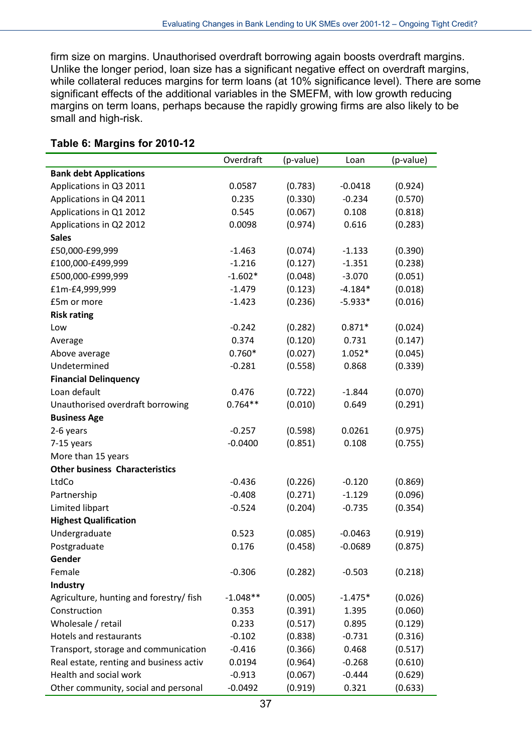firm size on margins. Unauthorised overdraft borrowing again boosts overdraft margins. Unlike the longer period, loan size has a significant negative effect on overdraft margins, while collateral reduces margins for term loans (at 10% significance level). There are some significant effects of the additional variables in the SMEFM, with low growth reducing margins on term loans, perhaps because the rapidly growing firms are also likely to be small and high-risk.

|                                         | Overdraft  | (p-value) | Loan      | (p-value) |
|-----------------------------------------|------------|-----------|-----------|-----------|
| <b>Bank debt Applications</b>           |            |           |           |           |
| Applications in Q3 2011                 | 0.0587     | (0.783)   | $-0.0418$ | (0.924)   |
| Applications in Q4 2011                 | 0.235      | (0.330)   | $-0.234$  | (0.570)   |
| Applications in Q1 2012                 | 0.545      | (0.067)   | 0.108     | (0.818)   |
| Applications in Q2 2012                 | 0.0098     | (0.974)   | 0.616     | (0.283)   |
| <b>Sales</b>                            |            |           |           |           |
| £50,000-£99,999                         | $-1.463$   | (0.074)   | $-1.133$  | (0.390)   |
| £100,000-£499,999                       | $-1.216$   | (0.127)   | $-1.351$  | (0.238)   |
| £500,000-£999,999                       | $-1.602*$  | (0.048)   | $-3.070$  | (0.051)   |
| £1m-£4,999,999                          | $-1.479$   | (0.123)   | $-4.184*$ | (0.018)   |
| £5m or more                             | $-1.423$   | (0.236)   | $-5.933*$ | (0.016)   |
| <b>Risk rating</b>                      |            |           |           |           |
| Low                                     | $-0.242$   | (0.282)   | $0.871*$  | (0.024)   |
| Average                                 | 0.374      | (0.120)   | 0.731     | (0.147)   |
| Above average                           | $0.760*$   | (0.027)   | $1.052*$  | (0.045)   |
| Undetermined                            | $-0.281$   | (0.558)   | 0.868     | (0.339)   |
| <b>Financial Delinquency</b>            |            |           |           |           |
| Loan default                            | 0.476      | (0.722)   | $-1.844$  | (0.070)   |
| Unauthorised overdraft borrowing        | $0.764**$  | (0.010)   | 0.649     | (0.291)   |
| <b>Business Age</b>                     |            |           |           |           |
| 2-6 years                               | $-0.257$   | (0.598)   | 0.0261    | (0.975)   |
| 7-15 years                              | $-0.0400$  | (0.851)   | 0.108     | (0.755)   |
| More than 15 years                      |            |           |           |           |
| <b>Other business Characteristics</b>   |            |           |           |           |
| LtdCo                                   | $-0.436$   | (0.226)   | $-0.120$  | (0.869)   |
| Partnership                             | $-0.408$   | (0.271)   | $-1.129$  | (0.096)   |
| Limited libpart                         | $-0.524$   | (0.204)   | $-0.735$  | (0.354)   |
| <b>Highest Qualification</b>            |            |           |           |           |
| Undergraduate                           | 0.523      | (0.085)   | $-0.0463$ | (0.919)   |
| Postgraduate                            | 0.176      | (0.458)   | $-0.0689$ | (0.875)   |
| Gender                                  |            |           |           |           |
| Female                                  | $-0.306$   | (0.282)   | $-0.503$  | (0.218)   |
| Industry                                |            |           |           |           |
| Agriculture, hunting and forestry/ fish | $-1.048**$ | (0.005)   | $-1.475*$ | (0.026)   |
| Construction                            | 0.353      | (0.391)   | 1.395     | (0.060)   |
| Wholesale / retail                      | 0.233      | (0.517)   | 0.895     | (0.129)   |
| <b>Hotels and restaurants</b>           | $-0.102$   | (0.838)   | $-0.731$  | (0.316)   |
| Transport, storage and communication    | $-0.416$   | (0.366)   | 0.468     | (0.517)   |
| Real estate, renting and business activ | 0.0194     | (0.964)   | $-0.268$  | (0.610)   |
| Health and social work                  | $-0.913$   | (0.067)   | $-0.444$  | (0.629)   |
| Other community, social and personal    | $-0.0492$  | (0.919)   | 0.321     | (0.633)   |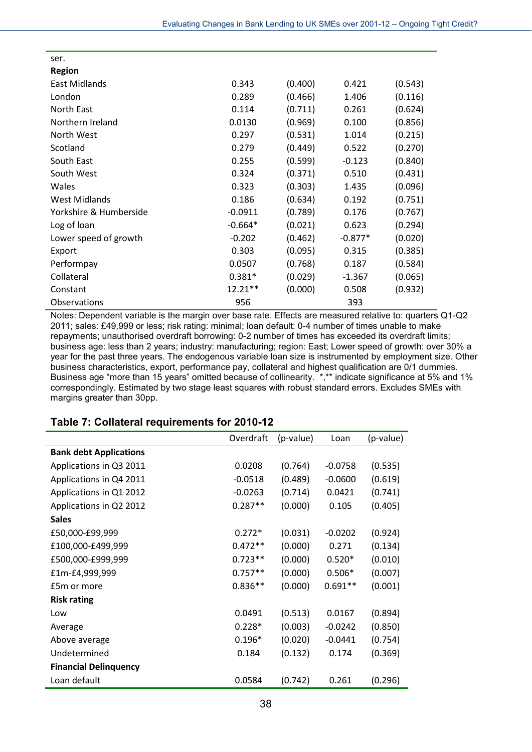| ser.                   |           |         |           |         |
|------------------------|-----------|---------|-----------|---------|
| <b>Region</b>          |           |         |           |         |
| East Midlands          | 0.343     | (0.400) | 0.421     | (0.543) |
| London                 | 0.289     | (0.466) | 1.406     | (0.116) |
| North East             | 0.114     | (0.711) | 0.261     | (0.624) |
| Northern Ireland       | 0.0130    | (0.969) | 0.100     | (0.856) |
| North West             | 0.297     | (0.531) | 1.014     | (0.215) |
| Scotland               | 0.279     | (0.449) | 0.522     | (0.270) |
| South East             | 0.255     | (0.599) | $-0.123$  | (0.840) |
| South West             | 0.324     | (0.371) | 0.510     | (0.431) |
| Wales                  | 0.323     | (0.303) | 1.435     | (0.096) |
| <b>West Midlands</b>   | 0.186     | (0.634) | 0.192     | (0.751) |
| Yorkshire & Humberside | $-0.0911$ | (0.789) | 0.176     | (0.767) |
| Log of loan            | $-0.664*$ | (0.021) | 0.623     | (0.294) |
| Lower speed of growth  | $-0.202$  | (0.462) | $-0.877*$ | (0.020) |
| Export                 | 0.303     | (0.095) | 0.315     | (0.385) |
| Performpay             | 0.0507    | (0.768) | 0.187     | (0.584) |
| Collateral             | $0.381*$  | (0.029) | $-1.367$  | (0.065) |
| Constant               | 12.21**   | (0.000) | 0.508     | (0.932) |
| <b>Observations</b>    | 956       |         | 393       |         |

Notes: Dependent variable is the margin over base rate. Effects are measured relative to: quarters Q1-Q2 2011; sales: £49,999 or less; risk rating: minimal; loan default: 0-4 number of times unable to make repayments; unauthorised overdraft borrowing: 0-2 number of times has exceeded its overdraft limits; business age: less than 2 years; industry: manufacturing; region: East; Lower speed of growth: over 30% a year for the past three years. The endogenous variable loan size is instrumented by employment size. Other business characteristics, export, performance pay, collateral and highest qualification are 0/1 dummies. Business age "more than 15 years" omitted because of collinearity. \*,\*\* indicate significance at 5% and 1% correspondingly. Estimated by two stage least squares with robust standard errors. Excludes SMEs with margins greater than 30pp.

|                               | Overdraft | (p-value) | Loan      | (p-value) |
|-------------------------------|-----------|-----------|-----------|-----------|
| <b>Bank debt Applications</b> |           |           |           |           |
| Applications in Q3 2011       | 0.0208    | (0.764)   | $-0.0758$ | (0.535)   |
| Applications in Q4 2011       | $-0.0518$ | (0.489)   | $-0.0600$ | (0.619)   |
| Applications in Q1 2012       | $-0.0263$ | (0.714)   | 0.0421    | (0.741)   |
| Applications in Q2 2012       | $0.287**$ | (0.000)   | 0.105     | (0.405)   |
| <b>Sales</b>                  |           |           |           |           |
| £50,000-£99,999               | $0.272*$  | (0.031)   | $-0.0202$ | (0.924)   |
| £100,000-£499,999             | $0.472**$ | (0.000)   | 0.271     | (0.134)   |
| £500,000-£999,999             | $0.723**$ | (0.000)   | $0.520*$  | (0.010)   |
| £1m-£4,999,999                | $0.757**$ | (0.000)   | $0.506*$  | (0.007)   |
| £5m or more                   | $0.836**$ | (0.000)   | $0.691**$ | (0.001)   |
| <b>Risk rating</b>            |           |           |           |           |
| Low                           | 0.0491    | (0.513)   | 0.0167    | (0.894)   |
| Average                       | $0.228*$  | (0.003)   | $-0.0242$ | (0.850)   |
| Above average                 | $0.196*$  | (0.020)   | $-0.0441$ | (0.754)   |
| Undetermined                  | 0.184     | (0.132)   | 0.174     | (0.369)   |
| <b>Financial Delinquency</b>  |           |           |           |           |
| Loan default                  | 0.0584    | (0.742)   | 0.261     | (0.296)   |

## **Table 7: Collateral requirements for 2010-12**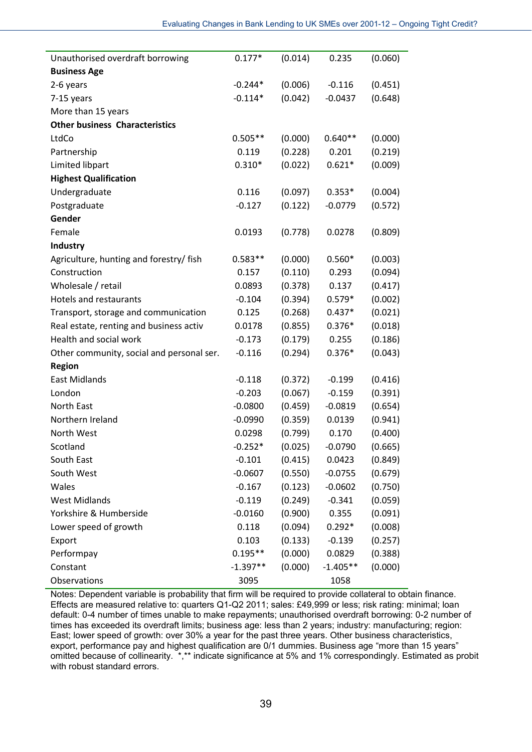| Unauthorised overdraft borrowing          | $0.177*$   | (0.014) | 0.235      | (0.060) |
|-------------------------------------------|------------|---------|------------|---------|
| <b>Business Age</b>                       |            |         |            |         |
| 2-6 years                                 | $-0.244*$  | (0.006) | $-0.116$   | (0.451) |
| 7-15 years                                | $-0.114*$  | (0.042) | $-0.0437$  | (0.648) |
| More than 15 years                        |            |         |            |         |
| <b>Other business Characteristics</b>     |            |         |            |         |
| LtdCo                                     | $0.505**$  | (0.000) | $0.640**$  | (0.000) |
| Partnership                               | 0.119      | (0.228) | 0.201      | (0.219) |
| Limited libpart                           | $0.310*$   | (0.022) | $0.621*$   | (0.009) |
| <b>Highest Qualification</b>              |            |         |            |         |
| Undergraduate                             | 0.116      | (0.097) | $0.353*$   | (0.004) |
| Postgraduate                              | $-0.127$   | (0.122) | $-0.0779$  | (0.572) |
| Gender                                    |            |         |            |         |
| Female                                    | 0.0193     | (0.778) | 0.0278     | (0.809) |
| <b>Industry</b>                           |            |         |            |         |
| Agriculture, hunting and forestry/ fish   | $0.583**$  | (0.000) | $0.560*$   | (0.003) |
| Construction                              | 0.157      | (0.110) | 0.293      | (0.094) |
| Wholesale / retail                        | 0.0893     | (0.378) | 0.137      | (0.417) |
| <b>Hotels and restaurants</b>             | $-0.104$   | (0.394) | $0.579*$   | (0.002) |
| Transport, storage and communication      | 0.125      | (0.268) | $0.437*$   | (0.021) |
| Real estate, renting and business activ   | 0.0178     | (0.855) | $0.376*$   | (0.018) |
| Health and social work                    | $-0.173$   | (0.179) | 0.255      | (0.186) |
| Other community, social and personal ser. | $-0.116$   | (0.294) | $0.376*$   | (0.043) |
| <b>Region</b>                             |            |         |            |         |
| <b>East Midlands</b>                      | $-0.118$   | (0.372) | $-0.199$   | (0.416) |
| London                                    | $-0.203$   | (0.067) | $-0.159$   | (0.391) |
| North East                                | $-0.0800$  | (0.459) | $-0.0819$  | (0.654) |
| Northern Ireland                          | $-0.0990$  | (0.359) | 0.0139     | (0.941) |
| North West                                | 0.0298     | (0.799) | 0.170      | (0.400) |
| Scotland                                  | $-0.252*$  | (0.025) | $-0.0790$  | (0.665) |
| South East                                | $-0.101$   | (0.415) | 0.0423     | (0.849) |
| South West                                | $-0.0607$  | (0.550) | $-0.0755$  | (0.679) |
| Wales                                     | $-0.167$   | (0.123) | $-0.0602$  | (0.750) |
| <b>West Midlands</b>                      | $-0.119$   | (0.249) | $-0.341$   | (0.059) |
| Yorkshire & Humberside                    | $-0.0160$  | (0.900) | 0.355      | (0.091) |
| Lower speed of growth                     | 0.118      | (0.094) | $0.292*$   | (0.008) |
| Export                                    | 0.103      | (0.133) | $-0.139$   | (0.257) |
| Performpay                                | $0.195**$  | (0.000) | 0.0829     | (0.388) |
| Constant                                  | $-1.397**$ | (0.000) | $-1.405**$ | (0.000) |
| Observations                              | 3095       |         | 1058       |         |

Notes: Dependent variable is probability that firm will be required to provide collateral to obtain finance. Effects are measured relative to: quarters Q1-Q2 2011; sales: £49,999 or less; risk rating: minimal; loan default: 0-4 number of times unable to make repayments; unauthorised overdraft borrowing: 0-2 number of times has exceeded its overdraft limits; business age: less than 2 years; industry: manufacturing; region: East; lower speed of growth: over 30% a year for the past three years. Other business characteristics, export, performance pay and highest qualification are 0/1 dummies. Business age "more than 15 years" omitted because of collinearity. \*,\*\* indicate significance at 5% and 1% correspondingly. Estimated as probit with robust standard errors.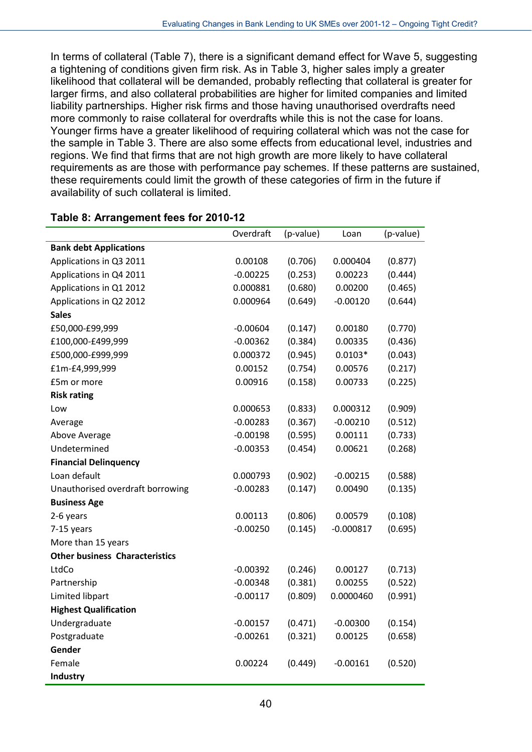In terms of collateral (Table 7), there is a significant demand effect for Wave 5, suggesting a tightening of conditions given firm risk. As in Table 3, higher sales imply a greater likelihood that collateral will be demanded, probably reflecting that collateral is greater for larger firms, and also collateral probabilities are higher for limited companies and limited liability partnerships. Higher risk firms and those having unauthorised overdrafts need more commonly to raise collateral for overdrafts while this is not the case for loans. Younger firms have a greater likelihood of requiring collateral which was not the case for the sample in Table 3. There are also some effects from educational level, industries and regions. We find that firms that are not high growth are more likely to have collateral requirements as are those with performance pay schemes. If these patterns are sustained, these requirements could limit the growth of these categories of firm in the future if availability of such collateral is limited.

|                                       | Overdraft  | (p-value) | Loan        | (p-value) |
|---------------------------------------|------------|-----------|-------------|-----------|
| <b>Bank debt Applications</b>         |            |           |             |           |
| Applications in Q3 2011               | 0.00108    | (0.706)   | 0.000404    | (0.877)   |
| Applications in Q4 2011               | $-0.00225$ | (0.253)   | 0.00223     | (0.444)   |
| Applications in Q1 2012               | 0.000881   | (0.680)   | 0.00200     | (0.465)   |
| Applications in Q2 2012               | 0.000964   | (0.649)   | $-0.00120$  | (0.644)   |
| <b>Sales</b>                          |            |           |             |           |
| £50,000-£99,999                       | $-0.00604$ | (0.147)   | 0.00180     | (0.770)   |
| £100,000-£499,999                     | $-0.00362$ | (0.384)   | 0.00335     | (0.436)   |
| £500,000-£999,999                     | 0.000372   | (0.945)   | $0.0103*$   | (0.043)   |
| £1m-£4,999,999                        | 0.00152    | (0.754)   | 0.00576     | (0.217)   |
| £5m or more                           | 0.00916    | (0.158)   | 0.00733     | (0.225)   |
| <b>Risk rating</b>                    |            |           |             |           |
| Low                                   | 0.000653   | (0.833)   | 0.000312    | (0.909)   |
| Average                               | $-0.00283$ | (0.367)   | $-0.00210$  | (0.512)   |
| Above Average                         | $-0.00198$ | (0.595)   | 0.00111     | (0.733)   |
| Undetermined                          | $-0.00353$ | (0.454)   | 0.00621     | (0.268)   |
| <b>Financial Delinquency</b>          |            |           |             |           |
| Loan default                          | 0.000793   | (0.902)   | $-0.00215$  | (0.588)   |
| Unauthorised overdraft borrowing      | $-0.00283$ | (0.147)   | 0.00490     | (0.135)   |
| <b>Business Age</b>                   |            |           |             |           |
| 2-6 years                             | 0.00113    | (0.806)   | 0.00579     | (0.108)   |
| 7-15 years                            | $-0.00250$ | (0.145)   | $-0.000817$ | (0.695)   |
| More than 15 years                    |            |           |             |           |
| <b>Other business Characteristics</b> |            |           |             |           |
| LtdCo                                 | $-0.00392$ | (0.246)   | 0.00127     | (0.713)   |
| Partnership                           | $-0.00348$ | (0.381)   | 0.00255     | (0.522)   |
| Limited libpart                       | $-0.00117$ | (0.809)   | 0.0000460   | (0.991)   |
| <b>Highest Qualification</b>          |            |           |             |           |
| Undergraduate                         | $-0.00157$ | (0.471)   | $-0.00300$  | (0.154)   |
| Postgraduate                          | $-0.00261$ | (0.321)   | 0.00125     | (0.658)   |
| Gender                                |            |           |             |           |
| Female                                | 0.00224    | (0.449)   | $-0.00161$  | (0.520)   |
| Industry                              |            |           |             |           |

### **Table 8: Arrangement fees for 2010-12**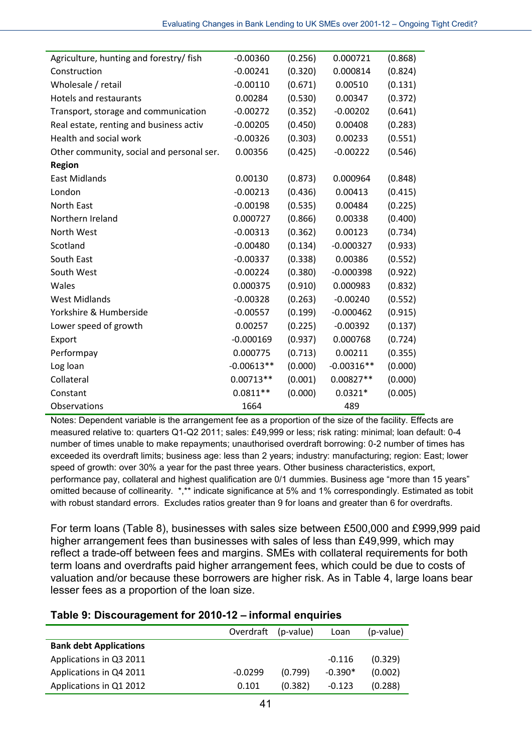| Agriculture, hunting and forestry/ fish   | $-0.00360$   | (0.256) | 0.000721     | (0.868) |
|-------------------------------------------|--------------|---------|--------------|---------|
| Construction                              | $-0.00241$   | (0.320) | 0.000814     | (0.824) |
| Wholesale / retail                        | $-0.00110$   | (0.671) | 0.00510      | (0.131) |
| <b>Hotels and restaurants</b>             | 0.00284      | (0.530) | 0.00347      | (0.372) |
| Transport, storage and communication      | $-0.00272$   | (0.352) | $-0.00202$   | (0.641) |
| Real estate, renting and business activ   | $-0.00205$   | (0.450) | 0.00408      | (0.283) |
| Health and social work                    | $-0.00326$   | (0.303) | 0.00233      | (0.551) |
| Other community, social and personal ser. | 0.00356      | (0.425) | $-0.00222$   | (0.546) |
| <b>Region</b>                             |              |         |              |         |
| <b>East Midlands</b>                      | 0.00130      | (0.873) | 0.000964     | (0.848) |
| London                                    | $-0.00213$   | (0.436) | 0.00413      | (0.415) |
| North East                                | $-0.00198$   | (0.535) | 0.00484      | (0.225) |
| Northern Ireland                          | 0.000727     | (0.866) | 0.00338      | (0.400) |
| North West                                | $-0.00313$   | (0.362) | 0.00123      | (0.734) |
| Scotland                                  | $-0.00480$   | (0.134) | $-0.000327$  | (0.933) |
| South East                                | $-0.00337$   | (0.338) | 0.00386      | (0.552) |
| South West                                | $-0.00224$   | (0.380) | $-0.000398$  | (0.922) |
| Wales                                     | 0.000375     | (0.910) | 0.000983     | (0.832) |
| <b>West Midlands</b>                      | $-0.00328$   | (0.263) | $-0.00240$   | (0.552) |
| Yorkshire & Humberside                    | $-0.00557$   | (0.199) | $-0.000462$  | (0.915) |
| Lower speed of growth                     | 0.00257      | (0.225) | $-0.00392$   | (0.137) |
| Export                                    | $-0.000169$  | (0.937) | 0.000768     | (0.724) |
| Performpay                                | 0.000775     | (0.713) | 0.00211      | (0.355) |
| Log loan                                  | $-0.00613**$ | (0.000) | $-0.00316**$ | (0.000) |
| Collateral                                | $0.00713**$  | (0.001) | 0.00827**    | (0.000) |
| Constant                                  | $0.0811**$   | (0.000) | $0.0321*$    | (0.005) |
| Observations                              | 1664         |         | 489          |         |

Notes: Dependent variable is the arrangement fee as a proportion of the size of the facility. Effects are measured relative to: quarters Q1-Q2 2011; sales: £49,999 or less; risk rating: minimal; loan default: 0-4 number of times unable to make repayments; unauthorised overdraft borrowing: 0-2 number of times has exceeded its overdraft limits; business age: less than 2 years; industry: manufacturing; region: East; lower speed of growth: over 30% a year for the past three years. Other business characteristics, export, performance pay, collateral and highest qualification are 0/1 dummies. Business age "more than 15 years" omitted because of collinearity. \*,\*\* indicate significance at 5% and 1% correspondingly. Estimated as tobit with robust standard errors. Excludes ratios greater than 9 for loans and greater than 6 for overdrafts.

For term loans (Table 8), businesses with sales size between £500,000 and £999,999 paid higher arrangement fees than businesses with sales of less than £49,999, which may reflect a trade-off between fees and margins. SMEs with collateral requirements for both term loans and overdrafts paid higher arrangement fees, which could be due to costs of valuation and/or because these borrowers are higher risk. As in Table 4, large loans bear lesser fees as a proportion of the loan size.

### **Table 9: Discouragement for 2010-12 – informal enquiries**

|                               | Overdraft (p-value) |         | Loan      | (p-value) |
|-------------------------------|---------------------|---------|-----------|-----------|
| <b>Bank debt Applications</b> |                     |         |           |           |
| Applications in Q3 2011       |                     |         | $-0.116$  | (0.329)   |
| Applications in Q4 2011       | $-0.0299$           | (0.799) | $-0.390*$ | (0.002)   |
| Applications in Q1 2012       | 0.101               | (0.382) | $-0.123$  | (0.288)   |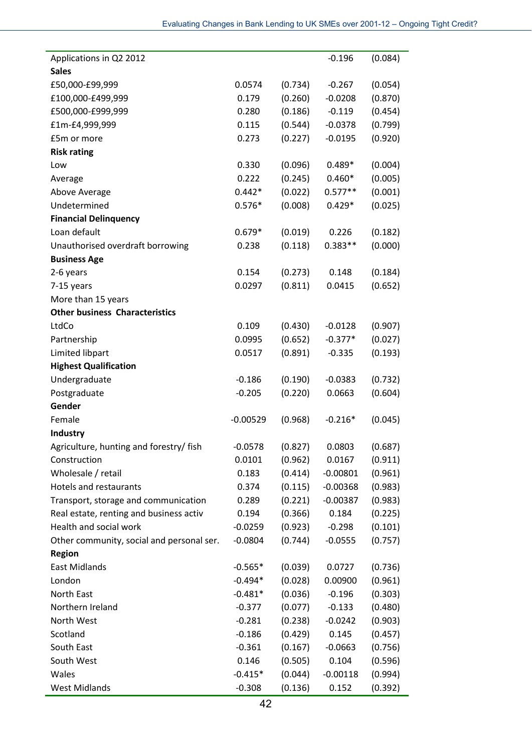| Applications in Q2 2012                   |            |         | $-0.196$   | (0.084) |
|-------------------------------------------|------------|---------|------------|---------|
| <b>Sales</b>                              |            |         |            |         |
| £50,000-£99,999                           | 0.0574     | (0.734) | $-0.267$   | (0.054) |
| £100,000-£499,999                         | 0.179      | (0.260) | $-0.0208$  | (0.870) |
| £500,000-£999,999                         | 0.280      | (0.186) | $-0.119$   | (0.454) |
| £1m-£4,999,999                            | 0.115      | (0.544) | $-0.0378$  | (0.799) |
| £5m or more                               | 0.273      | (0.227) | $-0.0195$  | (0.920) |
| <b>Risk rating</b>                        |            |         |            |         |
| Low                                       | 0.330      | (0.096) | $0.489*$   | (0.004) |
| Average                                   | 0.222      | (0.245) | $0.460*$   | (0.005) |
| Above Average                             | $0.442*$   | (0.022) | $0.577**$  | (0.001) |
| Undetermined                              | $0.576*$   | (0.008) | $0.429*$   | (0.025) |
| <b>Financial Delinquency</b>              |            |         |            |         |
| Loan default                              | $0.679*$   | (0.019) | 0.226      | (0.182) |
| Unauthorised overdraft borrowing          | 0.238      | (0.118) | $0.383**$  | (0.000) |
| <b>Business Age</b>                       |            |         |            |         |
| 2-6 years                                 | 0.154      | (0.273) | 0.148      | (0.184) |
| 7-15 years                                | 0.0297     | (0.811) | 0.0415     | (0.652) |
| More than 15 years                        |            |         |            |         |
| <b>Other business Characteristics</b>     |            |         |            |         |
| LtdCo                                     | 0.109      | (0.430) | $-0.0128$  | (0.907) |
| Partnership                               | 0.0995     | (0.652) | $-0.377*$  | (0.027) |
| Limited libpart                           | 0.0517     | (0.891) | $-0.335$   | (0.193) |
| <b>Highest Qualification</b>              |            |         |            |         |
| Undergraduate                             | $-0.186$   | (0.190) | $-0.0383$  | (0.732) |
| Postgraduate                              | $-0.205$   | (0.220) | 0.0663     | (0.604) |
| Gender                                    |            |         |            |         |
| Female                                    | $-0.00529$ | (0.968) | $-0.216*$  | (0.045) |
| Industry                                  |            |         |            |         |
| Agriculture, hunting and forestry/ fish   | $-0.0578$  | (0.827) | 0.0803     | (0.687) |
| Construction                              | 0.0101     | (0.962) | 0.0167     | (0.911) |
| Wholesale / retail                        | 0.183      | (0.414) | $-0.00801$ | (0.961) |
| Hotels and restaurants                    | 0.374      | (0.115) | $-0.00368$ | (0.983) |
| Transport, storage and communication      | 0.289      | (0.221) | $-0.00387$ | (0.983) |
| Real estate, renting and business activ   | 0.194      | (0.366) | 0.184      | (0.225) |
| Health and social work                    | $-0.0259$  | (0.923) | $-0.298$   | (0.101) |
| Other community, social and personal ser. | $-0.0804$  | (0.744) | $-0.0555$  | (0.757) |
| <b>Region</b>                             |            |         |            |         |
| <b>East Midlands</b>                      | $-0.565*$  | (0.039) | 0.0727     | (0.736) |
| London                                    | $-0.494*$  | (0.028) | 0.00900    | (0.961) |
| North East                                | $-0.481*$  | (0.036) | $-0.196$   | (0.303) |
| Northern Ireland                          | $-0.377$   | (0.077) | $-0.133$   | (0.480) |
| North West                                | $-0.281$   | (0.238) | $-0.0242$  | (0.903) |
| Scotland                                  | $-0.186$   | (0.429) | 0.145      | (0.457) |
| South East                                | $-0.361$   | (0.167) | $-0.0663$  | (0.756) |
| South West                                | 0.146      | (0.505) | 0.104      | (0.596) |
| Wales                                     | $-0.415*$  | (0.044) | $-0.00118$ | (0.994) |
| <b>West Midlands</b>                      | $-0.308$   | (0.136) | 0.152      | (0.392) |
|                                           |            |         |            |         |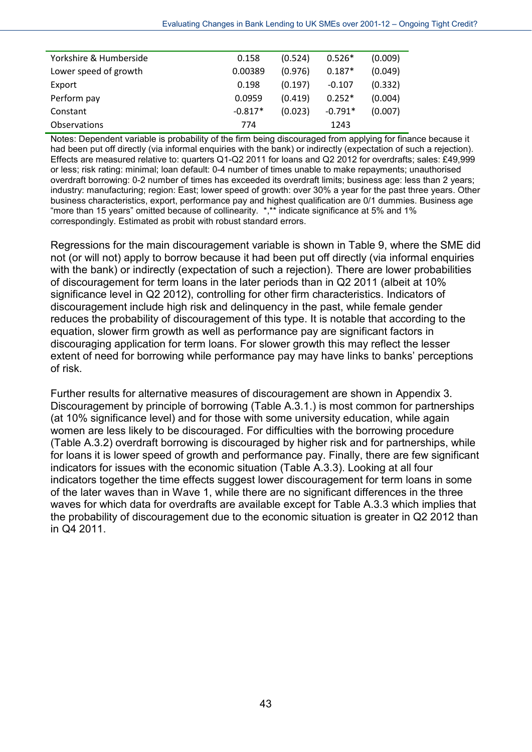| Yorkshire & Humberside | 0.158     | (0.524) | $0.526*$  | (0.009) |
|------------------------|-----------|---------|-----------|---------|
| Lower speed of growth  | 0.00389   | (0.976) | $0.187*$  | (0.049) |
| Export                 | 0.198     | (0.197) | $-0.107$  | (0.332) |
| Perform pay            | 0.0959    | (0.419) | $0.252*$  | (0.004) |
| Constant               | $-0.817*$ | (0.023) | $-0.791*$ | (0.007) |
| <b>Observations</b>    | 774       |         | 1243      |         |

Notes: Dependent variable is probability of the firm being discouraged from applying for finance because it had been put off directly (via informal enquiries with the bank) or indirectly (expectation of such a rejection). Effects are measured relative to: quarters Q1-Q2 2011 for loans and Q2 2012 for overdrafts; sales: £49,999 or less; risk rating: minimal; loan default: 0-4 number of times unable to make repayments; unauthorised overdraft borrowing: 0-2 number of times has exceeded its overdraft limits; business age: less than 2 years; industry: manufacturing; region: East; lower speed of growth: over 30% a year for the past three years. Other business characteristics, export, performance pay and highest qualification are 0/1 dummies. Business age "more than 15 years" omitted because of collinearity. \*,\*\* indicate significance at 5% and 1% correspondingly. Estimated as probit with robust standard errors.

Regressions for the main discouragement variable is shown in Table 9, where the SME did not (or will not) apply to borrow because it had been put off directly (via informal enquiries with the bank) or indirectly (expectation of such a rejection). There are lower probabilities of discouragement for term loans in the later periods than in Q2 2011 (albeit at 10% significance level in Q2 2012), controlling for other firm characteristics. Indicators of discouragement include high risk and delinquency in the past, while female gender reduces the probability of discouragement of this type. It is notable that according to the equation, slower firm growth as well as performance pay are significant factors in discouraging application for term loans. For slower growth this may reflect the lesser extent of need for borrowing while performance pay may have links to banks' perceptions of risk.

Further results for alternative measures of discouragement are shown in Appendix 3. Discouragement by principle of borrowing (Table A.3.1.) is most common for partnerships (at 10% significance level) and for those with some university education, while again women are less likely to be discouraged. For difficulties with the borrowing procedure (Table A.3.2) overdraft borrowing is discouraged by higher risk and for partnerships, while for loans it is lower speed of growth and performance pay. Finally, there are few significant indicators for issues with the economic situation (Table A.3.3). Looking at all four indicators together the time effects suggest lower discouragement for term loans in some of the later waves than in Wave 1, while there are no significant differences in the three waves for which data for overdrafts are available except for Table A.3.3 which implies that the probability of discouragement due to the economic situation is greater in Q2 2012 than in Q4 2011.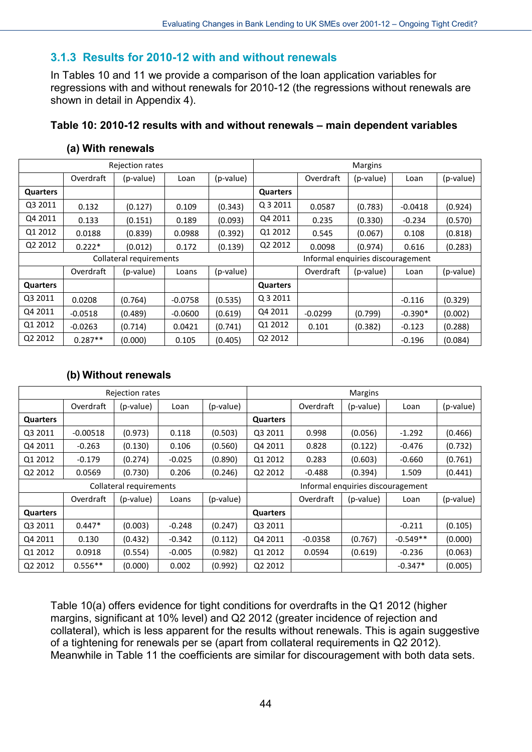### **3.1.3 Results for 2010-12 with and without renewals**

In Tables 10 and 11 we provide a comparison of the loan application variables for regressions with and without renewals for 2010-12 (the regressions without renewals are shown in detail in Appendix 4).

### **Table 10: 2010-12 results with and without renewals – main dependent variables**

### **(a) With renewals**

|          |                         | Rejection rates |           |           | Margins                           |           |           |           |           |
|----------|-------------------------|-----------------|-----------|-----------|-----------------------------------|-----------|-----------|-----------|-----------|
|          | Overdraft               | (p-value)       | Loan      | (p-value) |                                   | Overdraft | (p-value) | Loan      | (p-value) |
| Quarters |                         |                 |           |           | <b>Quarters</b>                   |           |           |           |           |
| Q3 2011  | 0.132                   | (0.127)         | 0.109     | (0.343)   | Q 3 2011                          | 0.0587    | (0.783)   | $-0.0418$ | (0.924)   |
| Q4 2011  | 0.133                   | (0.151)         | 0.189     | (0.093)   | Q4 2011                           | 0.235     | (0.330)   | $-0.234$  | (0.570)   |
| Q1 2012  | 0.0188                  | (0.839)         | 0.0988    | (0.392)   | Q1 2012                           | 0.545     | (0.067)   | 0.108     | (0.818)   |
| Q2 2012  | $0.222*$                | (0.012)         | 0.172     | (0.139)   | Q2 2012                           | 0.0098    | (0.974)   | 0.616     | (0.283)   |
|          | Collateral requirements |                 |           |           | Informal enquiries discouragement |           |           |           |           |
|          | Overdraft               | (p-value)       | Loans     | (p-value) |                                   | Overdraft | (p-value) | Loan      | (p-value) |
| Quarters |                         |                 |           |           | Quarters                          |           |           |           |           |
| Q3 2011  | 0.0208                  | (0.764)         | $-0.0758$ | (0.535)   | Q 3 2011                          |           |           | $-0.116$  | (0.329)   |
| Q4 2011  | $-0.0518$               | (0.489)         | $-0.0600$ | (0.619)   | Q4 2011                           | $-0.0299$ | (0.799)   | $-0.390*$ | (0.002)   |
| Q1 2012  | $-0.0263$               | (0.714)         | 0.0421    | (0.741)   | Q1 2012                           | 0.101     | (0.382)   | $-0.123$  | (0.288)   |
| Q2 2012  | $0.287**$               | (0.000)         | 0.105     | (0.405)   | Q2 2012                           |           |           | $-0.196$  | (0.084)   |

### **(b) Without renewals**

|          |            | Rejection rates         |          |           | Margins                           |           |           |            |           |  |
|----------|------------|-------------------------|----------|-----------|-----------------------------------|-----------|-----------|------------|-----------|--|
|          | Overdraft  | (p-value)               | Loan     | (p-value) |                                   | Overdraft | (p-value) | Loan       | (p-value) |  |
| Quarters |            |                         |          |           | <b>Quarters</b>                   |           |           |            |           |  |
| Q3 2011  | $-0.00518$ | (0.973)                 | 0.118    | (0.503)   | Q3 2011                           | 0.998     | (0.056)   | $-1.292$   | (0.466)   |  |
| Q4 2011  | $-0.263$   | (0.130)                 | 0.106    | (0.560)   | Q4 2011                           | 0.828     | (0.122)   | $-0.476$   | (0.732)   |  |
| Q1 2012  | $-0.179$   | (0.274)                 | $-0.025$ | (0.890)   | Q1 2012                           | 0.283     | (0.603)   | $-0.660$   | (0.761)   |  |
| Q2 2012  | 0.0569     | (0.730)                 | 0.206    | (0.246)   | Q2 2012                           | $-0.488$  | (0.394)   | 1.509      | (0.441)   |  |
|          |            | Collateral requirements |          |           | Informal enquiries discouragement |           |           |            |           |  |
|          | Overdraft  | (p-value)               | Loans    | (p-value) |                                   | Overdraft | (p-value) | Loan       | (p-value) |  |
| Quarters |            |                         |          |           | Quarters                          |           |           |            |           |  |
| Q3 2011  | $0.447*$   | (0.003)                 | $-0.248$ | (0.247)   | Q3 2011                           |           |           | $-0.211$   | (0.105)   |  |
| Q4 2011  | 0.130      | (0.432)                 | $-0.342$ | (0.112)   | Q4 2011                           | $-0.0358$ | (0.767)   | $-0.549**$ | (0.000)   |  |
| Q1 2012  | 0.0918     | (0.554)                 | $-0.005$ | (0.982)   | Q1 2012                           | 0.0594    | (0.619)   | $-0.236$   | (0.063)   |  |
| Q2 2012  | $0.556**$  | (0.000)                 | 0.002    | (0.992)   | Q2 2012                           |           |           | $-0.347*$  | (0.005)   |  |

Table 10(a) offers evidence for tight conditions for overdrafts in the Q1 2012 (higher margins, significant at 10% level) and Q2 2012 (greater incidence of rejection and collateral), which is less apparent for the results without renewals. This is again suggestive of a tightening for renewals per se (apart from collateral requirements in Q2 2012). Meanwhile in Table 11 the coefficients are similar for discouragement with both data sets.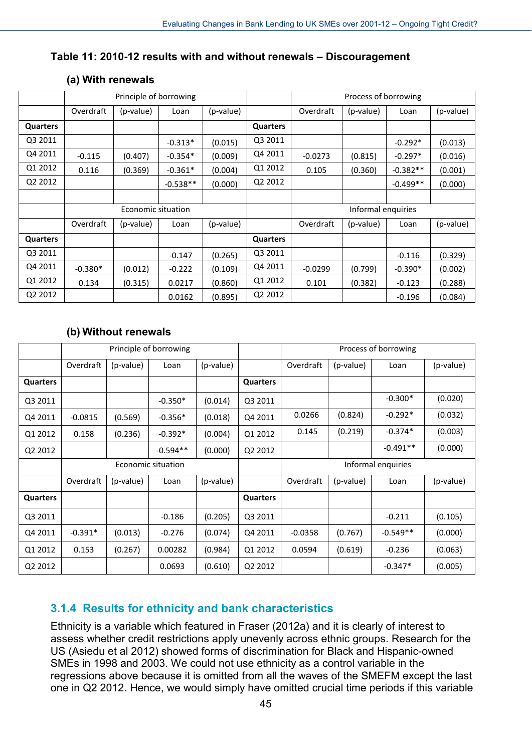### **Table 11: 2010-12 results with and without renewals – Discouragement**

|          |           | Principle of borrowing |            |           |                 | Process of borrowing |           |            |           |
|----------|-----------|------------------------|------------|-----------|-----------------|----------------------|-----------|------------|-----------|
|          | Overdraft | (p-value)              | Loan       | (p-value) |                 | Overdraft            | (p-value) | Loan       | (p-value) |
| Quarters |           |                        |            |           | Quarters        |                      |           |            |           |
| Q3 2011  |           |                        | $-0.313*$  | (0.015)   | Q3 2011         |                      |           | $-0.292*$  | (0.013)   |
| Q4 2011  | $-0.115$  | (0.407)                | $-0.354*$  | (0.009)   | Q4 2011         | $-0.0273$            | (0.815)   | $-0.297*$  | (0.016)   |
| Q1 2012  | 0.116     | (0.369)                | $-0.361*$  | (0.004)   | Q1 2012         | 0.105                | (0.360)   | $-0.382**$ | (0.001)   |
| Q2 2012  |           |                        | $-0.538**$ | (0.000)   | Q2 2012         |                      |           | $-0.499**$ | (0.000)   |
|          |           |                        |            |           |                 |                      |           |            |           |
|          |           | Economic situation     |            |           |                 | Informal enquiries   |           |            |           |
|          | Overdraft | (p-value)              | Loan       | (p-value) |                 | Overdraft            | (p-value) | Loan       | (p-value) |
| Quarters |           |                        |            |           | <b>Quarters</b> |                      |           |            |           |
| Q3 2011  |           |                        | $-0.147$   | (0.265)   | Q3 2011         |                      |           | $-0.116$   | (0.329)   |
| Q4 2011  | $-0.380*$ | (0.012)                | $-0.222$   | (0.109)   | Q4 2011         | $-0.0299$            | (0.799)   | $-0.390*$  | (0.002)   |
| Q1 2012  | 0.134     | (0.315)                | 0.0217     | (0.860)   | Q1 2012         | 0.101                | (0.382)   | $-0.123$   | (0.288)   |
| Q2 2012  |           |                        | 0.0162     | (0.895)   | Q2 2012         |                      |           | $-0.196$   | (0.084)   |

### **(a) With renewals**

### **(b) Without renewals**

|          |           |           | Principle of borrowing |           |          | Process of borrowing |           |            |           |
|----------|-----------|-----------|------------------------|-----------|----------|----------------------|-----------|------------|-----------|
|          | Overdraft | (p-value) | Loan                   | (p-value) |          | Overdraft            | (p-value) | Loan       | (p-value) |
| Quarters |           |           |                        |           | Quarters |                      |           |            |           |
| Q3 2011  |           |           | $-0.350*$              | (0.014)   | Q3 2011  |                      |           | $-0.300*$  | (0.020)   |
| Q4 2011  | $-0.0815$ | (0.569)   | $-0.356*$              | (0.018)   | Q4 2011  | 0.0266               | (0.824)   | $-0.292*$  | (0.032)   |
| Q1 2012  | 0.158     | (0.236)   | $-0.392*$              | (0.004)   | Q1 2012  | 0.145                | (0.219)   | $-0.374*$  | (0.003)   |
| Q2 2012  |           |           | $-0.594**$             | (0.000)   | Q2 2012  |                      |           | $-0.491**$ | (0.000)   |
|          |           |           | Economic situation     |           |          | Informal enquiries   |           |            |           |
|          | Overdraft | (p-value) | Loan                   | (p-value) |          | Overdraft            | (p-value) | Loan       | (p-value) |
| Quarters |           |           |                        |           | Quarters |                      |           |            |           |
| Q3 2011  |           |           | $-0.186$               | (0.205)   | Q3 2011  |                      |           | $-0.211$   | (0.105)   |
| Q4 2011  | $-0.391*$ | (0.013)   | $-0.276$               | (0.074)   | Q4 2011  | $-0.0358$            | (0.767)   | $-0.549**$ | (0.000)   |
| Q1 2012  | 0.153     | (0.267)   | 0.00282                | (0.984)   | Q1 2012  | 0.0594               | (0.619)   | $-0.236$   | (0.063)   |
| Q2 2012  |           |           | 0.0693                 | (0.610)   | Q2 2012  |                      |           | $-0.347*$  | (0.005)   |

## **3.1.4 Results for ethnicity and bank characteristics**

Ethnicity is a variable which featured in Fraser (2012a) and it is clearly of interest to assess whether credit restrictions apply unevenly across ethnic groups. Research for the US (Asiedu et al 2012) showed forms of discrimination for Black and Hispanic-owned SMEs in 1998 and 2003. We could not use ethnicity as a control variable in the regressions above because it is omitted from all the waves of the SMEFM except the last one in Q2 2012. Hence, we would simply have omitted crucial time periods if this variable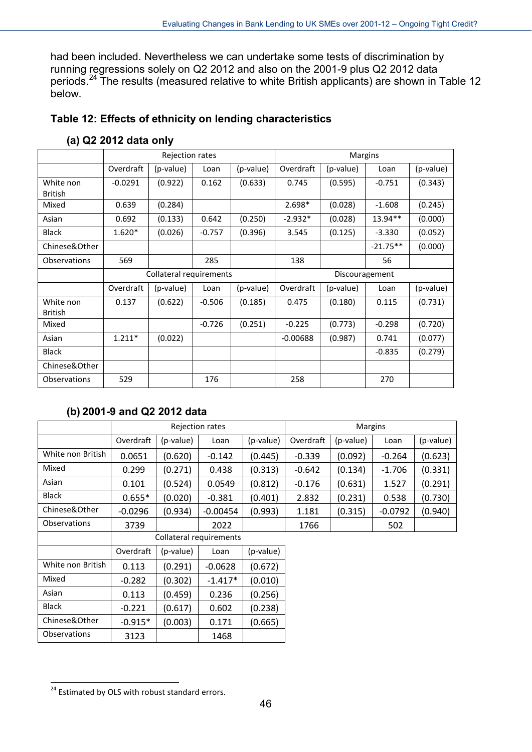had been included. Nevertheless we can undertake some tests of discrimination by running regressions solely on Q2 2012 and also on the 2001-9 plus Q2 2012 data periods.<sup>[24](#page-46-0)</sup> The results (measured relative to white British applicants) are shown in Table 12 below.

### **Table 12: Effects of ethnicity on lending characteristics**

|                             |           | Rejection rates         |          |           |                |           | Margins    |           |
|-----------------------------|-----------|-------------------------|----------|-----------|----------------|-----------|------------|-----------|
|                             | Overdraft | (p-value)               | Loan     | (p-value) | Overdraft      | (p-value) | Loan       | (p-value) |
| White non<br><b>British</b> | $-0.0291$ | (0.922)                 | 0.162    | (0.633)   | 0.745          | (0.595)   | $-0.751$   | (0.343)   |
| Mixed                       | 0.639     | (0.284)                 |          |           | 2.698*         | (0.028)   | $-1.608$   | (0.245)   |
| Asian                       | 0.692     | (0.133)                 | 0.642    | (0.250)   | $-2.932*$      | (0.028)   | 13.94**    | (0.000)   |
| <b>Black</b>                | $1.620*$  | (0.026)                 | $-0.757$ | (0.396)   | 3.545          | (0.125)   | $-3.330$   | (0.052)   |
| Chinese&Other               |           |                         |          |           |                |           | $-21.75**$ | (0.000)   |
| <b>Observations</b>         | 569       |                         | 285      |           | 138            |           | 56         |           |
|                             |           | Collateral requirements |          |           | Discouragement |           |            |           |
|                             | Overdraft | (p-value)               | Loan     | (p-value) | Overdraft      | (p-value) | Loan       | (p-value) |
| White non<br><b>British</b> | 0.137     | (0.622)                 | $-0.506$ | (0.185)   | 0.475          | (0.180)   | 0.115      | (0.731)   |
| Mixed                       |           |                         | $-0.726$ | (0.251)   | $-0.225$       | (0.773)   | $-0.298$   | (0.720)   |
| Asian                       | $1.211*$  | (0.022)                 |          |           | $-0.00688$     | (0.987)   | 0.741      | (0.077)   |
| <b>Black</b>                |           |                         |          |           |                |           | $-0.835$   | (0.279)   |
| Chinese&Other               |           |                         |          |           |                |           |            |           |
| <b>Observations</b>         | 529       |                         | 176      |           | 258            |           | 270        |           |

### **(a) Q2 2012 data only**

### **(b) 2001-9 and Q2 2012 data**

|                     |                                          |           | Rejection rates         |           |           | <b>Margins</b> |           |           |
|---------------------|------------------------------------------|-----------|-------------------------|-----------|-----------|----------------|-----------|-----------|
|                     | Overdraft                                | (p-value) | Loan                    | (p-value) | Overdraft | (p-value)      | Loan      | (p-value) |
| White non British   | 0.0651                                   | (0.620)   | $-0.142$                | (0.445)   | $-0.339$  | (0.092)        | $-0.264$  | (0.623)   |
| Mixed               | 0.299                                    | (0.271)   | 0.438                   | (0.313)   | $-0.642$  | (0.134)        | $-1.706$  | (0.331)   |
| Asian               | 0.101                                    | (0.524)   | 0.0549                  | (0.812)   | $-0.176$  | (0.631)        | 1.527     | (0.291)   |
| <b>Black</b>        | $0.655*$                                 | (0.020)   | $-0.381$                | (0.401)   | 2.832     | (0.231)        | 0.538     | (0.730)   |
| Chinese&Other       | $-0.0296$                                | (0.934)   | $-0.00454$              | (0.993)   | 1.181     | (0.315)        | $-0.0792$ | (0.940)   |
| <b>Observations</b> | 3739<br>2022                             |           |                         | 1766      |           | 502            |           |           |
|                     |                                          |           | Collateral requirements |           |           |                |           |           |
|                     | Overdraft                                | (p-value) | Loan                    | (p-value) |           |                |           |           |
| White non British   | 0.113                                    | (0.291)   | $-0.0628$               | (0.672)   |           |                |           |           |
| Mixed               | $-0.282$                                 | (0.302)   | $-1.417*$               | (0.010)   |           |                |           |           |
| Asian               | 0.113                                    | (0.459)   | 0.236                   | (0.256)   |           |                |           |           |
| <b>Black</b>        | (0.617)<br>$-0.221$<br>0.602<br>(0.238)  |           |                         |           |           |                |           |           |
| Chinese&Other       | (0.003)<br>$-0.915*$<br>0.171<br>(0.665) |           |                         |           |           |                |           |           |
| <b>Observations</b> | 3123                                     |           | 1468                    |           |           |                |           |           |

<span id="page-46-0"></span> $\overline{a}$ <sup>24</sup> Estimated by OLS with robust standard errors.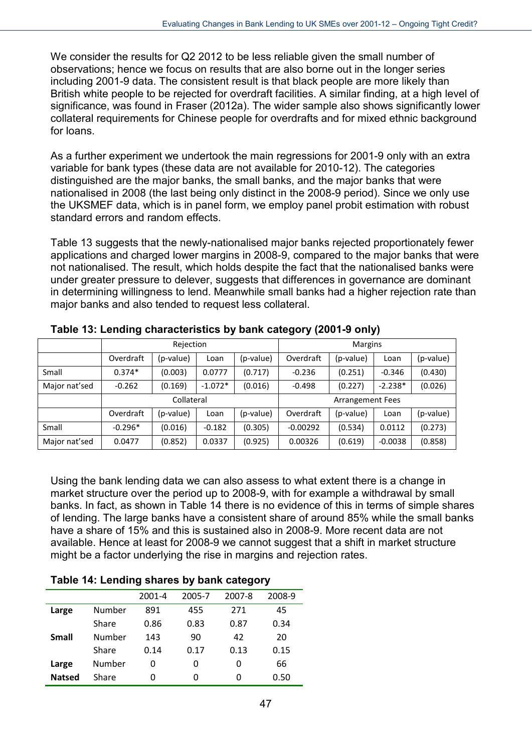We consider the results for Q2 2012 to be less reliable given the small number of observations; hence we focus on results that are also borne out in the longer series including 2001-9 data. The consistent result is that black people are more likely than British white people to be rejected for overdraft facilities. A similar finding, at a high level of significance, was found in Fraser (2012a). The wider sample also shows significantly lower collateral requirements for Chinese people for overdrafts and for mixed ethnic background for loans.

As a further experiment we undertook the main regressions for 2001-9 only with an extra variable for bank types (these data are not available for 2010-12). The categories distinguished are the major banks, the small banks, and the major banks that were nationalised in 2008 (the last being only distinct in the 2008-9 period). Since we only use the UKSMEF data, which is in panel form, we employ panel probit estimation with robust standard errors and random effects.

Table 13 suggests that the newly-nationalised major banks rejected proportionately fewer applications and charged lower margins in 2008-9, compared to the major banks that were not nationalised. The result, which holds despite the fact that the nationalised banks were under greater pressure to delever, suggests that differences in governance are dominant in determining willingness to lend. Meanwhile small banks had a higher rejection rate than major banks and also tended to request less collateral.

|               |           |            |           | -<br>. .  |                         |           |           |           |
|---------------|-----------|------------|-----------|-----------|-------------------------|-----------|-----------|-----------|
|               |           | Rejection  |           |           | Margins                 |           |           |           |
|               | Overdraft | (p-value)  | Loan      | (p-value) | Overdraft               | (p-value) | Loan      | (p-value) |
| Small         | $0.374*$  | (0.003)    | 0.0777    | (0.717)   | $-0.236$                | (0.251)   | $-0.346$  | (0.430)   |
| Major nat'sed | $-0.262$  | (0.169)    | $-1.072*$ | (0.016)   | $-0.498$                | (0.227)   | $-2.238*$ | (0.026)   |
|               |           | Collateral |           |           | <b>Arrangement Fees</b> |           |           |           |
|               | Overdraft | (p-value)  | Loan      | (p-value) | Overdraft               | (p-value) | Loan      | (p-value) |
| Small         | $-0.296*$ | (0.016)    | $-0.182$  | (0.305)   | $-0.00292$              | (0.534)   | 0.0112    | (0.273)   |
| Major nat'sed | 0.0477    | (0.852)    | 0.0337    | (0.925)   | 0.00326                 | (0.619)   | $-0.0038$ | (0.858)   |

**Table 13: Lending characteristics by bank category (2001-9 only)**

Using the bank lending data we can also assess to what extent there is a change in market structure over the period up to 2008-9, with for example a withdrawal by small banks. In fact, as shown in Table 14 there is no evidence of this in terms of simple shares of lending. The large banks have a consistent share of around 85% while the small banks have a share of 15% and this is sustained also in 2008-9. More recent data are not available. Hence at least for 2008-9 we cannot suggest that a shift in market structure might be a factor underlying the rise in margins and rejection rates.

### **Table 14: Lending shares by bank category**

|               |        | 2001-4 | 2005-7 | 2007-8 | 2008-9 |
|---------------|--------|--------|--------|--------|--------|
| Large         | Number | 891    | 455    | 271    | 45     |
|               | Share  | 0.86   | 0.83   | 0.87   | 0.34   |
| <b>Small</b>  | Number | 143    | 90     | 42     | 20     |
|               | Share  | 0.14   | 0.17   | 0.13   | 0.15   |
| Large         | Number | 0      | 0      | 0      | 66     |
| <b>Natsed</b> | Share  | 0      | 0      | 0      | 0.50   |
|               |        |        |        |        |        |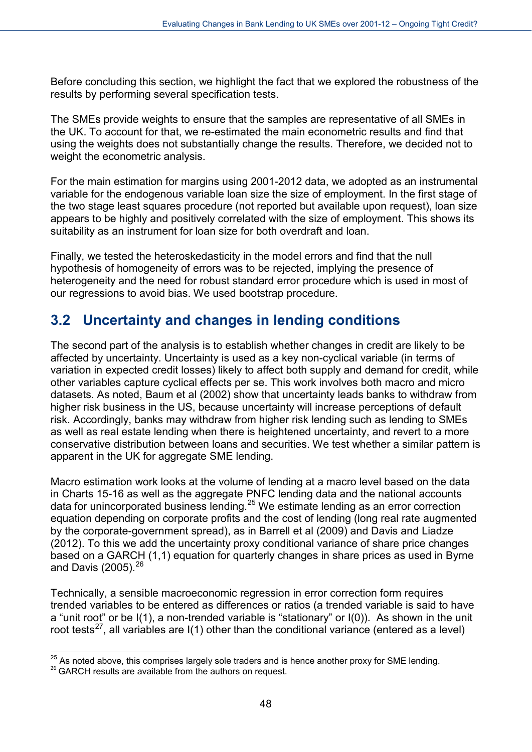Before concluding this section, we highlight the fact that we explored the robustness of the results by performing several specification tests.

The SMEs provide weights to ensure that the samples are representative of all SMEs in the UK. To account for that, we re-estimated the main econometric results and find that using the weights does not substantially change the results. Therefore, we decided not to weight the econometric analysis.

For the main estimation for margins using 2001-2012 data, we adopted as an instrumental variable for the endogenous variable loan size the size of employment. In the first stage of the two stage least squares procedure (not reported but available upon request), loan size appears to be highly and positively correlated with the size of employment. This shows its suitability as an instrument for loan size for both overdraft and loan.

Finally, we tested the heteroskedasticity in the model errors and find that the null hypothesis of homogeneity of errors was to be rejected, implying the presence of heterogeneity and the need for robust standard error procedure which is used in most of our regressions to avoid bias. We used bootstrap procedure.

## **3.2 Uncertainty and changes in lending conditions**

The second part of the analysis is to establish whether changes in credit are likely to be affected by uncertainty. Uncertainty is used as a key non-cyclical variable (in terms of variation in expected credit losses) likely to affect both supply and demand for credit, while other variables capture cyclical effects per se. This work involves both macro and micro datasets. As noted, Baum et al (2002) show that uncertainty leads banks to withdraw from higher risk business in the US, because uncertainty will increase perceptions of default risk. Accordingly, banks may withdraw from higher risk lending such as lending to SMEs as well as real estate lending when there is heightened uncertainty, and revert to a more conservative distribution between loans and securities. We test whether a similar pattern is apparent in the UK for aggregate SME lending.

Macro estimation work looks at the volume of lending at a macro level based on the data in Charts 15-16 as well as the aggregate PNFC lending data and the national accounts data for unincorporated business lending.[25](#page-48-0) We estimate lending as an error correction equation depending on corporate profits and the cost of lending (long real rate augmented by the corporate-government spread), as in Barrell et al (2009) and Davis and Liadze (2012). To this we add the uncertainty proxy conditional variance of share price changes based on a GARCH (1,1) equation for quarterly changes in share prices as used in Byrne and Davis (2005).  $^{26}$  $^{26}$  $^{26}$ 

Technically, a sensible macroeconomic regression in error correction form requires trended variables to be entered as differences or ratios (a trended variable is said to have a "unit root" or be I(1), a non-trended variable is "stationary" or I(0)). As shown in the unit root tests<sup>[27](#page-48-2)</sup>, all variables are  $I(1)$  other than the conditional variance (entered as a level)

 $\overline{a}$  $^{25}$  As noted above, this comprises largely sole traders and is hence another proxy for SME lending.

<span id="page-48-2"></span><span id="page-48-1"></span><span id="page-48-0"></span><sup>&</sup>lt;sup>26</sup> GARCH results are available from the authors on request.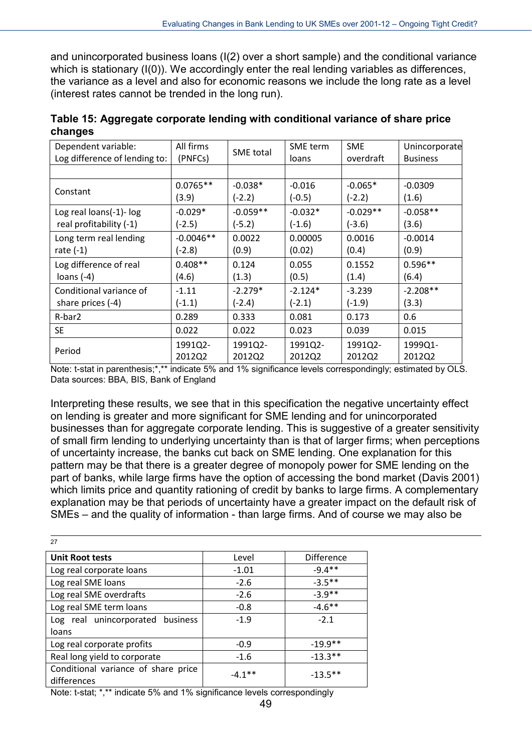and unincorporated business loans (I(2) over a short sample) and the conditional variance which is stationary (I(0)). We accordingly enter the real lending variables as differences, the variance as a level and also for economic reasons we include the long rate as a level (interest rates cannot be trended in the long run).

| Dependent variable:           | All firms   | SME total  | <b>SME</b> term | <b>SME</b> | Unincorporate   |
|-------------------------------|-------------|------------|-----------------|------------|-----------------|
| Log difference of lending to: | (PNFCs)     |            | loans           | overdraft  | <b>Business</b> |
|                               |             |            |                 |            |                 |
| Constant                      | $0.0765**$  | $-0.038*$  | $-0.016$        | $-0.065*$  | $-0.0309$       |
|                               | (3.9)       | $(-2.2)$   | $(-0.5)$        | $(-2.2)$   | (1.6)           |
| Log real loans(-1)- log       | $-0.029*$   | $-0.059**$ | $-0.032*$       | $-0.029**$ | $-0.058**$      |
| real profitability (-1)       | $(-2.5)$    | $(-5.2)$   | $(-1.6)$        | $(-3.6)$   | (3.6)           |
| Long term real lending        | $-0.0046**$ | 0.0022     | 0.00005         | 0.0016     | $-0.0014$       |
| rate $(-1)$                   | $(-2.8)$    | (0.9)      | (0.02)          | (0.4)      | (0.9)           |
| Log difference of real        | $0.408**$   | 0.124      | 0.055           | 0.1552     | $0.596**$       |
| loans $(-4)$                  | (4.6)       | (1.3)      | (0.5)           | (1.4)      | (6.4)           |
| Conditional variance of       | $-1.11$     | $-2.279*$  | $-2.124*$       | $-3.239$   | $-2.208**$      |
| share prices $(-4)$           | $(-1.1)$    | $(-2.4)$   | $(-2.1)$        | $(-1.9)$   | (3.3)           |
| R-bar2                        | 0.289       | 0.333      | 0.081           | 0.173      | 0.6             |
| <b>SE</b>                     | 0.022       | 0.022      | 0.023           | 0.039      | 0.015           |
| Period                        | 1991Q2-     | 1991Q2-    | 1991Q2-         | 1991Q2-    | 1999Q1-         |
|                               | 2012Q2      | 2012Q2     | 2012Q2          | 2012Q2     | 2012Q2          |

**Table 15: Aggregate corporate lending with conditional variance of share price changes**

Note: t-stat in parenthesis;\*,\*\* indicate 5% and 1% significance levels correspondingly; estimated by OLS. Data sources: BBA, BIS, Bank of England

Interpreting these results, we see that in this specification the negative uncertainty effect on lending is greater and more significant for SME lending and for unincorporated businesses than for aggregate corporate lending. This is suggestive of a greater sensitivity of small firm lending to underlying uncertainty than is that of larger firms; when perceptions of uncertainty increase, the banks cut back on SME lending. One explanation for this pattern may be that there is a greater degree of monopoly power for SME lending on the part of banks, while large firms have the option of accessing the bond market (Davis 2001) which limits price and quantity rationing of credit by banks to large firms. A complementary explanation may be that periods of uncertainty have a greater impact on the default risk of SMEs – and the quality of information - than large firms. And of course we may also be

| 27                                                 |           |                   |
|----------------------------------------------------|-----------|-------------------|
| <b>Unit Root tests</b>                             | Level     | <b>Difference</b> |
| Log real corporate loans                           | $-1.01$   | $-9.4**$          |
| Log real SME loans                                 | $-2.6$    | $-3.5***$         |
| Log real SME overdrafts                            | $-2.6$    | $-3.9**$          |
| Log real SME term loans                            | $-0.8$    | $-4.6***$         |
| Log real unincorporated business<br>loans          | $-1.9$    | $-2.1$            |
| Log real corporate profits                         | $-0.9$    | $-19.9**$         |
| Real long yield to corporate                       | $-1.6$    | $-13.3**$         |
| Conditional variance of share price<br>differences | $-4.1***$ | $-13.5***$        |

Note: t-stat; \*,\*\* indicate 5% and 1% significance levels correspondingly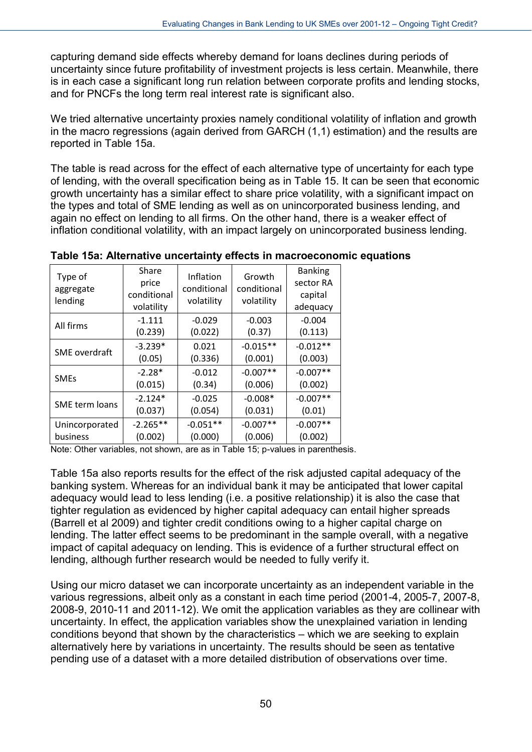capturing demand side effects whereby demand for loans declines during periods of uncertainty since future profitability of investment projects is less certain. Meanwhile, there is in each case a significant long run relation between corporate profits and lending stocks, and for PNCFs the long term real interest rate is significant also.

We tried alternative uncertainty proxies namely conditional volatility of inflation and growth in the macro regressions (again derived from GARCH (1,1) estimation) and the results are reported in Table 15a.

The table is read across for the effect of each alternative type of uncertainty for each type of lending, with the overall specification being as in Table 15. It can be seen that economic growth uncertainty has a similar effect to share price volatility, with a significant impact on the types and total of SME lending as well as on unincorporated business lending, and again no effect on lending to all firms. On the other hand, there is a weaker effect of inflation conditional volatility, with an impact largely on unincorporated business lending.

| Type of<br>aggregate<br>lending | Share<br>price<br>conditional<br>volatility | Inflation<br>conditional<br>volatility | Growth<br>conditional<br>volatility | <b>Banking</b><br>sector RA<br>capital<br>adequacy |
|---------------------------------|---------------------------------------------|----------------------------------------|-------------------------------------|----------------------------------------------------|
| All firms                       | $-1.111$                                    | $-0.029$                               | $-0.003$                            | $-0.004$                                           |
|                                 | (0.239)                                     | (0.022)                                | (0.37)                              | (0.113)                                            |
| SME overdraft                   | $-3.239*$                                   | 0.021                                  | $-0.015**$                          | $-0.012**$                                         |
|                                 | (0.05)                                      | (0.336)                                | (0.001)                             | (0.003)                                            |
| <b>SMEs</b>                     | $-2.28*$                                    | $-0.012$                               | $-0.007**$                          | $-0.007**$                                         |
|                                 | (0.015)                                     | (0.34)                                 | (0.006)                             | (0.002)                                            |
| SME term loans                  | $-2.124*$                                   | $-0.025$                               | $-0.008*$                           | $-0.007**$                                         |
|                                 | (0.037)                                     | (0.054)                                | (0.031)                             | (0.01)                                             |
| Unincorporated                  | $-2.265**$                                  | $-0.051**$                             | $-0.007**$                          | $-0.007**$                                         |
| business                        | (0.002)                                     | (0.000)                                | (0.006)                             | (0.002)                                            |

**Table 15a: Alternative uncertainty effects in macroeconomic equations**

Note: Other variables, not shown, are as in Table 15; p-values in parenthesis.

Table 15a also reports results for the effect of the risk adjusted capital adequacy of the banking system. Whereas for an individual bank it may be anticipated that lower capital adequacy would lead to less lending (i.e. a positive relationship) it is also the case that tighter regulation as evidenced by higher capital adequacy can entail higher spreads (Barrell et al 2009) and tighter credit conditions owing to a higher capital charge on lending. The latter effect seems to be predominant in the sample overall, with a negative impact of capital adequacy on lending. This is evidence of a further structural effect on lending, although further research would be needed to fully verify it.

Using our micro dataset we can incorporate uncertainty as an independent variable in the various regressions, albeit only as a constant in each time period (2001-4, 2005-7, 2007-8, 2008-9, 2010-11 and 2011-12). We omit the application variables as they are collinear with uncertainty. In effect, the application variables show the unexplained variation in lending conditions beyond that shown by the characteristics – which we are seeking to explain alternatively here by variations in uncertainty. The results should be seen as tentative pending use of a dataset with a more detailed distribution of observations over time.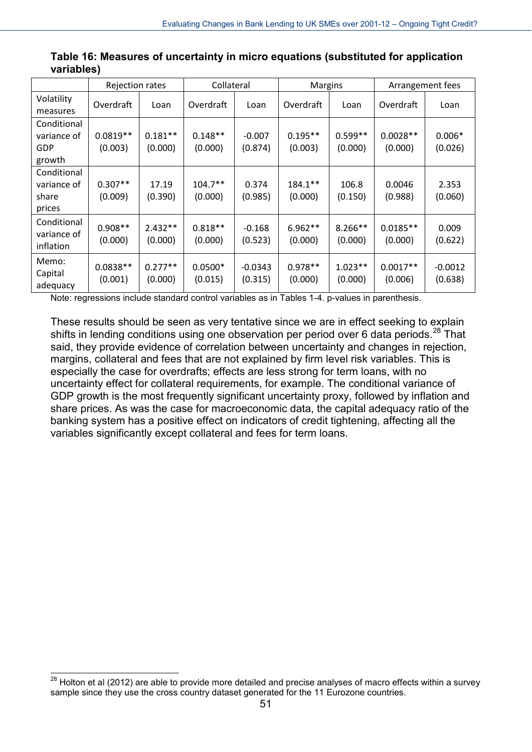|                                               | Rejection rates       |                      | Collateral           |                      | Margins              |                      | Arrangement fees      |                      |
|-----------------------------------------------|-----------------------|----------------------|----------------------|----------------------|----------------------|----------------------|-----------------------|----------------------|
| Volatility<br>measures                        | Overdraft             | Loan                 | Overdraft            | Loan                 | Overdraft            | Loan                 | Overdraft             | Loan                 |
| Conditional<br>variance of<br>GDP<br>growth   | $0.0819**$<br>(0.003) | $0.181**$<br>(0.000) | $0.148**$<br>(0.000) | $-0.007$<br>(0.874)  | $0.195**$<br>(0.003) | $0.599**$<br>(0.000) | $0.0028**$<br>(0.000) | $0.006*$<br>(0.026)  |
| Conditional<br>variance of<br>share<br>prices | $0.307**$<br>(0.009)  | 17.19<br>(0.390)     | $104.7**$<br>(0.000) | 0.374<br>(0.985)     | $184.1**$<br>(0.000) | 106.8<br>(0.150)     | 0.0046<br>(0.988)     | 2.353<br>(0.060)     |
| Conditional<br>variance of<br>inflation       | $0.908**$<br>(0.000)  | $2.432**$<br>(0.000) | $0.818**$<br>(0.000) | $-0.168$<br>(0.523)  | $6.962**$<br>(0.000) | $8.266**$<br>(0.000) | $0.0185**$<br>(0.000) | 0.009<br>(0.622)     |
| Memo:<br>Capital<br>adequacy                  | $0.0838**$<br>(0.001) | $0.277**$<br>(0.000) | $0.0500*$<br>(0.015) | $-0.0343$<br>(0.315) | $0.978**$<br>(0.000) | $1.023**$<br>(0.000) | $0.0017**$<br>(0.006) | $-0.0012$<br>(0.638) |

| Table 16: Measures of uncertainty in micro equations (substituted for application |  |  |  |
|-----------------------------------------------------------------------------------|--|--|--|
| variables)                                                                        |  |  |  |

Note: regressions include standard control variables as in Tables 1-4. p-values in parenthesis.

These results should be seen as very tentative since we are in effect seeking to explain shifts in lending conditions using one observation per period over 6 data periods.<sup>[28](#page-51-0)</sup> That said, they provide evidence of correlation between uncertainty and changes in rejection, margins, collateral and fees that are not explained by firm level risk variables. This is especially the case for overdrafts; effects are less strong for term loans, with no uncertainty effect for collateral requirements, for example. The conditional variance of GDP growth is the most frequently significant uncertainty proxy, followed by inflation and share prices. As was the case for macroeconomic data, the capital adequacy ratio of the banking system has a positive effect on indicators of credit tightening, affecting all the variables significantly except collateral and fees for term loans.

-

<span id="page-51-0"></span> $^{28}$  Holton et al (2012) are able to provide more detailed and precise analyses of macro effects within a survey sample since they use the cross country dataset generated for the 11 Eurozone countries.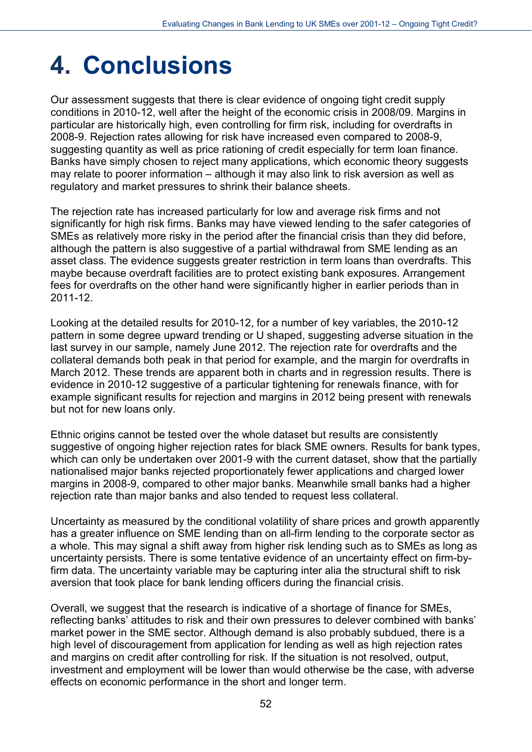# **4. Conclusions**

Our assessment suggests that there is clear evidence of ongoing tight credit supply conditions in 2010-12, well after the height of the economic crisis in 2008/09. Margins in particular are historically high, even controlling for firm risk, including for overdrafts in 2008-9. Rejection rates allowing for risk have increased even compared to 2008-9, suggesting quantity as well as price rationing of credit especially for term loan finance. Banks have simply chosen to reject many applications, which economic theory suggests may relate to poorer information – although it may also link to risk aversion as well as regulatory and market pressures to shrink their balance sheets.

The rejection rate has increased particularly for low and average risk firms and not significantly for high risk firms. Banks may have viewed lending to the safer categories of SMEs as relatively more risky in the period after the financial crisis than they did before, although the pattern is also suggestive of a partial withdrawal from SME lending as an asset class. The evidence suggests greater restriction in term loans than overdrafts. This maybe because overdraft facilities are to protect existing bank exposures. Arrangement fees for overdrafts on the other hand were significantly higher in earlier periods than in 2011-12.

Looking at the detailed results for 2010-12, for a number of key variables, the 2010-12 pattern in some degree upward trending or U shaped, suggesting adverse situation in the last survey in our sample, namely June 2012. The rejection rate for overdrafts and the collateral demands both peak in that period for example, and the margin for overdrafts in March 2012. These trends are apparent both in charts and in regression results. There is evidence in 2010-12 suggestive of a particular tightening for renewals finance, with for example significant results for rejection and margins in 2012 being present with renewals but not for new loans only.

Ethnic origins cannot be tested over the whole dataset but results are consistently suggestive of ongoing higher rejection rates for black SME owners. Results for bank types, which can only be undertaken over 2001-9 with the current dataset, show that the partially nationalised major banks rejected proportionately fewer applications and charged lower margins in 2008-9, compared to other major banks. Meanwhile small banks had a higher rejection rate than major banks and also tended to request less collateral.

Uncertainty as measured by the conditional volatility of share prices and growth apparently has a greater influence on SME lending than on all-firm lending to the corporate sector as a whole. This may signal a shift away from higher risk lending such as to SMEs as long as uncertainty persists. There is some tentative evidence of an uncertainty effect on firm-byfirm data. The uncertainty variable may be capturing inter alia the structural shift to risk aversion that took place for bank lending officers during the financial crisis.

Overall, we suggest that the research is indicative of a shortage of finance for SMEs, reflecting banks' attitudes to risk and their own pressures to delever combined with banks' market power in the SME sector. Although demand is also probably subdued, there is a high level of discouragement from application for lending as well as high rejection rates and margins on credit after controlling for risk. If the situation is not resolved, output, investment and employment will be lower than would otherwise be the case, with adverse effects on economic performance in the short and longer term.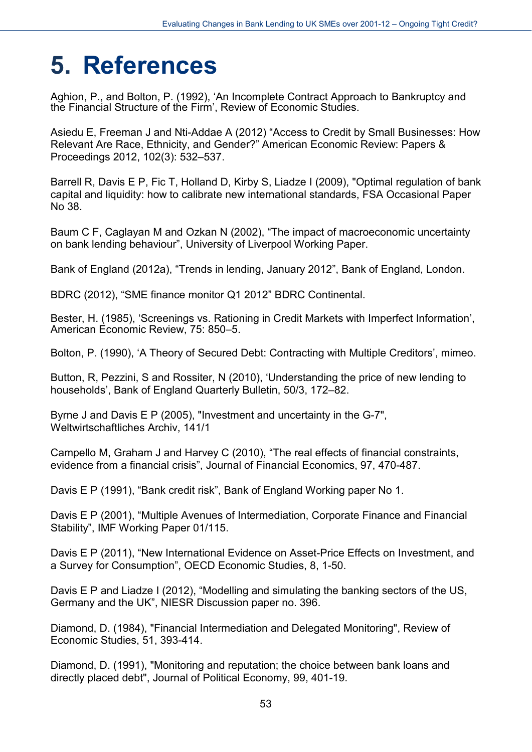# **5. References**

Aghion, P., and Bolton, P. (1992), 'An Incomplete Contract Approach to Bankruptcy and the Financial Structure of the Firm', Review of Economic Studies.

Asiedu E, Freeman J and Nti-Addae A (2012) "Access to Credit by Small Businesses: How Relevant Are Race, Ethnicity, and Gender?" American Economic Review: Papers & Proceedings 2012, 102(3): 532–537.

Barrell R, Davis E P, Fic T, Holland D, Kirby S, Liadze I (2009), "Optimal regulation of bank capital and liquidity: how to calibrate new international standards, FSA Occasional Paper No 38.

Baum C F, Caglayan M and Ozkan N (2002), "The impact of macroeconomic uncertainty on bank lending behaviour", University of Liverpool Working Paper.

Bank of England (2012a), "Trends in lending, January 2012", Bank of England, London.

BDRC (2012), "SME finance monitor Q1 2012" BDRC Continental.

Bester, H. (1985), 'Screenings vs. Rationing in Credit Markets with Imperfect Information', American Economic Review, 75: 850–5.

Bolton, P. (1990), 'A Theory of Secured Debt: Contracting with Multiple Creditors', mimeo.

Button, R, Pezzini, S and Rossiter, N (2010), 'Understanding the price of new lending to households', Bank of England Quarterly Bulletin, 50/3, 172–82.

Byrne J and Davis E P (2005), "Investment and uncertainty in the G-7", Weltwirtschaftliches Archiv, 141/1

Campello M, Graham J and Harvey C (2010), "The real effects of financial constraints, evidence from a financial crisis", Journal of Financial Economics, 97, 470-487.

Davis E P (1991), "Bank credit risk", Bank of England Working paper No 1.

Davis E P (2001), "Multiple Avenues of Intermediation, Corporate Finance and Financial Stability", IMF Working Paper 01/115.

Davis E P (2011), "New International Evidence on Asset-Price Effects on Investment, and a Survey for Consumption", OECD Economic Studies, 8, 1-50.

Davis E P and Liadze I (2012), "Modelling and simulating the banking sectors of the US, Germany and the UK", NIESR Discussion paper no. 396.

Diamond, D. (1984), "Financial Intermediation and Delegated Monitoring", Review of Economic Studies, 51, 393-414.

Diamond, D. (1991), "Monitoring and reputation; the choice between bank loans and directly placed debt", Journal of Political Economy, 99, 401-19.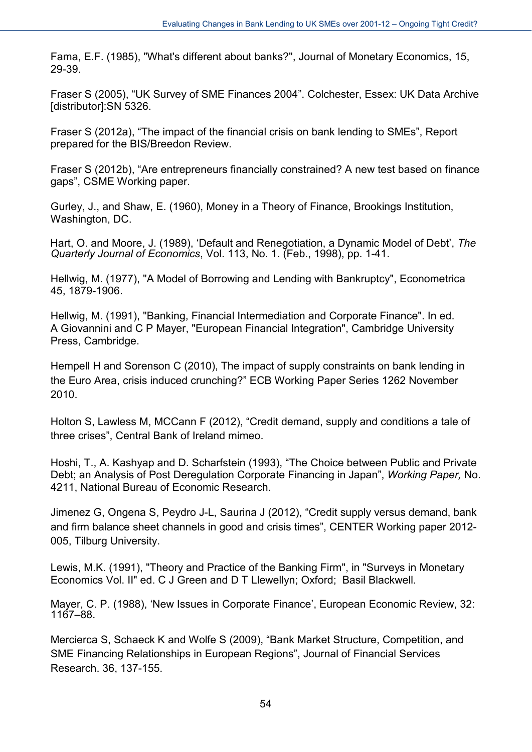Fama, E.F. (1985), "What's different about banks?", Journal of Monetary Economics, 15, 29-39.

Fraser S (2005), "UK Survey of SME Finances 2004". Colchester, Essex: UK Data Archive [distributor]:SN 5326.

Fraser S (2012a), "The impact of the financial crisis on bank lending to SMEs", Report prepared for the BIS/Breedon Review.

Fraser S (2012b), "Are entrepreneurs financially constrained? A new test based on finance gaps", CSME Working paper.

Gurley, J., and Shaw, E. (1960), Money in a Theory of Finance, Brookings Institution, Washington, DC.

Hart, O. and Moore, J. (1989), 'Default and Renegotiation, a Dynamic Model of Debt', *The Quarterly Journal of Economics*, Vol. 113, No. 1. (Feb., 1998), pp. 1-41.

Hellwig, M. (1977), "A Model of Borrowing and Lending with Bankruptcy", Econometrica 45, 1879-1906.

Hellwig, M. (1991), "Banking, Financial Intermediation and Corporate Finance". In ed. A Giovannini and C P Mayer, "European Financial Integration", Cambridge University Press, Cambridge.

Hempell H and Sorenson C (2010), The impact of supply constraints on bank lending in the Euro Area, crisis induced crunching?" ECB Working Paper Series 1262 November 2010.

Holton S, Lawless M, MCCann F (2012), "Credit demand, supply and conditions a tale of three crises", Central Bank of Ireland mimeo.

Hoshi, T., A. Kashyap and D. Scharfstein (1993), "The Choice between Public and Private Debt; an Analysis of Post Deregulation Corporate Financing in Japan", *Working Paper,* No. 4211, National Bureau of Economic Research.

Jimenez G, Ongena S, Peydro J-L, Saurina J (2012), "Credit supply versus demand, bank and firm balance sheet channels in good and crisis times", CENTER Working paper 2012- 005, Tilburg University.

Lewis, M.K. (1991), "Theory and Practice of the Banking Firm", in "Surveys in Monetary Economics Vol. II" ed. C J Green and D T Llewellyn; Oxford; Basil Blackwell.

Mayer, C. P. (1988), 'New Issues in Corporate Finance', European Economic Review, 32: 1167–88.

Mercierca S, Schaeck K and Wolfe S (2009), "Bank Market Structure, Competition, and SME Financing Relationships in European Regions", Journal of Financial Services Research. 36, 137-155.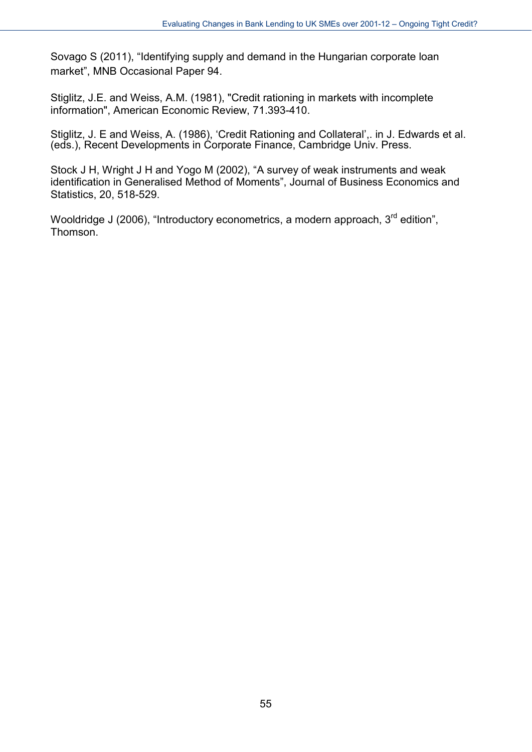Sovago S (2011), "Identifying supply and demand in the Hungarian corporate loan market", MNB Occasional Paper 94.

Stiglitz, J.E. and Weiss, A.M. (1981), "Credit rationing in markets with incomplete information", American Economic Review, 71.393-410.

Stiglitz, J. E and Weiss, A. (1986), 'Credit Rationing and Collateral',. in J. Edwards et al. (eds.), Recent Developments in Corporate Finance, Cambridge Univ. Press.

Stock J H, Wright J H and Yogo M (2002), "A survey of weak instruments and weak identification in Generalised Method of Moments", Journal of Business Economics and Statistics, 20, 518-529.

Wooldridge J (2006), "Introductory econometrics, a modern approach,  $3<sup>rd</sup>$  edition", Thomson.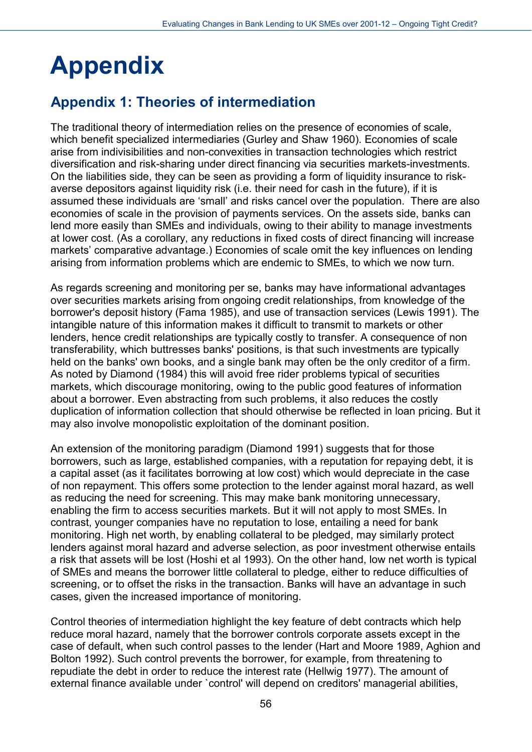# **Appendix**

# **Appendix 1: Theories of intermediation**

The traditional theory of intermediation relies on the presence of economies of scale, which benefit specialized intermediaries (Gurley and Shaw 1960). Economies of scale arise from indivisibilities and non-convexities in transaction technologies which restrict diversification and risk-sharing under direct financing via securities markets-investments. On the liabilities side, they can be seen as providing a form of liquidity insurance to riskaverse depositors against liquidity risk (i.e. their need for cash in the future), if it is assumed these individuals are 'small' and risks cancel over the population. There are also economies of scale in the provision of payments services. On the assets side, banks can lend more easily than SMEs and individuals, owing to their ability to manage investments at lower cost. (As a corollary, any reductions in fixed costs of direct financing will increase markets' comparative advantage.) Economies of scale omit the key influences on lending arising from information problems which are endemic to SMEs, to which we now turn.

As regards screening and monitoring per se, banks may have informational advantages over securities markets arising from ongoing credit relationships, from knowledge of the borrower's deposit history (Fama 1985), and use of transaction services (Lewis 1991). The intangible nature of this information makes it difficult to transmit to markets or other lenders, hence credit relationships are typically costly to transfer. A consequence of non transferability, which buttresses banks' positions, is that such investments are typically held on the banks' own books, and a single bank may often be the only creditor of a firm. As noted by Diamond (1984) this will avoid free rider problems typical of securities markets, which discourage monitoring, owing to the public good features of information about a borrower. Even abstracting from such problems, it also reduces the costly duplication of information collection that should otherwise be reflected in loan pricing. But it may also involve monopolistic exploitation of the dominant position.

An extension of the monitoring paradigm (Diamond 1991) suggests that for those borrowers, such as large, established companies, with a reputation for repaying debt, it is a capital asset (as it facilitates borrowing at low cost) which would depreciate in the case of non repayment. This offers some protection to the lender against moral hazard, as well as reducing the need for screening. This may make bank monitoring unnecessary, enabling the firm to access securities markets. But it will not apply to most SMEs. In contrast, younger companies have no reputation to lose, entailing a need for bank monitoring. High net worth, by enabling collateral to be pledged, may similarly protect lenders against moral hazard and adverse selection, as poor investment otherwise entails a risk that assets will be lost (Hoshi et al 1993). On the other hand, low net worth is typical of SMEs and means the borrower little collateral to pledge, either to reduce difficulties of screening, or to offset the risks in the transaction. Banks will have an advantage in such cases, given the increased importance of monitoring.

Control theories of intermediation highlight the key feature of debt contracts which help reduce moral hazard, namely that the borrower controls corporate assets except in the case of default, when such control passes to the lender (Hart and Moore 1989, Aghion and Bolton 1992). Such control prevents the borrower, for example, from threatening to repudiate the debt in order to reduce the interest rate (Hellwig 1977). The amount of external finance available under 'control' will depend on creditors' managerial abilities,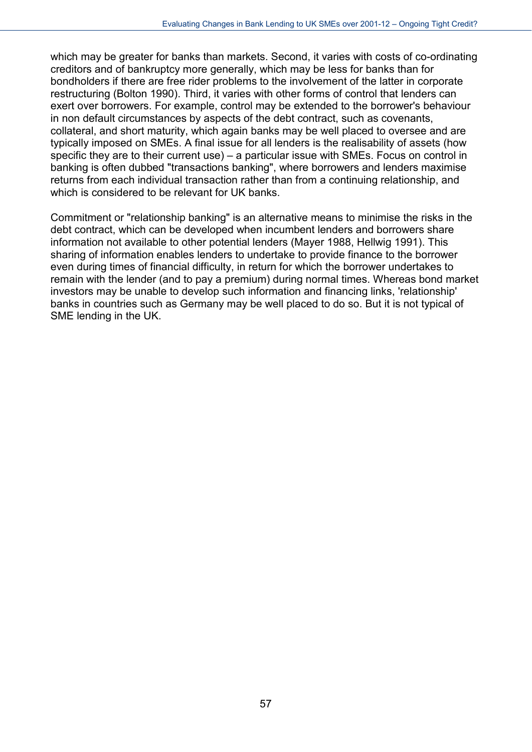which may be greater for banks than markets. Second, it varies with costs of co-ordinating creditors and of bankruptcy more generally, which may be less for banks than for bondholders if there are free rider problems to the involvement of the latter in corporate restructuring (Bolton 1990). Third, it varies with other forms of control that lenders can exert over borrowers. For example, control may be extended to the borrower's behaviour in non default circumstances by aspects of the debt contract, such as covenants, collateral, and short maturity, which again banks may be well placed to oversee and are typically imposed on SMEs. A final issue for all lenders is the realisability of assets (how specific they are to their current use) – a particular issue with SMEs. Focus on control in banking is often dubbed "transactions banking", where borrowers and lenders maximise returns from each individual transaction rather than from a continuing relationship, and which is considered to be relevant for UK banks.

Commitment or "relationship banking" is an alternative means to minimise the risks in the debt contract, which can be developed when incumbent lenders and borrowers share information not available to other potential lenders (Mayer 1988, Hellwig 1991). This sharing of information enables lenders to undertake to provide finance to the borrower even during times of financial difficulty, in return for which the borrower undertakes to remain with the lender (and to pay a premium) during normal times. Whereas bond market investors may be unable to develop such information and financing links, 'relationship' banks in countries such as Germany may be well placed to do so. But it is not typical of SME lending in the UK.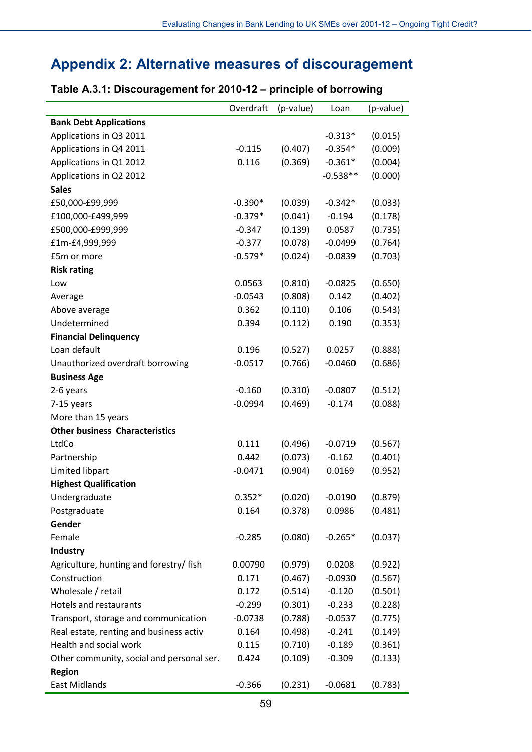## **Appendix 2: Alternative measures of discouragement**

### Overdraft (p-value) Loan (p-value) **Bank Debt Applications** Applications in Q3 2011  $-0.313*$   $(0.015)$ Applications in Q4 2011 -0.115 (0.407) -0.354\* (0.009) Applications in Q1 2012 **0.116** (0.369) -0.361\* (0.004) Applications in Q2 2012 -0.538\*\* (0.000) **Sales** £50,000-£99,999 -0.390\* (0.039) -0.342\* (0.033) £100,000-£499,999 -0.379\* (0.041) -0.194 (0.178) £500,000-£999,999 -0.347 (0.139) 0.0587 (0.735) £1m-£4,999,999 -0.377 (0.078) -0.0499 (0.764) £5m or more -0.579\* (0.024) -0.0839 (0.703) **Risk rating** Low 0.0563 (0.810) -0.0825 (0.650) Average -0.0543 (0.808) 0.142 (0.402) Above average 2003 0.362 (0.110) 0.106 (0.543) Undetermined 0.394 (0.112) 0.190 (0.353) **Financial Delinquency** Loan default 0.196 (0.527) 0.0257 (0.888) Unauthorized overdraft borrowing  $-0.0517$  (0.766) -0.0460 (0.686) **Business Age** 2-6 years -0.160 (0.310) -0.0807 (0.512) 7-15 years -0.0994 (0.469) -0.174 (0.088) More than 15 years **Other business Characteristics** LtdCo 0.111 (0.496) -0.0719 (0.567) Partnership 0.442 (0.073) -0.162 (0.401) Limited libpart -0.0471 (0.904) 0.0169 (0.952) **Highest Qualification** Undergraduate 0.352\* (0.020) -0.0190 (0.879) Postgraduate 0.164 (0.378) 0.0986 (0.481) **Gender** Female **19.285** (0.080) -0.265\* (0.037) **Industry** Agriculture, hunting and forestry/ fish 0.00790 (0.979) 0.0208 (0.922) Construction 0.171 (0.467) -0.0930 (0.567) Wholesale / retail  $0.172$   $(0.514)$   $-0.120$   $(0.501)$ Hotels and restaurants -0.299 (0.301) -0.233 (0.228) Transport, storage and communication  $-0.0738$  (0.788) -0.0537 (0.775) Real estate, renting and business activ  $0.164$   $(0.498)$   $-0.241$   $(0.149)$ Health and social work 0.115 (0.710) -0.189 (0.361) Other community, social and personal ser. 0.424 (0.109) -0.309 (0.133)

### **Table A.3.1: Discouragement for 2010-12 – principle of borrowing**

East Midlands -0.366 (0.231) -0.0681 (0.783)

**Region**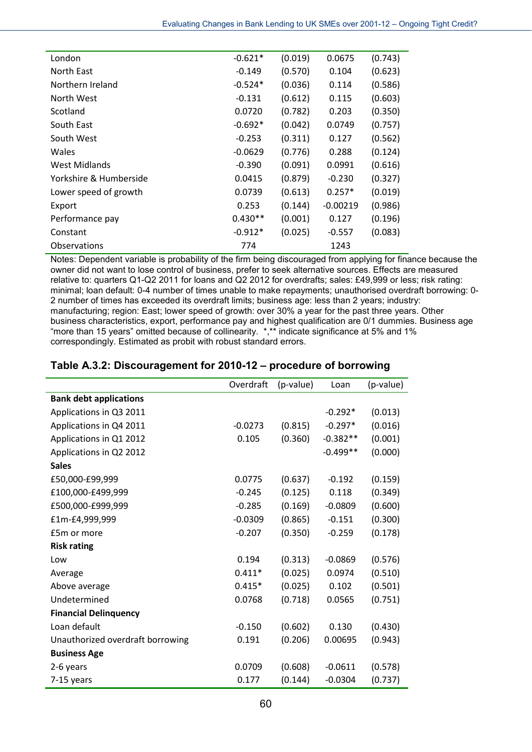| London                 | $-0.621*$ | (0.019) | 0.0675     | (0.743) |
|------------------------|-----------|---------|------------|---------|
| North East             | $-0.149$  | (0.570) | 0.104      | (0.623) |
| Northern Ireland       | $-0.524*$ | (0.036) | 0.114      | (0.586) |
| North West             | $-0.131$  | (0.612) | 0.115      | (0.603) |
| Scotland               | 0.0720    | (0.782) | 0.203      | (0.350) |
| South East             | $-0.692*$ | (0.042) | 0.0749     | (0.757) |
| South West             | $-0.253$  | (0.311) | 0.127      | (0.562) |
| Wales                  | $-0.0629$ | (0.776) | 0.288      | (0.124) |
| West Midlands          | $-0.390$  | (0.091) | 0.0991     | (0.616) |
| Yorkshire & Humberside | 0.0415    | (0.879) | $-0.230$   | (0.327) |
| Lower speed of growth  | 0.0739    | (0.613) | $0.257*$   | (0.019) |
| Export                 | 0.253     | (0.144) | $-0.00219$ | (0.986) |
| Performance pay        | $0.430**$ | (0.001) | 0.127      | (0.196) |
| Constant               | $-0.912*$ | (0.025) | $-0.557$   | (0.083) |
| Observations           | 774       |         | 1243       |         |

Notes: Dependent variable is probability of the firm being discouraged from applying for finance because the owner did not want to lose control of business, prefer to seek alternative sources. Effects are measured relative to: quarters Q1-Q2 2011 for loans and Q2 2012 for overdrafts; sales: £49,999 or less; risk rating: minimal; loan default: 0-4 number of times unable to make repayments; unauthorised overdraft borrowing: 0- 2 number of times has exceeded its overdraft limits; business age: less than 2 years; industry: manufacturing; region: East; lower speed of growth: over 30% a year for the past three years. Other business characteristics, export, performance pay and highest qualification are 0/1 dummies. Business age more than 15 years" omitted because of collinearity. \*,\*\* indicate significance at 5% and 1% correspondingly. Estimated as probit with robust standard errors.

| Table A.3.2: Discouragement for 2010-12 – procedure of borrowing |                                         |  |
|------------------------------------------------------------------|-----------------------------------------|--|
|                                                                  | $Quardraft (n valua)$ $lcan$ $(n valu)$ |  |

|                                  | Overdraft | (p-value) | Loan       | (p-value) |
|----------------------------------|-----------|-----------|------------|-----------|
| <b>Bank debt applications</b>    |           |           |            |           |
| Applications in Q3 2011          |           |           | $-0.292*$  | (0.013)   |
| Applications in Q4 2011          | $-0.0273$ | (0.815)   | $-0.297*$  | (0.016)   |
| Applications in Q1 2012          | 0.105     | (0.360)   | $-0.382**$ | (0.001)   |
| Applications in Q2 2012          |           |           | $-0.499**$ | (0.000)   |
| <b>Sales</b>                     |           |           |            |           |
| £50,000-£99,999                  | 0.0775    | (0.637)   | $-0.192$   | (0.159)   |
| £100,000-£499,999                | $-0.245$  | (0.125)   | 0.118      | (0.349)   |
| £500,000-£999,999                | $-0.285$  | (0.169)   | $-0.0809$  | (0.600)   |
| £1m-£4,999,999                   | $-0.0309$ | (0.865)   | $-0.151$   | (0.300)   |
| £5m or more                      | $-0.207$  | (0.350)   | $-0.259$   | (0.178)   |
| <b>Risk rating</b>               |           |           |            |           |
| Low                              | 0.194     | (0.313)   | $-0.0869$  | (0.576)   |
| Average                          | $0.411*$  | (0.025)   | 0.0974     | (0.510)   |
| Above average                    | $0.415*$  | (0.025)   | 0.102      | (0.501)   |
| Undetermined                     | 0.0768    | (0.718)   | 0.0565     | (0.751)   |
| <b>Financial Delinquency</b>     |           |           |            |           |
| Loan default                     | $-0.150$  | (0.602)   | 0.130      | (0.430)   |
| Unauthorized overdraft borrowing | 0.191     | (0.206)   | 0.00695    | (0.943)   |
| <b>Business Age</b>              |           |           |            |           |
| 2-6 years                        | 0.0709    | (0.608)   | $-0.0611$  | (0.578)   |
| 7-15 years                       | 0.177     | (0.144)   | $-0.0304$  | (0.737)   |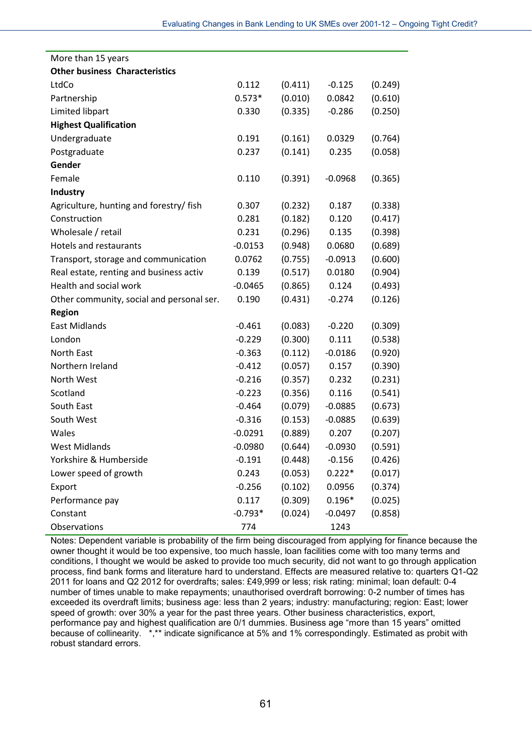| More than 15 years                        |           |         |           |         |
|-------------------------------------------|-----------|---------|-----------|---------|
| <b>Other business Characteristics</b>     |           |         |           |         |
| LtdCo                                     | 0.112     | (0.411) | $-0.125$  | (0.249) |
| Partnership                               | $0.573*$  | (0.010) | 0.0842    | (0.610) |
| Limited libpart                           | 0.330     | (0.335) | $-0.286$  | (0.250) |
| <b>Highest Qualification</b>              |           |         |           |         |
| Undergraduate                             | 0.191     | (0.161) | 0.0329    | (0.764) |
| Postgraduate                              | 0.237     | (0.141) | 0.235     | (0.058) |
| Gender                                    |           |         |           |         |
| Female                                    | 0.110     | (0.391) | $-0.0968$ | (0.365) |
| <b>Industry</b>                           |           |         |           |         |
| Agriculture, hunting and forestry/ fish   | 0.307     | (0.232) | 0.187     | (0.338) |
| Construction                              | 0.281     | (0.182) | 0.120     | (0.417) |
| Wholesale / retail                        | 0.231     | (0.296) | 0.135     | (0.398) |
| <b>Hotels and restaurants</b>             | $-0.0153$ | (0.948) | 0.0680    | (0.689) |
| Transport, storage and communication      | 0.0762    | (0.755) | $-0.0913$ | (0.600) |
| Real estate, renting and business activ   | 0.139     | (0.517) | 0.0180    | (0.904) |
| Health and social work                    | $-0.0465$ | (0.865) | 0.124     | (0.493) |
| Other community, social and personal ser. | 0.190     | (0.431) | $-0.274$  | (0.126) |
| <b>Region</b>                             |           |         |           |         |
| East Midlands                             | $-0.461$  | (0.083) | $-0.220$  | (0.309) |
| London                                    | $-0.229$  | (0.300) | 0.111     | (0.538) |
| North East                                | $-0.363$  | (0.112) | $-0.0186$ | (0.920) |
| Northern Ireland                          | $-0.412$  | (0.057) | 0.157     | (0.390) |
| North West                                | $-0.216$  | (0.357) | 0.232     | (0.231) |
| Scotland                                  | $-0.223$  | (0.356) | 0.116     | (0.541) |
| South East                                | $-0.464$  | (0.079) | $-0.0885$ | (0.673) |
| South West                                | $-0.316$  | (0.153) | $-0.0885$ | (0.639) |
| Wales                                     | $-0.0291$ | (0.889) | 0.207     | (0.207) |
| <b>West Midlands</b>                      | $-0.0980$ | (0.644) | $-0.0930$ | (0.591) |
| Yorkshire & Humberside                    | $-0.191$  | (0.448) | $-0.156$  | (0.426) |
| Lower speed of growth                     | 0.243     | (0.053) | $0.222*$  | (0.017) |
| Export                                    | $-0.256$  | (0.102) | 0.0956    | (0.374) |
| Performance pay                           | 0.117     | (0.309) | $0.196*$  | (0.025) |
| Constant                                  | $-0.793*$ | (0.024) | $-0.0497$ | (0.858) |
| Observations                              | 774       |         | 1243      |         |

Notes: Dependent variable is probability of the firm being discouraged from applying for finance because the owner thought it would be too expensive, too much hassle, loan facilities come with too many terms and conditions, I thought we would be asked to provide too much security, did not want to go through application process, find bank forms and literature hard to understand. Effects are measured relative to: quarters Q1-Q2 2011 for loans and Q2 2012 for overdrafts; sales: £49,999 or less; risk rating: minimal; loan default: 0-4 number of times unable to make repayments; unauthorised overdraft borrowing: 0-2 number of times has exceeded its overdraft limits; business age: less than 2 years; industry: manufacturing; region: East; lower speed of growth: over 30% a year for the past three years. Other business characteristics, export, performance pay and highest qualification are 0/1 dummies. Business age "more than 15 years" omitted because of collinearity. \*,\*\* indicate significance at 5% and 1% correspondingly. Estimated as probit with robust standard errors.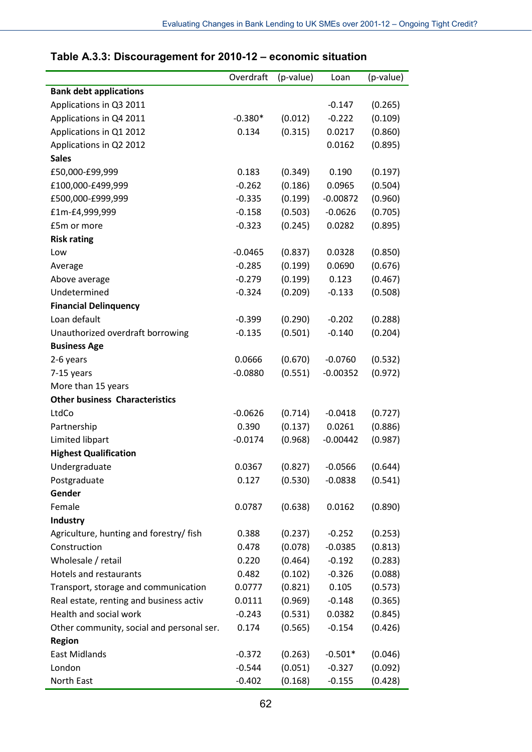|                                           | Overdraft | (p-value)          | Loan       | (p-value) |
|-------------------------------------------|-----------|--------------------|------------|-----------|
| <b>Bank debt applications</b>             |           |                    |            |           |
| Applications in Q3 2011                   |           |                    | $-0.147$   | (0.265)   |
| Applications in Q4 2011                   | $-0.380*$ | (0.012)            | $-0.222$   | (0.109)   |
| Applications in Q1 2012                   | 0.134     | (0.315)            | 0.0217     | (0.860)   |
| Applications in Q2 2012                   |           |                    | 0.0162     | (0.895)   |
| <b>Sales</b>                              |           |                    |            |           |
| £50,000-£99,999                           | 0.183     | (0.349)            | 0.190      | (0.197)   |
| £100,000-£499,999                         | $-0.262$  | (0.186)            | 0.0965     | (0.504)   |
| £500,000-£999,999                         | $-0.335$  | (0.199)            | $-0.00872$ | (0.960)   |
| £1m-£4,999,999                            | $-0.158$  | (0.503)            | $-0.0626$  | (0.705)   |
| £5m or more                               | $-0.323$  | (0.245)            | 0.0282     | (0.895)   |
| <b>Risk rating</b>                        |           |                    |            |           |
| Low                                       | $-0.0465$ | (0.837)            | 0.0328     | (0.850)   |
| Average                                   | $-0.285$  | (0.199)            | 0.0690     | (0.676)   |
| Above average                             | $-0.279$  | (0.199)            | 0.123      | (0.467)   |
| Undetermined                              | $-0.324$  | (0.209)            | $-0.133$   | (0.508)   |
| <b>Financial Delinquency</b>              |           |                    |            |           |
| Loan default                              | $-0.399$  | (0.290)            | $-0.202$   | (0.288)   |
| Unauthorized overdraft borrowing          | $-0.135$  | (0.501)            | $-0.140$   | (0.204)   |
| <b>Business Age</b>                       |           |                    |            |           |
| 2-6 years                                 | 0.0666    | (0.670)            | $-0.0760$  | (0.532)   |
| 7-15 years                                | $-0.0880$ | (0.551)            | $-0.00352$ | (0.972)   |
| More than 15 years                        |           |                    |            |           |
| <b>Other business Characteristics</b>     |           |                    |            |           |
| LtdCo                                     | $-0.0626$ | (0.714)            | $-0.0418$  | (0.727)   |
| Partnership                               | 0.390     | (0.137)            | 0.0261     | (0.886)   |
| Limited libpart                           | $-0.0174$ | (0.968)            | $-0.00442$ | (0.987)   |
| <b>Highest Qualification</b>              |           |                    |            |           |
| Undergraduate                             | 0.0367    | (0.827)            | $-0.0566$  | (0.644)   |
| Postgraduate                              | 0.127     | (0.530)            | $-0.0838$  | (0.541)   |
| Gender                                    |           |                    |            |           |
| Female                                    | 0.0787    | (0.638)            | 0.0162     | (0.890)   |
| <b>Industry</b>                           |           |                    |            |           |
| Agriculture, hunting and forestry/ fish   | 0.388     |                    |            |           |
| Construction                              |           | (0.237)<br>(0.078) | $-0.252$   | (0.253)   |
| Wholesale / retail                        | 0.478     |                    | $-0.0385$  | (0.813)   |
|                                           | 0.220     | (0.464)            | $-0.192$   | (0.283)   |
| Hotels and restaurants                    | 0.482     | (0.102)            | $-0.326$   | (0.088)   |
| Transport, storage and communication      | 0.0777    | (0.821)            | 0.105      | (0.573)   |
| Real estate, renting and business activ   | 0.0111    | (0.969)            | $-0.148$   | (0.365)   |
| Health and social work                    | $-0.243$  | (0.531)            | 0.0382     | (0.845)   |
| Other community, social and personal ser. | 0.174     | (0.565)            | $-0.154$   | (0.426)   |
| <b>Region</b>                             |           |                    |            |           |
| <b>East Midlands</b>                      | $-0.372$  | (0.263)            | $-0.501*$  | (0.046)   |
| London                                    | $-0.544$  | (0.051)            | $-0.327$   | (0.092)   |
| North East                                | $-0.402$  | (0.168)            | $-0.155$   | (0.428)   |

## **Table A.3.3: Discouragement for 2010-12 – economic situation**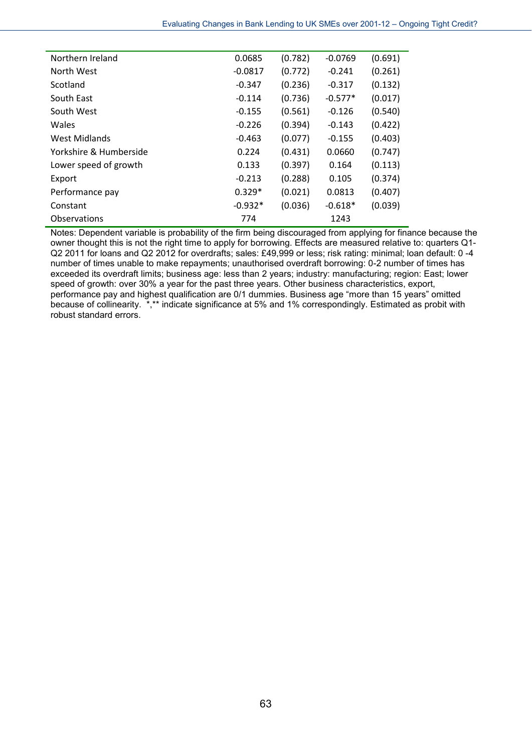| Northern Ireland       | 0.0685    | (0.782) | $-0.0769$ | (0.691) |
|------------------------|-----------|---------|-----------|---------|
| North West             | $-0.0817$ | (0.772) | $-0.241$  | (0.261) |
| Scotland               | $-0.347$  | (0.236) | $-0.317$  | (0.132) |
| South East             | $-0.114$  | (0.736) | $-0.577*$ | (0.017) |
| South West             | $-0.155$  | (0.561) | $-0.126$  | (0.540) |
| Wales                  | $-0.226$  | (0.394) | $-0.143$  | (0.422) |
| West Midlands          | $-0.463$  | (0.077) | $-0.155$  | (0.403) |
| Yorkshire & Humberside | 0.224     | (0.431) | 0.0660    | (0.747) |
| Lower speed of growth  | 0.133     | (0.397) | 0.164     | (0.113) |
| Export                 | $-0.213$  | (0.288) | 0.105     | (0.374) |
| Performance pay        | $0.329*$  | (0.021) | 0.0813    | (0.407) |
| Constant               | $-0.932*$ | (0.036) | $-0.618*$ | (0.039) |
| Observations           | 774       |         | 1243      |         |

Notes: Dependent variable is probability of the firm being discouraged from applying for finance because the owner thought this is not the right time to apply for borrowing. Effects are measured relative to: quarters Q1-Q2 2011 for loans and Q2 2012 for overdrafts; sales: £49,999 or less; risk rating: minimal; loan default: 0 -4 number of times unable to make repayments; unauthorised overdraft borrowing: 0-2 number of times has exceeded its overdraft limits; business age: less than 2 years; industry: manufacturing; region: East; lower speed of growth: over 30% a year for the past three years. Other business characteristics, export, performance pay and highest qualification are 0/1 dummies. Business age "more than 15 years" omitted because of collinearity. \*,\*\* indicate significance at 5% and 1% correspondingly. Estimated as probit with robust standard errors.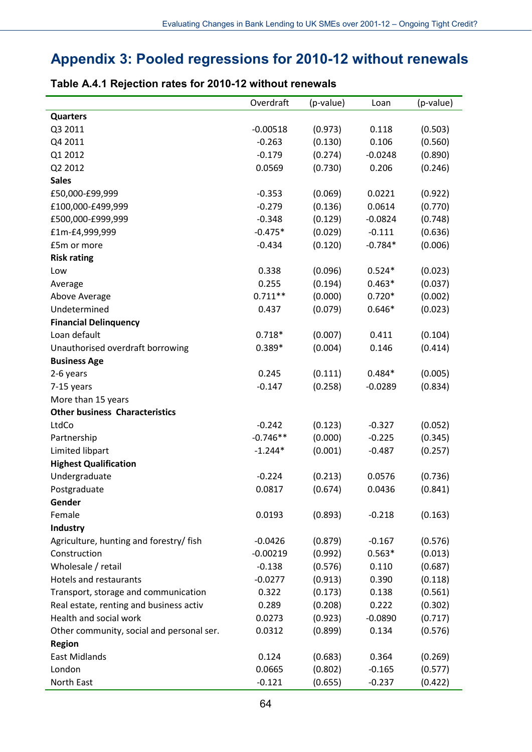# **Appendix 3: Pooled regressions for 2010-12 without renewals**

|                                           | Overdraft  | (p-value) | Loan      | (p-value) |
|-------------------------------------------|------------|-----------|-----------|-----------|
| <b>Quarters</b>                           |            |           |           |           |
| Q3 2011                                   | $-0.00518$ | (0.973)   | 0.118     | (0.503)   |
| Q4 2011                                   | $-0.263$   | (0.130)   | 0.106     | (0.560)   |
| Q1 2012                                   | $-0.179$   | (0.274)   | $-0.0248$ | (0.890)   |
| Q2 2012                                   | 0.0569     | (0.730)   | 0.206     | (0.246)   |
| <b>Sales</b>                              |            |           |           |           |
| £50,000-£99,999                           | $-0.353$   | (0.069)   | 0.0221    | (0.922)   |
| £100,000-£499,999                         | $-0.279$   | (0.136)   | 0.0614    | (0.770)   |
| £500,000-£999,999                         | $-0.348$   | (0.129)   | $-0.0824$ | (0.748)   |
| £1m-£4,999,999                            | $-0.475*$  | (0.029)   | $-0.111$  | (0.636)   |
| £5m or more                               | $-0.434$   | (0.120)   | $-0.784*$ | (0.006)   |
| <b>Risk rating</b>                        |            |           |           |           |
| Low                                       | 0.338      | (0.096)   | $0.524*$  | (0.023)   |
| Average                                   | 0.255      | (0.194)   | $0.463*$  | (0.037)   |
| Above Average                             | $0.711**$  | (0.000)   | $0.720*$  | (0.002)   |
| Undetermined                              | 0.437      | (0.079)   | $0.646*$  | (0.023)   |
| <b>Financial Delinquency</b>              |            |           |           |           |
| Loan default                              | $0.718*$   | (0.007)   | 0.411     | (0.104)   |
| Unauthorised overdraft borrowing          | $0.389*$   | (0.004)   | 0.146     | (0.414)   |
| <b>Business Age</b>                       |            |           |           |           |
| 2-6 years                                 | 0.245      | (0.111)   | $0.484*$  | (0.005)   |
| 7-15 years                                | $-0.147$   | (0.258)   | $-0.0289$ | (0.834)   |
| More than 15 years                        |            |           |           |           |
| <b>Other business Characteristics</b>     |            |           |           |           |
| LtdCo                                     | $-0.242$   | (0.123)   | $-0.327$  | (0.052)   |
| Partnership                               | $-0.746**$ | (0.000)   | $-0.225$  | (0.345)   |
| Limited libpart                           | $-1.244*$  | (0.001)   | $-0.487$  | (0.257)   |
| <b>Highest Qualification</b>              |            |           |           |           |
| Undergraduate                             | $-0.224$   | (0.213)   | 0.0576    | (0.736)   |
| Postgraduate                              | 0.0817     | (0.674)   | 0.0436    | (0.841)   |
| Gender                                    |            |           |           |           |
| Female                                    | 0.0193     | (0.893)   | $-0.218$  | (0.163)   |
| Industry                                  |            |           |           |           |
| Agriculture, hunting and forestry/ fish   | $-0.0426$  | (0.879)   | $-0.167$  | (0.576)   |
| Construction                              | $-0.00219$ | (0.992)   | $0.563*$  | (0.013)   |
| Wholesale / retail                        | $-0.138$   | (0.576)   | 0.110     | (0.687)   |
| <b>Hotels and restaurants</b>             | $-0.0277$  | (0.913)   | 0.390     | (0.118)   |
| Transport, storage and communication      | 0.322      | (0.173)   | 0.138     | (0.561)   |
| Real estate, renting and business activ   | 0.289      | (0.208)   | 0.222     | (0.302)   |
| Health and social work                    | 0.0273     | (0.923)   | $-0.0890$ | (0.717)   |
| Other community, social and personal ser. | 0.0312     | (0.899)   | 0.134     | (0.576)   |
| <b>Region</b>                             |            |           |           |           |
| <b>East Midlands</b>                      | 0.124      | (0.683)   | 0.364     | (0.269)   |
| London                                    | 0.0665     | (0.802)   | $-0.165$  | (0.577)   |
| North East                                | $-0.121$   | (0.655)   | $-0.237$  | (0.422)   |

### **Table A.4.1 Rejection rates for 2010-12 without renewals**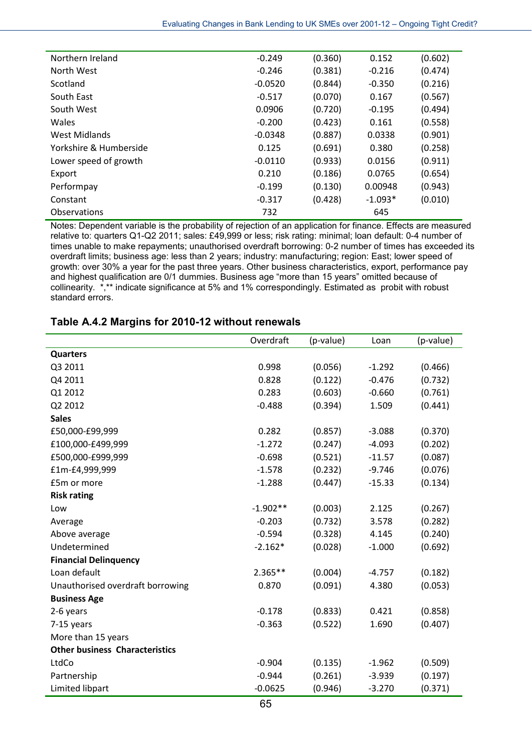| Northern Ireland       | $-0.249$  | (0.360) | 0.152     | (0.602) |
|------------------------|-----------|---------|-----------|---------|
| North West             | $-0.246$  | (0.381) | $-0.216$  | (0.474) |
| Scotland               | $-0.0520$ | (0.844) | $-0.350$  | (0.216) |
| South East             | $-0.517$  | (0.070) | 0.167     | (0.567) |
| South West             | 0.0906    | (0.720) | $-0.195$  | (0.494) |
| Wales                  | $-0.200$  | (0.423) | 0.161     | (0.558) |
| West Midlands          | $-0.0348$ | (0.887) | 0.0338    | (0.901) |
| Yorkshire & Humberside | 0.125     | (0.691) | 0.380     | (0.258) |
| Lower speed of growth  | $-0.0110$ | (0.933) | 0.0156    | (0.911) |
| Export                 | 0.210     | (0.186) | 0.0765    | (0.654) |
| Performpay             | $-0.199$  | (0.130) | 0.00948   | (0.943) |
| Constant               | $-0.317$  | (0.428) | $-1.093*$ | (0.010) |
| <b>Observations</b>    | 732       |         | 645       |         |

Notes: Dependent variable is the probability of rejection of an application for finance. Effects are measured relative to: quarters Q1-Q2 2011; sales: £49,999 or less; risk rating: minimal; loan default: 0-4 number of times unable to make repayments; unauthorised overdraft borrowing: 0-2 number of times has exceeded its overdraft limits; business age: less than 2 years; industry: manufacturing; region: East; lower speed of growth: over 30% a year for the past three years. Other business characteristics, export, performance pay and highest qualification are 0/1 dummies. Business age "more than 15 years" omitted because of collinearity. \*,\*\* indicate significance at 5% and 1% correspondingly. Estimated as probit with robust standard errors.

### **Table A.4.2 Margins for 2010-12 without renewals**

|                                       | Overdraft  | (p-value) | Loan     | (p-value) |
|---------------------------------------|------------|-----------|----------|-----------|
| <b>Quarters</b>                       |            |           |          |           |
| Q3 2011                               | 0.998      | (0.056)   | $-1.292$ | (0.466)   |
| Q4 2011                               | 0.828      | (0.122)   | $-0.476$ | (0.732)   |
| Q1 2012                               | 0.283      | (0.603)   | $-0.660$ | (0.761)   |
| Q2 2012                               | $-0.488$   | (0.394)   | 1.509    | (0.441)   |
| <b>Sales</b>                          |            |           |          |           |
| £50,000-£99,999                       | 0.282      | (0.857)   | $-3.088$ | (0.370)   |
| £100,000-£499,999                     | $-1.272$   | (0.247)   | $-4.093$ | (0.202)   |
| £500,000-£999,999                     | $-0.698$   | (0.521)   | $-11.57$ | (0.087)   |
| £1m-£4,999,999                        | $-1.578$   | (0.232)   | $-9.746$ | (0.076)   |
| £5m or more                           | $-1.288$   | (0.447)   | $-15.33$ | (0.134)   |
| <b>Risk rating</b>                    |            |           |          |           |
| Low                                   | $-1.902**$ | (0.003)   | 2.125    | (0.267)   |
| Average                               | $-0.203$   | (0.732)   | 3.578    | (0.282)   |
| Above average                         | $-0.594$   | (0.328)   | 4.145    | (0.240)   |
| Undetermined                          | $-2.162*$  | (0.028)   | $-1.000$ | (0.692)   |
| <b>Financial Delinquency</b>          |            |           |          |           |
| Loan default                          | $2.365**$  | (0.004)   | $-4.757$ | (0.182)   |
| Unauthorised overdraft borrowing      | 0.870      | (0.091)   | 4.380    | (0.053)   |
| <b>Business Age</b>                   |            |           |          |           |
| 2-6 years                             | $-0.178$   | (0.833)   | 0.421    | (0.858)   |
| 7-15 years                            | $-0.363$   | (0.522)   | 1.690    | (0.407)   |
| More than 15 years                    |            |           |          |           |
| <b>Other business Characteristics</b> |            |           |          |           |
| LtdCo                                 | $-0.904$   | (0.135)   | $-1.962$ | (0.509)   |
| Partnership                           | $-0.944$   | (0.261)   | $-3.939$ | (0.197)   |
| Limited libpart                       | $-0.0625$  | (0.946)   | $-3.270$ | (0.371)   |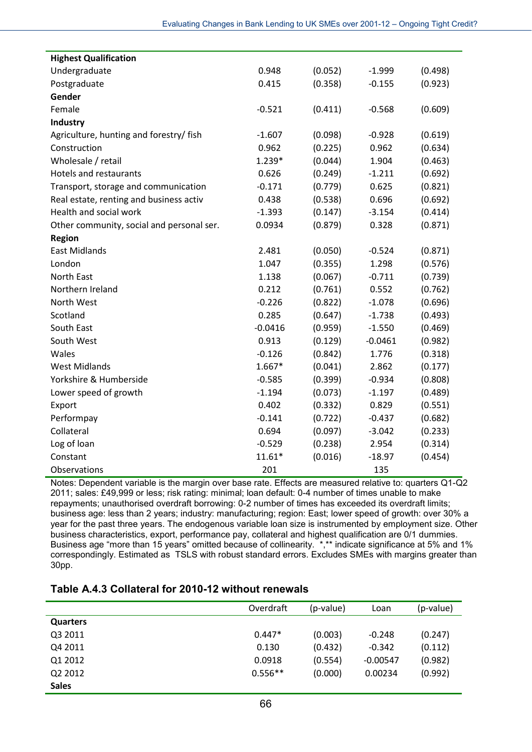| <b>Highest Qualification</b>              |           |         |           |         |
|-------------------------------------------|-----------|---------|-----------|---------|
| Undergraduate                             | 0.948     | (0.052) | $-1.999$  | (0.498) |
| Postgraduate                              | 0.415     | (0.358) | $-0.155$  | (0.923) |
| Gender                                    |           |         |           |         |
| Female                                    | $-0.521$  | (0.411) | $-0.568$  | (0.609) |
| Industry                                  |           |         |           |         |
| Agriculture, hunting and forestry/ fish   | $-1.607$  | (0.098) | $-0.928$  | (0.619) |
| Construction                              | 0.962     | (0.225) | 0.962     | (0.634) |
| Wholesale / retail                        | 1.239*    | (0.044) | 1.904     | (0.463) |
| <b>Hotels and restaurants</b>             | 0.626     | (0.249) | $-1.211$  | (0.692) |
| Transport, storage and communication      | $-0.171$  | (0.779) | 0.625     | (0.821) |
| Real estate, renting and business activ   | 0.438     | (0.538) | 0.696     | (0.692) |
| Health and social work                    | $-1.393$  | (0.147) | $-3.154$  | (0.414) |
| Other community, social and personal ser. | 0.0934    | (0.879) | 0.328     | (0.871) |
| <b>Region</b>                             |           |         |           |         |
| <b>East Midlands</b>                      | 2.481     | (0.050) | $-0.524$  | (0.871) |
| London                                    | 1.047     | (0.355) | 1.298     | (0.576) |
| North East                                | 1.138     | (0.067) | $-0.711$  | (0.739) |
| Northern Ireland                          | 0.212     | (0.761) | 0.552     | (0.762) |
| North West                                | $-0.226$  | (0.822) | $-1.078$  | (0.696) |
| Scotland                                  | 0.285     | (0.647) | $-1.738$  | (0.493) |
| South East                                | $-0.0416$ | (0.959) | $-1.550$  | (0.469) |
| South West                                | 0.913     | (0.129) | $-0.0461$ | (0.982) |
| Wales                                     | $-0.126$  | (0.842) | 1.776     | (0.318) |
| <b>West Midlands</b>                      | $1.667*$  | (0.041) | 2.862     | (0.177) |
| Yorkshire & Humberside                    | $-0.585$  | (0.399) | $-0.934$  | (0.808) |
| Lower speed of growth                     | $-1.194$  | (0.073) | $-1.197$  | (0.489) |
| Export                                    | 0.402     | (0.332) | 0.829     | (0.551) |
| Performpay                                | $-0.141$  | (0.722) | $-0.437$  | (0.682) |
| Collateral                                | 0.694     | (0.097) | $-3.042$  | (0.233) |
| Log of loan                               | $-0.529$  | (0.238) | 2.954     | (0.314) |
| Constant                                  | $11.61*$  | (0.016) | $-18.97$  | (0.454) |
| Observations                              | 201       |         | 135       |         |

Notes: Dependent variable is the margin over base rate. Effects are measured relative to: quarters Q1-Q2 2011; sales: £49,999 or less; risk rating: minimal; loan default: 0-4 number of times unable to make repayments; unauthorised overdraft borrowing: 0-2 number of times has exceeded its overdraft limits; business age: less than 2 years; industry: manufacturing; region: East; lower speed of growth: over 30% a year for the past three years. The endogenous variable loan size is instrumented by employment size. Other business characteristics, export, performance pay, collateral and highest qualification are 0/1 dummies. Business age "more than 15 years" omitted because of collinearity. \*,\*\* indicate significance at 5% and 1% correspondingly. Estimated as TSLS with robust standard errors. Excludes SMEs with margins greater than 30pp.

#### **Table A.4.3 Collateral for 2010-12 without renewals**

|              | Overdraft | (p-value) | Loan       | (p-value) |
|--------------|-----------|-----------|------------|-----------|
| Quarters     |           |           |            |           |
| Q3 2011      | $0.447*$  | (0.003)   | $-0.248$   | (0.247)   |
| Q4 2011      | 0.130     | (0.432)   | $-0.342$   | (0.112)   |
| Q1 2012      | 0.0918    | (0.554)   | $-0.00547$ | (0.982)   |
| Q2 2012      | $0.556**$ | (0.000)   | 0.00234    | (0.992)   |
| <b>Sales</b> |           |           |            |           |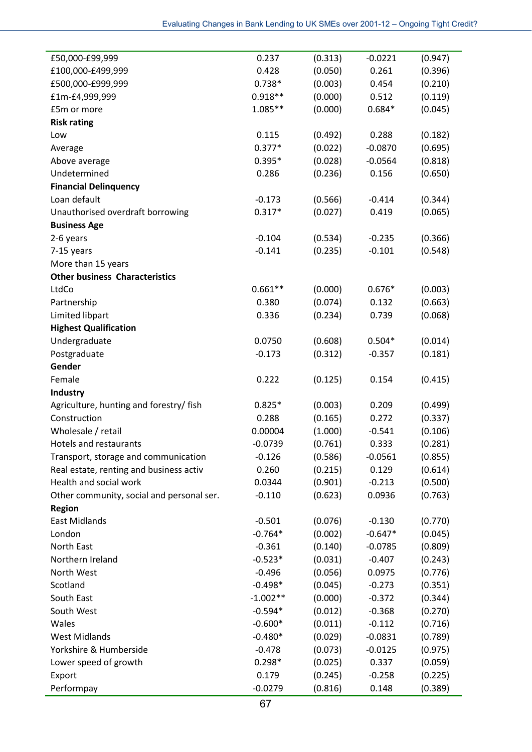| £50,000-£99,999                           | 0.237      | (0.313) | $-0.0221$ | (0.947) |
|-------------------------------------------|------------|---------|-----------|---------|
| £100,000-£499,999                         | 0.428      | (0.050) | 0.261     | (0.396) |
| £500,000-£999,999                         | $0.738*$   | (0.003) | 0.454     | (0.210) |
| £1m-£4,999,999                            | $0.918**$  | (0.000) | 0.512     | (0.119) |
| £5m or more                               | $1.085**$  | (0.000) | $0.684*$  | (0.045) |
| <b>Risk rating</b>                        |            |         |           |         |
| Low                                       | 0.115      | (0.492) | 0.288     | (0.182) |
| Average                                   | $0.377*$   | (0.022) | $-0.0870$ | (0.695) |
| Above average                             | $0.395*$   | (0.028) | $-0.0564$ | (0.818) |
| Undetermined                              | 0.286      | (0.236) | 0.156     | (0.650) |
| <b>Financial Delinquency</b>              |            |         |           |         |
| Loan default                              | $-0.173$   | (0.566) | $-0.414$  | (0.344) |
| Unauthorised overdraft borrowing          | $0.317*$   | (0.027) | 0.419     | (0.065) |
| <b>Business Age</b>                       |            |         |           |         |
| 2-6 years                                 | $-0.104$   | (0.534) | $-0.235$  | (0.366) |
| 7-15 years                                | $-0.141$   | (0.235) | $-0.101$  | (0.548) |
| More than 15 years                        |            |         |           |         |
| <b>Other business Characteristics</b>     |            |         |           |         |
| LtdCo                                     | $0.661**$  | (0.000) | $0.676*$  | (0.003) |
| Partnership                               | 0.380      | (0.074) | 0.132     | (0.663) |
| Limited libpart                           | 0.336      | (0.234) | 0.739     | (0.068) |
| <b>Highest Qualification</b>              |            |         |           |         |
| Undergraduate                             | 0.0750     | (0.608) | $0.504*$  | (0.014) |
| Postgraduate                              | $-0.173$   | (0.312) | $-0.357$  | (0.181) |
| Gender                                    |            |         |           |         |
| Female                                    | 0.222      | (0.125) | 0.154     | (0.415) |
| Industry                                  |            |         |           |         |
| Agriculture, hunting and forestry/ fish   | $0.825*$   | (0.003) | 0.209     | (0.499) |
| Construction                              | 0.288      | (0.165) | 0.272     | (0.337) |
| Wholesale / retail                        | 0.00004    | (1.000) | $-0.541$  | (0.106) |
| Hotels and restaurants                    | $-0.0739$  | (0.761) | 0.333     | (0.281) |
| Transport, storage and communication      | $-0.126$   | (0.586) | $-0.0561$ | (0.855) |
| Real estate, renting and business activ   | 0.260      | (0.215) | 0.129     | (0.614) |
| Health and social work                    | 0.0344     | (0.901) | $-0.213$  | (0.500) |
| Other community, social and personal ser. | $-0.110$   | (0.623) | 0.0936    | (0.763) |
| <b>Region</b>                             |            |         |           |         |
| <b>East Midlands</b>                      | $-0.501$   | (0.076) | $-0.130$  | (0.770) |
| London                                    | $-0.764*$  | (0.002) | $-0.647*$ | (0.045) |
| North East                                | $-0.361$   | (0.140) | $-0.0785$ | (0.809) |
| Northern Ireland                          | $-0.523*$  | (0.031) | $-0.407$  | (0.243) |
| North West                                | $-0.496$   | (0.056) | 0.0975    | (0.776) |
| Scotland                                  | $-0.498*$  | (0.045) | $-0.273$  | (0.351) |
| South East                                | $-1.002**$ | (0.000) | $-0.372$  | (0.344) |
| South West                                | $-0.594*$  | (0.012) | $-0.368$  | (0.270) |
| Wales                                     | $-0.600*$  | (0.011) | $-0.112$  | (0.716) |
| <b>West Midlands</b>                      | $-0.480*$  | (0.029) | $-0.0831$ | (0.789) |
| Yorkshire & Humberside                    | $-0.478$   | (0.073) | $-0.0125$ | (0.975) |
| Lower speed of growth                     | $0.298*$   | (0.025) | 0.337     | (0.059) |
| Export                                    | 0.179      | (0.245) | $-0.258$  | (0.225) |
| Performpay                                | $-0.0279$  | (0.816) | 0.148     | (0.389) |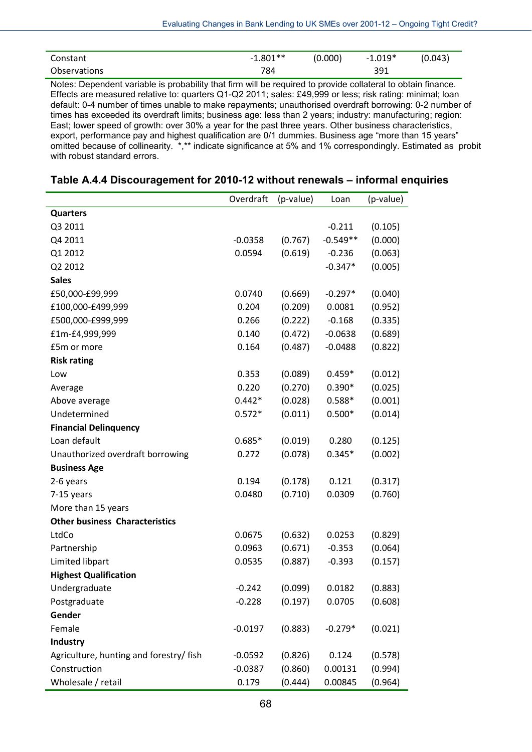| Constant     | $-1.801**$ | (0.000) | $-1.019*$ | (0.043) |
|--------------|------------|---------|-----------|---------|
| Observations | 784        |         | 391       |         |

Notes: Dependent variable is probability that firm will be required to provide collateral to obtain finance. Effects are measured relative to: quarters Q1-Q2 2011; sales: £49,999 or less; risk rating: minimal; loan default: 0-4 number of times unable to make repayments; unauthorised overdraft borrowing: 0-2 number of times has exceeded its overdraft limits; business age: less than 2 years; industry: manufacturing; region: East; lower speed of growth: over 30% a year for the past three years. Other business characteristics, export, performance pay and highest qualification are 0/1 dummies. Business age "more than 15 years" omitted because of collinearity. \*,\*\* indicate significance at 5% and 1% correspondingly. Estimated as probit with robust standard errors.

|                                         | Overdraft | (p-value) | Loan       | (p-value) |
|-----------------------------------------|-----------|-----------|------------|-----------|
| <b>Quarters</b>                         |           |           |            |           |
| Q3 2011                                 |           |           | $-0.211$   | (0.105)   |
| Q4 2011                                 | $-0.0358$ | (0.767)   | $-0.549**$ | (0.000)   |
| Q1 2012                                 | 0.0594    | (0.619)   | $-0.236$   | (0.063)   |
| Q2 2012                                 |           |           | $-0.347*$  | (0.005)   |
| <b>Sales</b>                            |           |           |            |           |
| £50,000-£99,999                         | 0.0740    | (0.669)   | $-0.297*$  | (0.040)   |
| £100,000-£499,999                       | 0.204     | (0.209)   | 0.0081     | (0.952)   |
| £500,000-£999,999                       | 0.266     | (0.222)   | $-0.168$   | (0.335)   |
| £1m-£4,999,999                          | 0.140     | (0.472)   | $-0.0638$  | (0.689)   |
| £5m or more                             | 0.164     | (0.487)   | $-0.0488$  | (0.822)   |
| <b>Risk rating</b>                      |           |           |            |           |
| Low                                     | 0.353     | (0.089)   | $0.459*$   | (0.012)   |
| Average                                 | 0.220     | (0.270)   | $0.390*$   | (0.025)   |
| Above average                           | $0.442*$  | (0.028)   | $0.588*$   | (0.001)   |
| Undetermined                            | $0.572*$  | (0.011)   | $0.500*$   | (0.014)   |
| <b>Financial Delinquency</b>            |           |           |            |           |
| Loan default                            | $0.685*$  | (0.019)   | 0.280      | (0.125)   |
| Unauthorized overdraft borrowing        | 0.272     | (0.078)   | $0.345*$   | (0.002)   |
| <b>Business Age</b>                     |           |           |            |           |
| 2-6 years                               | 0.194     | (0.178)   | 0.121      | (0.317)   |
| 7-15 years                              | 0.0480    | (0.710)   | 0.0309     | (0.760)   |
| More than 15 years                      |           |           |            |           |
| <b>Other business Characteristics</b>   |           |           |            |           |
| LtdCo                                   | 0.0675    | (0.632)   | 0.0253     | (0.829)   |
| Partnership                             | 0.0963    | (0.671)   | $-0.353$   | (0.064)   |
| Limited libpart                         | 0.0535    | (0.887)   | $-0.393$   | (0.157)   |
| <b>Highest Qualification</b>            |           |           |            |           |
| Undergraduate                           | $-0.242$  | (0.099)   | 0.0182     | (0.883)   |
| Postgraduate                            | $-0.228$  | (0.197)   | 0.0705     | (0.608)   |
| Gender                                  |           |           |            |           |
| Female                                  | $-0.0197$ | (0.883)   | $-0.279*$  | (0.021)   |
| Industry                                |           |           |            |           |
| Agriculture, hunting and forestry/ fish | $-0.0592$ | (0.826)   | 0.124      | (0.578)   |

### **Table A.4.4 Discouragement for 2010-12 without renewals – informal enquiries**

Construction -0.0387 (0.860) 0.00131 (0.994) Wholesale / retail 0.179 (0.444) 0.00845 (0.964)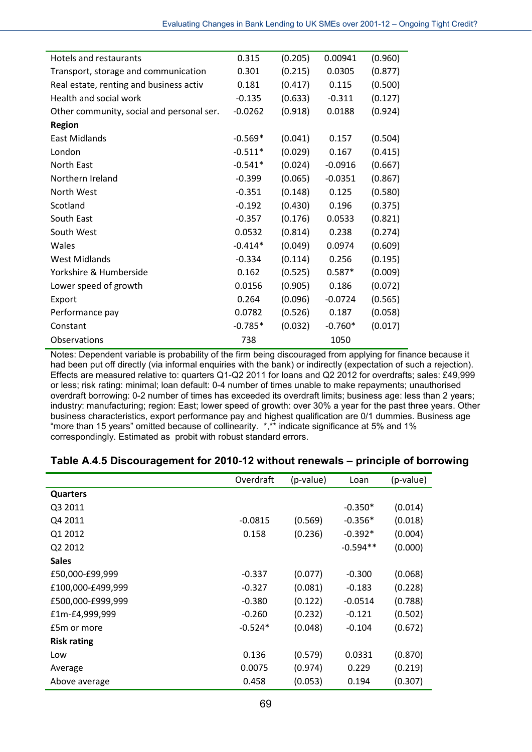| Hotels and restaurants                    | 0.315     | (0.205) | 0.00941   | (0.960) |
|-------------------------------------------|-----------|---------|-----------|---------|
| Transport, storage and communication      | 0.301     | (0.215) | 0.0305    | (0.877) |
| Real estate, renting and business activ   | 0.181     | (0.417) | 0.115     | (0.500) |
| Health and social work                    | $-0.135$  | (0.633) | $-0.311$  | (0.127) |
| Other community, social and personal ser. | $-0.0262$ | (0.918) | 0.0188    | (0.924) |
| <b>Region</b>                             |           |         |           |         |
| <b>East Midlands</b>                      | $-0.569*$ | (0.041) | 0.157     | (0.504) |
| London                                    | $-0.511*$ | (0.029) | 0.167     | (0.415) |
| North East                                | $-0.541*$ | (0.024) | $-0.0916$ | (0.667) |
| Northern Ireland                          | $-0.399$  | (0.065) | $-0.0351$ | (0.867) |
| North West                                | $-0.351$  | (0.148) | 0.125     | (0.580) |
| Scotland                                  | $-0.192$  | (0.430) | 0.196     | (0.375) |
| South East                                | $-0.357$  | (0.176) | 0.0533    | (0.821) |
| South West                                | 0.0532    | (0.814) | 0.238     | (0.274) |
| Wales                                     | $-0.414*$ | (0.049) | 0.0974    | (0.609) |
| <b>West Midlands</b>                      | $-0.334$  | (0.114) | 0.256     | (0.195) |
| Yorkshire & Humberside                    | 0.162     | (0.525) | $0.587*$  | (0.009) |
| Lower speed of growth                     | 0.0156    | (0.905) | 0.186     | (0.072) |
| Export                                    | 0.264     | (0.096) | $-0.0724$ | (0.565) |
| Performance pay                           | 0.0782    | (0.526) | 0.187     | (0.058) |
| Constant                                  | $-0.785*$ | (0.032) | $-0.760*$ | (0.017) |
| Observations                              | 738       |         | 1050      |         |

Notes: Dependent variable is probability of the firm being discouraged from applying for finance because it had been put off directly (via informal enquiries with the bank) or indirectly (expectation of such a rejection). Effects are measured relative to: quarters Q1-Q2 2011 for loans and Q2 2012 for overdrafts; sales: £49,999 or less; risk rating: minimal; loan default: 0-4 number of times unable to make repayments; unauthorised overdraft borrowing: 0-2 number of times has exceeded its overdraft limits; business age: less than 2 years; industry: manufacturing; region: East; lower speed of growth: over 30% a year for the past three years. Other business characteristics, export performance pay and highest qualification are 0/1 dummies. Business age "more than 15 years" omitted because of collinearity. \*,\*\* indicate significance at 5% and 1% correspondingly. Estimated as probit with robust standard errors.

|                    | Overdraft | (p-value) | Loan       | (p-value) |
|--------------------|-----------|-----------|------------|-----------|
| <b>Quarters</b>    |           |           |            |           |
| Q3 2011            |           |           | $-0.350*$  | (0.014)   |
| Q4 2011            | $-0.0815$ | (0.569)   | $-0.356*$  | (0.018)   |
| Q1 2012            | 0.158     | (0.236)   | $-0.392*$  | (0.004)   |
| Q2 2012            |           |           | $-0.594**$ | (0.000)   |
| <b>Sales</b>       |           |           |            |           |
| £50,000-£99,999    | $-0.337$  | (0.077)   | $-0.300$   | (0.068)   |
| £100,000-£499,999  | $-0.327$  | (0.081)   | $-0.183$   | (0.228)   |
| £500,000-£999,999  | $-0.380$  | (0.122)   | $-0.0514$  | (0.788)   |
| £1m-£4,999,999     | $-0.260$  | (0.232)   | $-0.121$   | (0.502)   |
| £5m or more        | $-0.524*$ | (0.048)   | $-0.104$   | (0.672)   |
| <b>Risk rating</b> |           |           |            |           |
| Low                | 0.136     | (0.579)   | 0.0331     | (0.870)   |
| Average            | 0.0075    | (0.974)   | 0.229      | (0.219)   |
| Above average      | 0.458     | (0.053)   | 0.194      | (0.307)   |

## **Table A.4.5 Discouragement for 2010-12 without renewals – principle of borrowing**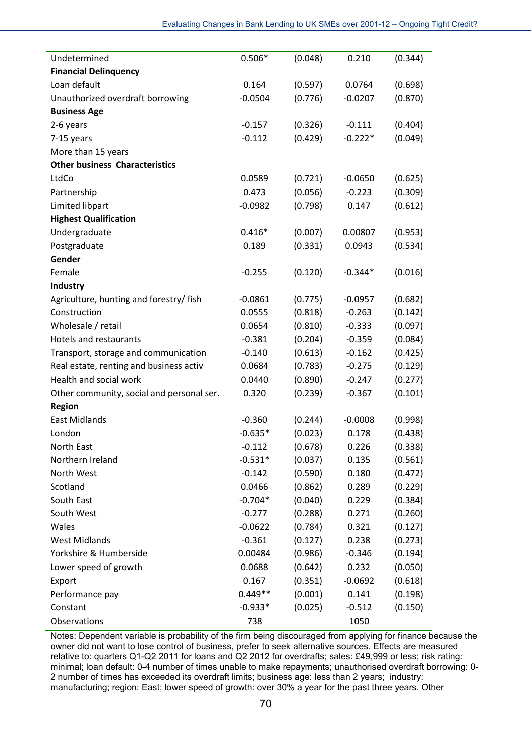| Undetermined                              | $0.506*$  | (0.048) | 0.210     | (0.344) |
|-------------------------------------------|-----------|---------|-----------|---------|
| <b>Financial Delinquency</b>              |           |         |           |         |
| Loan default                              | 0.164     | (0.597) | 0.0764    | (0.698) |
| Unauthorized overdraft borrowing          | $-0.0504$ | (0.776) | $-0.0207$ | (0.870) |
| <b>Business Age</b>                       |           |         |           |         |
| 2-6 years                                 | $-0.157$  | (0.326) | $-0.111$  | (0.404) |
| 7-15 years                                | $-0.112$  | (0.429) | $-0.222*$ | (0.049) |
| More than 15 years                        |           |         |           |         |
| <b>Other business Characteristics</b>     |           |         |           |         |
| LtdCo                                     | 0.0589    | (0.721) | $-0.0650$ | (0.625) |
| Partnership                               | 0.473     | (0.056) | $-0.223$  | (0.309) |
| Limited libpart                           | $-0.0982$ | (0.798) | 0.147     | (0.612) |
| <b>Highest Qualification</b>              |           |         |           |         |
| Undergraduate                             | $0.416*$  | (0.007) | 0.00807   | (0.953) |
| Postgraduate                              | 0.189     | (0.331) | 0.0943    | (0.534) |
| Gender                                    |           |         |           |         |
| Female                                    | $-0.255$  | (0.120) | $-0.344*$ | (0.016) |
| Industry                                  |           |         |           |         |
| Agriculture, hunting and forestry/ fish   | $-0.0861$ | (0.775) | $-0.0957$ | (0.682) |
| Construction                              | 0.0555    | (0.818) | $-0.263$  | (0.142) |
| Wholesale / retail                        | 0.0654    | (0.810) | $-0.333$  | (0.097) |
| Hotels and restaurants                    | $-0.381$  | (0.204) | $-0.359$  | (0.084) |
| Transport, storage and communication      | $-0.140$  | (0.613) | $-0.162$  | (0.425) |
| Real estate, renting and business activ   | 0.0684    | (0.783) | $-0.275$  | (0.129) |
| Health and social work                    | 0.0440    | (0.890) | $-0.247$  | (0.277) |
| Other community, social and personal ser. | 0.320     | (0.239) | $-0.367$  | (0.101) |
| <b>Region</b>                             |           |         |           |         |
| <b>East Midlands</b>                      | $-0.360$  | (0.244) | $-0.0008$ | (0.998) |
| London                                    | $-0.635*$ | (0.023) | 0.178     | (0.438) |
| North East                                | $-0.112$  | (0.678) | 0.226     | (0.338) |
| Northern Ireland                          | $-0.531*$ | (0.037) | 0.135     | (0.561) |
| North West                                | $-0.142$  | (0.590) | 0.180     | (0.472) |
| Scotland                                  | 0.0466    | (0.862) | 0.289     | (0.229) |
| South East                                | $-0.704*$ | (0.040) | 0.229     | (0.384) |
| South West                                | $-0.277$  | (0.288) | 0.271     | (0.260) |
| Wales                                     | $-0.0622$ | (0.784) | 0.321     | (0.127) |
| <b>West Midlands</b>                      | $-0.361$  | (0.127) | 0.238     | (0.273) |
| Yorkshire & Humberside                    | 0.00484   | (0.986) | $-0.346$  | (0.194) |
| Lower speed of growth                     | 0.0688    | (0.642) | 0.232     | (0.050) |
| Export                                    | 0.167     | (0.351) | $-0.0692$ | (0.618) |
| Performance pay                           | $0.449**$ | (0.001) | 0.141     | (0.198) |
| Constant                                  | $-0.933*$ | (0.025) | $-0.512$  | (0.150) |
| Observations                              | 738       |         | 1050      |         |

Notes: Dependent variable is probability of the firm being discouraged from applying for finance because the owner did not want to lose control of business, prefer to seek alternative sources. Effects are measured relative to: quarters Q1-Q2 2011 for loans and Q2 2012 for overdrafts; sales: £49,999 or less; risk rating: minimal; loan default: 0-4 number of times unable to make repayments; unauthorised overdraft borrowing: 0- 2 number of times has exceeded its overdraft limits; business age: less than 2 years; industry: manufacturing; region: East; lower speed of growth: over 30% a year for the past three years. Other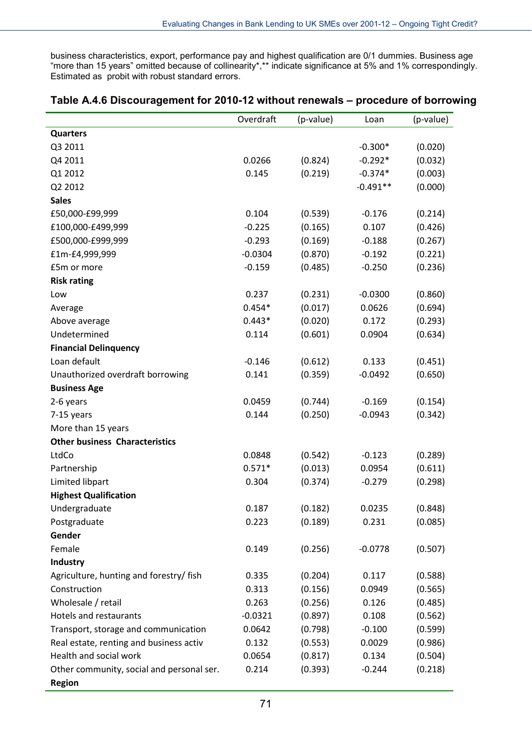business characteristics, export, performance pay and highest qualification are 0/1 dummies. Business age "more than 15 years" omitted because of collinearity\*,\*\* indicate significance at 5% and 1% correspondingly. Estimated as probit with robust standard errors.

|                                           | Overdraft | (p-value) | Loan       | (p-value) |
|-------------------------------------------|-----------|-----------|------------|-----------|
| <b>Quarters</b>                           |           |           |            |           |
| Q3 2011                                   |           |           | $-0.300*$  | (0.020)   |
| Q4 2011                                   | 0.0266    | (0.824)   | $-0.292*$  | (0.032)   |
| Q1 2012                                   | 0.145     | (0.219)   | $-0.374*$  | (0.003)   |
| Q2 2012                                   |           |           | $-0.491**$ | (0.000)   |
| <b>Sales</b>                              |           |           |            |           |
| £50,000-£99,999                           | 0.104     | (0.539)   | $-0.176$   | (0.214)   |
| £100,000-£499,999                         | $-0.225$  | (0.165)   | 0.107      | (0.426)   |
| £500,000-£999,999                         | $-0.293$  | (0.169)   | $-0.188$   | (0.267)   |
| £1m-£4,999,999                            | $-0.0304$ | (0.870)   | $-0.192$   | (0.221)   |
| £5m or more                               | $-0.159$  | (0.485)   | $-0.250$   | (0.236)   |
| <b>Risk rating</b>                        |           |           |            |           |
| Low                                       | 0.237     | (0.231)   | $-0.0300$  | (0.860)   |
| Average                                   | $0.454*$  | (0.017)   | 0.0626     | (0.694)   |
| Above average                             | $0.443*$  | (0.020)   | 0.172      | (0.293)   |
| Undetermined                              | 0.114     | (0.601)   | 0.0904     | (0.634)   |
| <b>Financial Delinquency</b>              |           |           |            |           |
| Loan default                              | $-0.146$  | (0.612)   | 0.133      | (0.451)   |
| Unauthorized overdraft borrowing          | 0.141     | (0.359)   | $-0.0492$  | (0.650)   |
| <b>Business Age</b>                       |           |           |            |           |
| 2-6 years                                 | 0.0459    | (0.744)   | $-0.169$   | (0.154)   |
| 7-15 years                                | 0.144     | (0.250)   | $-0.0943$  | (0.342)   |
| More than 15 years                        |           |           |            |           |
| <b>Other business Characteristics</b>     |           |           |            |           |
| LtdCo                                     | 0.0848    | (0.542)   | $-0.123$   | (0.289)   |
| Partnership                               | $0.571*$  | (0.013)   | 0.0954     | (0.611)   |
| Limited libpart                           | 0.304     | (0.374)   | $-0.279$   | (0.298)   |
| <b>Highest Qualification</b>              |           |           |            |           |
| Undergraduate                             | 0.187     | (0.182)   | 0.0235     | (0.848)   |
| Postgraduate                              | 0.223     | (0.189)   | 0.231      | (0.085)   |
| Gender                                    |           |           |            |           |
| Female                                    | 0.149     | (0.256)   | $-0.0778$  | (0.507)   |
| Industry                                  |           |           |            |           |
| Agriculture, hunting and forestry/ fish   | 0.335     | (0.204)   | 0.117      | (0.588)   |
| Construction                              | 0.313     | (0.156)   | 0.0949     | (0.565)   |
| Wholesale / retail                        | 0.263     | (0.256)   | 0.126      | (0.485)   |
| <b>Hotels and restaurants</b>             | $-0.0321$ | (0.897)   | 0.108      | (0.562)   |
| Transport, storage and communication      | 0.0642    | (0.798)   | $-0.100$   | (0.599)   |
| Real estate, renting and business activ   | 0.132     | (0.553)   | 0.0029     | (0.986)   |
| Health and social work                    | 0.0654    | (0.817)   | 0.134      | (0.504)   |
| Other community, social and personal ser. | 0.214     | (0.393)   | $-0.244$   | (0.218)   |
| <b>Region</b>                             |           |           |            |           |

### **Table A.4.6 Discouragement for 2010-12 without renewals – procedure of borrowing**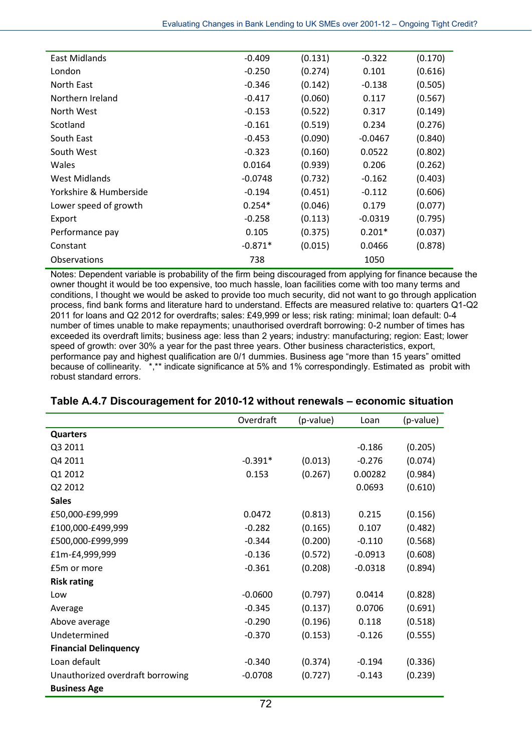| East Midlands          | $-0.409$  | (0.131) | $-0.322$  | (0.170) |
|------------------------|-----------|---------|-----------|---------|
| London                 | $-0.250$  | (0.274) | 0.101     | (0.616) |
| North East             | $-0.346$  | (0.142) | $-0.138$  | (0.505) |
| Northern Ireland       | $-0.417$  | (0.060) | 0.117     | (0.567) |
| North West             | $-0.153$  | (0.522) | 0.317     | (0.149) |
| Scotland               | $-0.161$  | (0.519) | 0.234     | (0.276) |
| South East             | $-0.453$  | (0.090) | $-0.0467$ | (0.840) |
| South West             | $-0.323$  | (0.160) | 0.0522    | (0.802) |
| Wales                  | 0.0164    | (0.939) | 0.206     | (0.262) |
| West Midlands          | $-0.0748$ | (0.732) | $-0.162$  | (0.403) |
| Yorkshire & Humberside | $-0.194$  | (0.451) | $-0.112$  | (0.606) |
| Lower speed of growth  | $0.254*$  | (0.046) | 0.179     | (0.077) |
| Export                 | $-0.258$  | (0.113) | $-0.0319$ | (0.795) |
| Performance pay        | 0.105     | (0.375) | $0.201*$  | (0.037) |
| Constant               | $-0.871*$ | (0.015) | 0.0466    | (0.878) |
| Observations           | 738       |         | 1050      |         |
|                        |           |         |           |         |

Notes: Dependent variable is probability of the firm being discouraged from applying for finance because the owner thought it would be too expensive, too much hassle, loan facilities come with too many terms and conditions, I thought we would be asked to provide too much security, did not want to go through application process, find bank forms and literature hard to understand. Effects are measured relative to: quarters Q1-Q2 2011 for loans and Q2 2012 for overdrafts; sales: £49,999 or less; risk rating: minimal; loan default: 0-4 number of times unable to make repayments; unauthorised overdraft borrowing: 0-2 number of times has exceeded its overdraft limits; business age: less than 2 years; industry: manufacturing; region: East; lower speed of growth: over 30% a year for the past three years. Other business characteristics, export, performance pay and highest qualification are 0/1 dummies. Business age "more than 15 years" omitted because of collinearity. \*,\*\* indicate significance at 5% and 1% correspondingly. Estimated as probit with robust standard errors.

|                                  | Overdraft | (p-value) | Loan      | (p-value) |
|----------------------------------|-----------|-----------|-----------|-----------|
| <b>Quarters</b>                  |           |           |           |           |
| Q3 2011                          |           |           | $-0.186$  | (0.205)   |
| Q4 2011                          | $-0.391*$ | (0.013)   | $-0.276$  | (0.074)   |
| Q1 2012                          | 0.153     | (0.267)   | 0.00282   | (0.984)   |
| Q2 2012                          |           |           | 0.0693    | (0.610)   |
| <b>Sales</b>                     |           |           |           |           |
| £50,000-£99,999                  | 0.0472    | (0.813)   | 0.215     | (0.156)   |
| £100,000-£499,999                | $-0.282$  | (0.165)   | 0.107     | (0.482)   |
| £500,000-£999,999                | $-0.344$  | (0.200)   | $-0.110$  | (0.568)   |
| £1m-£4,999,999                   | $-0.136$  | (0.572)   | $-0.0913$ | (0.608)   |
| £5m or more                      | $-0.361$  | (0.208)   | $-0.0318$ | (0.894)   |
| <b>Risk rating</b>               |           |           |           |           |
| Low                              | $-0.0600$ | (0.797)   | 0.0414    | (0.828)   |
| Average                          | $-0.345$  | (0.137)   | 0.0706    | (0.691)   |
| Above average                    | $-0.290$  | (0.196)   | 0.118     | (0.518)   |
| Undetermined                     | $-0.370$  | (0.153)   | $-0.126$  | (0.555)   |
| <b>Financial Delinquency</b>     |           |           |           |           |
| Loan default                     | $-0.340$  | (0.374)   | $-0.194$  | (0.336)   |
| Unauthorized overdraft borrowing | $-0.0708$ | (0.727)   | $-0.143$  | (0.239)   |
| <b>Business Age</b>              |           |           |           |           |

## **Table A.4.7 Discouragement for 2010-12 without renewals – economic situation**